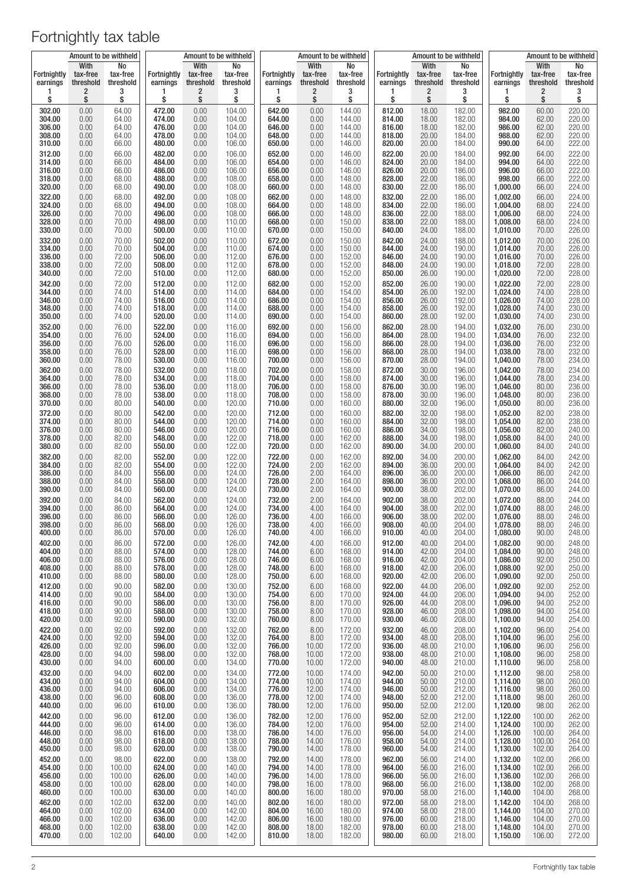|                                |                               | Amount to be withheld       |                         |                               | Amount to be withheld       |                                |                               | Amount to be withheld       |                         |                               | Amount to be withheld       |                                | Amount to be withheld         |                             |
|--------------------------------|-------------------------------|-----------------------------|-------------------------|-------------------------------|-----------------------------|--------------------------------|-------------------------------|-----------------------------|-------------------------|-------------------------------|-----------------------------|--------------------------------|-------------------------------|-----------------------------|
| <b>Fortnightly</b><br>earnings | With<br>tax-free<br>threshold | No<br>tax-free<br>threshold | Fortnightly<br>earnings | With<br>tax-free<br>threshold | No<br>tax-free<br>threshold | <b>Fortnightly</b><br>earnings | With<br>tax-free<br>threshold | No<br>tax-free<br>threshold | Fortnightly<br>earnings | With<br>tax-free<br>threshold | No<br>tax-free<br>threshold | <b>Fortnightly</b><br>earnings | With<br>tax-free<br>threshold | No<br>tax-free<br>threshold |
| 1                              | 2                             | 3                           | 1                       | 2                             | 3                           | 1                              | 2                             | 3                           | 1                       | 2                             | 3                           | 1                              | $\overline{\mathbf{c}}$       | 3                           |
| \$                             | \$                            | \$                          | \$                      | \$                            | \$                          | \$                             | \$                            | \$                          | \$                      | \$                            | \$                          | \$                             | \$                            | \$                          |
| 302.00                         | 0.00                          | 64.00                       | 472.00                  | 0.00                          | 104.00                      | 642.00                         | 0.00                          | 144.00                      | 812.00                  | 18.00                         | 182.00                      | 982.00                         | 60.00                         | 220.00                      |
| 304.00                         | 0.00                          | 64.00                       | 474.00                  | 0.00                          | 104.00                      | 644.00                         | 0.00                          | 144.00                      | 814.00                  | 18.00                         | 182.00                      | 984.00                         | 62.00                         | 220.00                      |
| 306.00                         | 0.00                          | 64.00                       | 476.00                  | 0.00                          | 104.00                      | 646.00                         | 0.00                          | 144.00                      | 816.00                  | 18.00                         | 182.00                      | 986.00                         | 62.00                         | 220.00                      |
| 308.00                         | 0.00                          | 64.00                       | 478.00                  | 0.00                          | 104.00                      | 648.00                         | 0.00                          | 144.00                      | 818.00                  | 20.00                         | 184.00                      | 988.00                         | 62.00                         | 220.00                      |
| 310.00                         | 0.00                          | 66.00                       | 480.00                  | 0.00                          | 106.00                      | 650.00                         | 0.00                          | 146.00                      | 820.00                  | 20.00                         | 184.00                      | 990.00                         | 64.00                         | 222.00                      |
| 312.00                         | 0.00                          | 66.00                       | 482.00                  | 0.00                          | 106.00                      | 652.00                         | 0.00                          | 146.00                      | 822.00                  | 20.00                         | 184.00                      | 992.00                         | 64.00                         | 222.00                      |
| 314.00                         | 0.00                          | 66.00                       | 484.00                  | 0.00                          | 106.00                      | 654.00                         | 0.00                          | 146.00                      | 824.00                  | 20.00                         | 184.00                      | 994.00                         | 64.00                         | 222.00                      |
| 316.00                         | 0.00                          | 66.00                       | 486.00                  | 0.00                          | 106.00                      | 656.00                         | 0.00                          | 146.00                      | 826.00                  | 20.00                         | 186.00                      | 996.00                         | 66.00                         | 222.00                      |
| 318.00                         | 0.00                          | 68.00                       | 488.00                  | 0.00                          | 108.00                      | 658.00                         | 0.00                          | 148.00                      | 828.00                  | 22.00                         | 186.00                      | 998.00                         | 66.00                         | 222.00                      |
| 320.00                         | 0.00                          | 68.00                       | 490.00                  | 0.00                          | 108.00                      | 660.00                         | 0.00                          | 148.00                      | 830.00                  | 22.00                         | 186.00                      | 1,000.00                       | 66.00                         | 224.00                      |
| 322.00                         | 0.00                          | 68.00                       | 492.00                  | 0.00                          | 108.00                      | 662.00                         | 0.00                          | 148.00                      | 832.00                  | 22.00                         | 186.00                      | 1,002.00                       | 66.00                         | 224.00                      |
| 324.00                         | 0.00                          | 68.00                       | 494.00                  | 0.00                          | 108.00                      | 664.00                         | 0.00                          | 148.00                      | 834.00                  | 22.00                         | 186.00                      | 1,004.00                       | 68.00                         | 224.00                      |
| 326.00                         | 0.00                          | 70.00                       | 496.00                  | 0.00                          | 108.00                      | 666.00                         | 0.00                          | 148.00                      | 836.00                  | 22.00                         | 188.00                      | 1,006.00                       | 68.00                         | 224.00                      |
| 328.00                         | 0.00                          | 70.00                       | 498.00                  | 0.00                          | 110.00                      | 668.00                         | 0.00                          | 150.00                      | 838.00                  | 22.00                         | 188.00                      | 1,008.00                       | 68.00                         | 224.00                      |
| 330.00                         | 0.00                          | 70.00                       | 500.00                  | 0.00                          | 110.00                      | 670.00                         | 0.00                          | 150.00                      | 840.00                  | 24.00                         | 188.00                      | 1,010.00                       | 70.00                         | 226.00                      |
| 332.00                         | 0.00                          | 70.00                       | 502.00                  | 0.00                          | 110.00                      | 672.00                         | 0.00                          | 150.00                      | 842.00                  | 24.00                         | 188.00                      | 1,012.00                       | 70.00                         | 226.00                      |
| 334.00                         | 0.00                          | 70.00                       | 504.00                  | 0.00                          | 110.00                      | 674.00                         | 0.00                          | 150.00                      | 844.00                  | 24.00                         | 190.00                      | 1,014.00                       | 70.00                         | 226.00                      |
| 336.00                         | 0.00                          | 72.00                       | 506.00                  | 0.00                          | 112.00                      | 676.00                         | 0.00                          | 152.00                      | 846.00                  | 24.00                         | 190.00                      | 1,016.00                       | 70.00                         | 226.00                      |
| 338.00                         | 0.00                          | 72.00                       | 508.00                  | 0.00                          | 112.00                      | 678.00                         | 0.00                          | 152.00                      | 848.00                  | 24.00                         | 190.00                      | 1,018.00                       | 72.00                         | 228.00                      |
| 340.00                         | 0.00                          | 72.00                       | 510.00                  | 0.00                          | 112.00                      | 680.00                         | 0.00                          | 152.00                      | 850.00                  | 26.00                         | 190.00                      | 1,020.00                       | 72.00                         | 228.00                      |
| 342.00                         | 0.00                          | 72.00                       | 512.00                  | 0.00                          | 112.00                      | 682.00                         | 0.00                          | 152.00                      | 852.00                  | 26.00                         | 190.00                      | 1,022.00                       | 72.00                         | 228.00                      |
| 344.00                         | 0.00                          | 74.00                       | 514.00                  | 0.00                          | 114.00                      | 684.00                         | 0.00                          | 154.00                      | 854.00                  | 26.00                         | 192.00                      | 1,024.00                       | 74.00                         | 228.00                      |
| 346.00                         | 0.00                          | 74.00                       | 516.00                  | 0.00                          | 114.00                      | 686.00                         | 0.00                          | 154.00                      | 856.00                  | 26.00                         | 192.00                      | 1,026.00                       | 74.00                         | 228.00                      |
| 348.00                         | 0.00                          | 74.00                       | 518.00                  | 0.00                          | 114.00                      | 688.00                         | 0.00                          | 154.00                      | 858.00                  | 26.00                         | 192.00                      | 1,028.00                       | 74.00                         | 230.00                      |
| 350.00                         | 0.00                          | 74.00                       | 520.00                  | 0.00                          | 114.00                      | 690.00                         | 0.00                          | 154.00                      | 860.00                  | 28.00                         | 192.00                      | 1,030.00                       | 74.00                         | 230.00                      |
| 352.00                         | 0.00                          | 76.00                       | 522.00                  | 0.00                          | 116.00                      | 692.00                         | 0.00                          | 156.00                      | 862.00                  | 28.00                         | 194.00                      | 1,032.00                       |                               | 230.00                      |
| 354.00                         | 0.00                          | 76.00                       | 524.00                  | 0.00                          | 116.00                      | 694.00                         | 0.00                          | 156.00                      | 864.00                  | 28.00                         | 194.00                      | 1,034.00                       | 76.00<br>76.00                | 232.00                      |
| 356.00                         | 0.00                          | 76.00                       | 526.00                  | 0.00                          | 116.00                      | 696.00                         | 0.00                          | 156.00                      | 866.00                  | 28.00                         | 194.00                      | 1,036.00                       | 76.00                         | 232.00                      |
| 358.00                         | 0.00                          | 76.00                       | 528.00                  | 0.00                          | 116.00                      | 698.00                         | 0.00                          | 156.00                      | 868.00                  | 28.00                         | 194.00                      | 1,038.00                       | 78.00                         | 232.00                      |
| 360.00                         | 0.00                          | 78.00                       | 530.00                  | 0.00                          | 116.00                      | 700.00                         | 0.00                          | 156.00                      | 870.00                  | 28.00                         | 194.00                      | 1,040.00                       | 78.00                         | 234.00                      |
| 362.00                         | 0.00                          | 78.00                       | 532.00                  | 0.00                          | 118.00                      | 702.00                         | 0.00                          | 158.00                      | 872.00                  | 30.00                         | 196.00                      | 1,042.00                       | 78.00                         | 234.00                      |
| 364.00                         | 0.00                          | 78.00                       | 534.00                  | 0.00                          | 118.00                      | 704.00                         | 0.00                          | 158.00                      | 874.00                  | 30.00                         | 196.00                      | 1,044.00                       | 78.00                         | 234.00                      |
| 366.00                         | 0.00                          | 78.00                       | 536.00                  | 0.00                          | 118.00                      | 706.00                         | 0.00                          | 158.00                      | 876.00                  | 30.00                         | 196.00                      | 1,046.00                       | 80.00                         | 236.00                      |
| 368.00                         | 0.00                          | 78.00                       | 538.00                  | 0.00                          | 118.00                      | 708.00                         | 0.00                          | 158.00                      | 878.00                  | 30.00                         | 196.00                      | 1,048.00                       | 80.00                         | 236.00                      |
| 370.00                         | 0.00                          | 80.00                       | 540.00                  | 0.00                          | 120.00                      | 710.00                         | 0.00                          | 160.00                      | 880.00                  | 32.00                         | 196.00                      | 1,050.00                       | 80.00                         | 236.00                      |
| 372.00                         | 0.00                          | 80.00                       | 542.00                  | 0.00                          | 120.00                      | 712.00                         | 0.00                          | 160.00                      | 882.00                  | 32.00                         | 198.00                      | 1,052.00                       | 82.00                         | 238.00                      |
| 374.00                         | 0.00                          | 80.00                       | 544.00                  | 0.00                          | 120.00                      | 714.00                         | 0.00                          | 160.00                      | 884.00                  | 32.00                         | 198.00                      | 1,054.00                       | 82.00                         | 238.00                      |
| 376.00                         | 0.00                          | 80.00                       | 546.00                  | 0.00                          | 120.00                      | 716.00                         | 0.00                          | 160.00                      | 886.00                  | 34.00                         | 198.00                      | 1,056.00                       | 82.00                         | 240.00                      |
| 378.00                         | 0.00                          | 82.00                       | 548.00                  | 0.00                          | 122.00                      | 718.00                         | 0.00                          | 162.00                      | 888.00                  | 34.00                         | 198.00                      | 1,058.00                       | 84.00                         | 240.00                      |
| 380.00                         | 0.00                          | 82.00                       | 550.00                  | 0.00                          | 122.00                      | 720.00                         | 0.00                          | 162.00                      | 890.00                  | 34.00                         | 200.00                      | 1,060.00                       | 84.00                         | 240.00                      |
| 382.00                         | 0.00                          | 82.00                       | 552.00                  | 0.00                          | 122.00                      | 722.00                         | 0.00                          | 162.00                      | 892.00                  | 34.00                         | 200.00                      | 1,062.00                       | 84.00                         | 242.00                      |
| 384.00                         | 0.00                          | 82.00                       | 554.00                  | 0.00                          | 122.00                      | 724.00                         | 2.00                          | 162.00                      | 894.00                  | 36.00                         | 200.00                      | 1,064.00                       | 84.00                         | 242.00                      |
| 386.00                         | 0.00                          | 84.00                       | 556.00                  | 0.00                          | 124.00                      | 726.00                         | 2.00                          | 164.00                      | 896.00                  | 36.00                         | 200.00                      | 1,066.00                       | 86.00                         | 242.00                      |
| 388.00                         | 0.00                          | 84.00                       | 558.00                  | 0.00                          | 124.00                      | 728.00                         | 2.00                          | 164.00                      | 898.00                  | 36.00                         | 200.00                      | 1,068.00                       | 86.00                         | 244.00                      |
| 390.00                         | 0.00                          | 84.00                       | 560.00                  | 0.00                          | 124.00                      | 730.00                         | 2.00                          | 164.00                      | 900.00                  | 38.00                         | 202.00                      | 1,070.00                       | 86.00                         | 244.00                      |
| 392.00                         | 0.00                          | 84.00                       | 562.00                  | 0.00                          | 124.00                      | 732.00                         | 2.00                          | 164.00                      | 902.00                  | 38.00                         | 202.00                      | 1,072.00                       | 88.00                         | 244.00                      |
| 394.00                         | 0.00                          | 86.00                       | 564.00                  | 0.00                          | 124.00                      | 734.00                         | 4.00                          | 164.00                      | 904.00                  | 38.00                         | 202.00                      | 1,074.00                       | 88.00                         | 246.00                      |
| 396.00                         | 0.00                          | 86.00                       | 566.00                  | 0.00                          | 126.00                      | 736.00                         | 4.00                          | 166.00                      | 906.00                  | 38.00                         | 202.00                      | 1,076.00                       | 88.00                         | 246.00                      |
| 398.00                         | 0.00                          | 86.00                       | 568.00                  | 0.00                          | 126.00                      | 738.00                         | 4.00                          | 166.00                      | 908.00                  | 40.00                         | 204.00                      | 1,078.00                       | 88.00                         | 246.00                      |
| 400.00                         | 0.00                          | 86.00                       | 570.00                  | 0.00                          | 126.00                      | 740.00                         | 4.00                          | 166.00                      | 910.00                  | 40.00                         | 204.00                      | 1,080.00                       | 90.00                         | 248.00                      |
| 402.00                         | 0.00                          | 86.00                       | 572.00                  | 0.00                          | 126.00                      | 742.00                         |                               | 166.00                      | 912.00                  | 40.00                         | 204.00                      | 1,082.00                       | 90.00                         | 248.00                      |
| 404.00                         | 0.00                          | 88.00                       | 574.00                  | 0.00                          | 128.00                      | 744.00                         | 4.00<br>6.00                  | 168.00                      | 914.00                  | 42.00                         | 204.00                      | 1,084.00                       | 90.00                         | 248.00                      |
| 406.00                         | 0.00                          | 88.00                       | 576.00                  | 0.00                          | 128.00                      | 746.00                         | 6.00                          | 168.00                      | 916.00                  | 42.00                         | 204.00                      | 1,086.00                       | 92.00                         | 250.00                      |
| 408.00                         | 0.00                          | 88.00                       | 578.00                  | 0.00                          | 128.00                      | 748.00                         | 6.00                          | 168.00                      | 918.00                  | 42.00                         | 206.00                      | 1,088.00                       | 92.00                         | 250.00                      |
| 410.00                         | 0.00                          | 88.00                       | 580.00                  | 0.00                          | 128.00                      | 750.00                         | 6.00                          | 168.00                      | 920.00                  | 42.00                         | 206.00                      | 1,090.00                       | 92.00                         | 250.00                      |
| 412.00                         | 0.00                          | 90.00                       | 582.00                  | 0.00                          | 130.00                      | 752.00                         | 6.00                          | 168.00                      | 922.00                  | 44.00                         | 206.00                      | 1,092.00                       | 92.00                         | 252.00                      |
| 414.00                         | 0.00                          | 90.00                       | 584.00                  | 0.00                          | 130.00                      | 754.00                         | 6.00                          | 170.00                      | 924.00                  | 44.00                         | 206.00                      | 1,094.00                       | 94.00                         | 252.00                      |
| 416.00                         | 0.00                          | 90.00                       | 586.00                  | 0.00                          | 130.00                      | 756.00                         | 8.00                          | 170.00                      | 926.00                  | 44.00                         | 208.00                      | 1,096.00                       | 94.00                         | 252.00                      |
| 418.00                         | 0.00                          | 90.00                       | 588.00                  | 0.00                          | 130.00                      | 758.00                         | 8.00                          | 170.00                      | 928.00                  | 46.00                         | 208.00                      | 1,098.00                       | 94.00                         | 254.00                      |
| 420.00<br>422.00               | 0.00<br>0.00                  | 92.00                       | 590.00<br>592.00        | 0.00                          | 132.00<br>132.00            | 760.00<br>762.00               | 8.00<br>8.00                  | 170.00                      | 930.00<br>932.00        | 46.00                         | 208.00<br>208.00            | 1,100.00<br>1,102.00           | 94.00                         | 254.00<br>254.00            |
| 424.00                         | 0.00                          | 92.00<br>92.00              | 594.00                  | 0.00<br>0.00                  | 132.00                      | 764.00                         | 8.00                          | 172.00<br>172.00            | 934.00                  | 46.00<br>48.00                | 208.00                      | 1,104.00                       | 96.00<br>96.00                | 256.00                      |
| 426.00                         | 0.00                          | 92.00                       | 596.00                  | 0.00                          | 132.00                      | 766.00                         | 10.00                         | 172.00                      | 936.00                  | 48.00                         | 210.00                      | 1,106.00                       | 96.00                         | 256.00                      |
| 428.00                         | 0.00                          | 94.00                       | 598.00                  | 0.00                          | 132.00                      | 768.00                         | 10.00                         | 172.00                      | 938.00                  | 48.00                         | 210.00                      | 1,108.00                       | 96.00                         | 258.00                      |
| 430.00                         | 0.00                          | 94.00                       | 600.00                  | 0.00                          | 134.00                      | 770.00                         | 10.00                         | 172.00                      | 940.00                  | 48.00                         | 210.00                      | 1,110.00                       | 96.00                         | 258.00                      |
| 432.00                         | 0.00                          | 94.00                       | 602.00                  | 0.00                          | 134.00                      | 772.00                         | 10.00                         | 174.00                      | 942.00                  | 50.00                         | 210.00                      | 1,112.00                       | 98.00                         | 258.00                      |
| 434.00                         | 0.00                          | 94.00                       | 604.00                  | 0.00                          | 134.00                      | 774.00                         | 10.00                         | 174.00                      | 944.00                  | 50.00                         | 210.00                      | 1,114.00                       | 98.00                         | 260.00                      |
| 436.00                         | 0.00                          | 94.00                       | 606.00                  | 0.00                          | 134.00                      | 776.00                         | 12.00                         | 174.00                      | 946.00                  | 50.00                         | 212.00                      | 1,116.00                       | 98.00                         | 260.00                      |
| 438.00                         | 0.00                          | 96.00                       | 608.00                  | 0.00                          | 136.00                      | 778.00                         | 12.00                         | 174.00                      | 948.00                  | 52.00                         | 212.00                      | 1,118.00                       | 98.00                         | 260.00                      |
| 440.00<br>442.00               | 0.00<br>0.00                  | 96.00<br>96.00              | 610.00<br>612.00        | 0.00<br>0.00                  | 136.00<br>136.00            | 780.00<br>782.00               | 12.00<br>12.00                | 176.00                      | 950.00<br>952.00        | 52.00<br>52.00                | 212.00<br>212.00            | 1,120.00                       | 98.00<br>100.00               | 262.00<br>262.00            |
| 444.00                         | 0.00                          | 96.00                       | 614.00                  | 0.00                          | 136.00                      | 784.00                         | 12.00                         | 176.00<br>176.00            | 954.00                  | 52.00                         | 214.00                      | 1,122.00<br>1,124.00           | 100.00                        | 262.00                      |
| 446.00                         | 0.00                          | 98.00                       | 616.00                  | 0.00                          | 138.00                      | 786.00                         | 14.00                         | 176.00                      | 956.00                  | 54.00                         | 214.00                      | 1,126.00                       | 100.00                        | 264.00                      |
| 448.00                         | 0.00                          | 98.00                       | 618.00                  | 0.00                          | 138.00                      | 788.00                         | 14.00                         | 176.00                      | 958.00                  | 54.00                         | 214.00                      | 1,128.00                       | 100.00                        | 264.00                      |
| 450.00                         | 0.00<br>0.00                  | 98.00                       | 620.00<br>622.00        | 0.00                          | 138.00<br>138.00            | 790.00<br>792.00               | 14.00<br>14.00                | 178.00                      | 960.00<br>962.00        | 54.00<br>56.00                | 214.00<br>214.00            | 1,130.00                       | 102.00<br>102.00              | 264.00<br>266.00            |
| 452.00<br>454.00               | 0.00                          | 98.00<br>100.00             | 624.00                  | 0.00<br>0.00                  | 140.00                      | 794.00                         | 14.00                         | 178.00<br>178.00            | 964.00                  | 56.00                         | 216.00                      | 1,132.00<br>1,134.00           | 102.00                        | 266.00                      |
| 456.00                         | 0.00                          | 100.00                      | 626.00                  | 0.00                          | 140.00                      | 796.00                         | 14.00                         | 178.00                      | 966.00                  | 56.00                         | 216.00                      | 1,136.00                       | 102.00                        | 266.00                      |
| 458.00                         | 0.00                          | 100.00                      | 628.00                  | 0.00                          | 140.00                      | 798.00                         | 16.00                         | 178.00                      | 968.00                  | 56.00                         | 216.00                      | 1,138.00                       | 102.00                        | 268.00                      |
| 460.00                         | 0.00                          | 100.00                      | 630.00                  | 0.00                          | 140.00                      | 800.00                         | 16.00                         | 180.00                      | 970.00                  | 58.00                         | 216.00                      | 1,140.00                       | 104.00                        | 268.00                      |
| 462.00                         | 0.00                          | 102.00                      | 632.00                  | 0.00                          | 140.00                      | 802.00                         | 16.00                         | 180.00                      | 972.00                  | 58.00                         | 218.00                      | 1,142.00                       | 104.00                        | 268.00                      |
| 464.00                         | 0.00                          | 102.00                      | 634.00                  | 0.00                          | 142.00                      | 804.00                         | 16.00                         | 180.00                      | 974.00                  | 58.00                         | 218.00                      | 1,144.00                       | 104.00                        | 270.00                      |
| 466.00                         | 0.00                          | 102.00                      | 636.00                  | 0.00                          | 142.00                      | 806.00                         | 16.00                         | 180.00                      | 976.00                  | 60.00                         | 218.00                      | 1,146.00                       | 104.00                        | 270.00                      |
| 468.00                         | 0.00                          | 102.00                      | 638.00                  | 0.00                          | 142.00                      | 808.00                         | 18.00                         | 182.00                      | 978.00                  | 60.00                         | 218.00                      | 1,148.00                       | 104.00                        | 270.00                      |
| 470.00                         | 0.00                          | 102.00                      | 640.00                  | 0.00                          | 142.00                      | 810.00                         | 18.00                         | 182.00                      | 980.00                  | 60.00                         | 218.00                      | 1,150.00                       | 106.00                        | 272.00                      |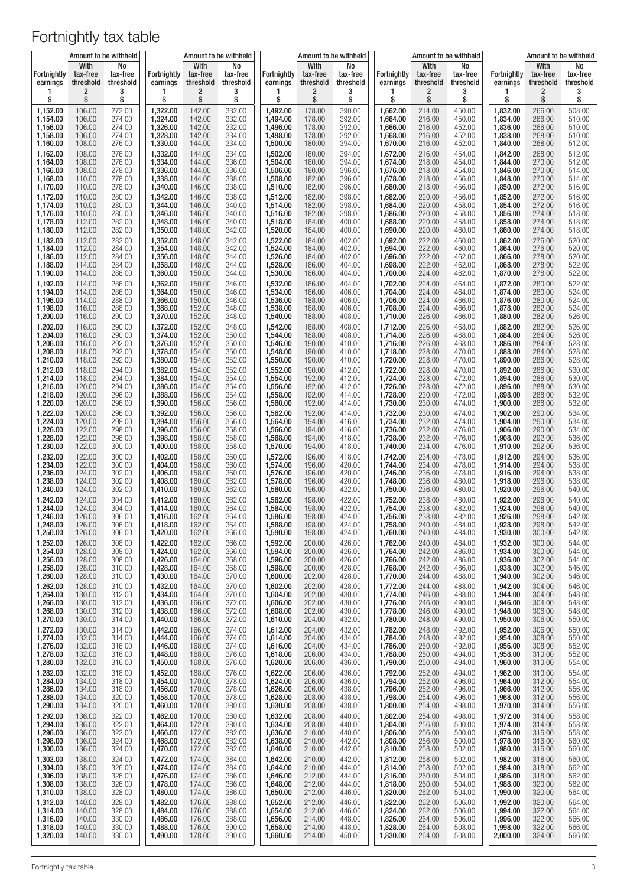|                                     |                                    | Amount to be withheld            |                                     |                                    | Amount to be withheld            |                         |                                    | Amount to be withheld            |                                     |                               | Amount to be withheld            |                         |                                    | Amount to be withheld            |
|-------------------------------------|------------------------------------|----------------------------------|-------------------------------------|------------------------------------|----------------------------------|-------------------------|------------------------------------|----------------------------------|-------------------------------------|-------------------------------|----------------------------------|-------------------------|------------------------------------|----------------------------------|
| <b>Fortnightly</b><br>earnings<br>1 | With<br>tax-free<br>threshold<br>2 | No<br>tax-free<br>threshold<br>3 | <b>Fortnightly</b><br>earnings<br>1 | With<br>tax-free<br>threshold<br>2 | No<br>tax-free<br>threshold<br>3 | Fortnightly<br>earnings | With<br>tax-free<br>threshold<br>2 | No<br>tax-free<br>threshold<br>3 | <b>Fortnightly</b><br>earnings<br>1 | With<br>tax-free<br>threshold | No<br>tax-free<br>threshold<br>3 | Fortnightly<br>earnings | With<br>tax-free<br>threshold<br>2 | No<br>tax-free<br>threshold<br>3 |
| \$                                  | \$                                 | \$                               | \$                                  | \$                                 | \$                               | 1<br>\$                 | \$                                 | \$                               | \$                                  | 2<br>\$                       | \$                               | ı<br>\$                 | \$                                 | \$                               |
| 1,152.00                            | 106.00                             | 272.00                           | 1,322.00                            | 142.00                             | 332.00                           | 1,492.00                | 178.00                             | 390.00                           | 1,662.00                            | 214.00                        | 450.00                           | 1,832.00                | 266.00                             | 508.00                           |
| 1,154.00                            | 106.00                             | 274.00                           | 1,324.00                            | 142.00                             | 332.00                           | 1,494.00                | 178.00                             | 392.00                           | 1,664.00                            | 216.00                        | 450.00                           | 1,834.00                | 266.00                             | 510.00                           |
| 1.156.00                            | 106.00                             | 274.00                           | 1,326.00                            | 142.00                             | 332.00                           | 1,496.00                | 178.00                             | 392.00                           | 1,666.00                            | 216.00                        | 452.00                           | 1,836.00                | 266.00                             | 510.00                           |
| 1,158.00                            | 106.00                             | 274.00                           | 1,328.00                            | 142.00                             | 334.00                           | 1,498.00                | 178.00                             | 392.00                           | 1,668.00                            | 216.00                        | 452.00                           | 1,838.00                | 268.00                             | 510.00                           |
| 1,160.00                            | 108.00                             | 276.00                           | 1,330.00                            | 144.00                             | 334.00                           | 1,500.00                | 180.00                             | 394.00                           | 1,670.00                            | 216.00                        | 452.00                           | 1,840.00                | 268.00                             | 512.00                           |
| 1,162.00                            | 108.00                             | 276.00                           | 1,332.00                            | 144.00                             | 334.00                           | 1,502.00                | 180.00                             | 394.00                           | 1,672.00                            | 216.00                        | 454.00                           | 1,842.00                | 268.00                             | 512.00                           |
| 1,164.00                            | 108.00                             | 276.00                           | 1,334.00                            | 144.00                             | 336.00                           | 1,504.00                | 180.00                             | 394.00                           | 1,674.00                            | 218.00                        | 454.00                           | 1,844.00                | 270.00                             | 512.00                           |
| 1,166.00                            | 108.00                             | 278.00                           | 1,336.00                            | 144.00                             | 336.00                           | 1,506.00                | 180.00                             | 396.00                           | 1,676.00                            | 218.00                        | 454.00                           | 1,846.00                | 270.00                             | 514.00                           |
| 1,168.00                            | 110.00                             | 278.00                           | 1,338.00                            | 144.00                             | 338.00                           | 1,508.00                | 182.00                             | 396.00                           | 1,678.00                            | 218.00                        | 456.00                           | 1,848.00                | 270.00                             | 514.00                           |
| 1,170.00                            | 110.00                             | 278.00                           | 1,340.00                            | 146.00                             | 338.00                           | 1,510.00                | 182.00                             | 396.00                           | 1,680.00                            | 218.00                        | 456.00                           | 1,850.00                | 272.00                             | 516.00                           |
| 1,172.00                            | 110.00                             | 280.00                           | 1,342.00                            | 146.00                             | 338.00                           | 1,512.00                | 182.00                             | 398.00                           | 1,682.00                            | 220.00                        | 456.00                           | 1,852.00                | 272.00                             | 516.00                           |
| 1,174.00                            | 110.00                             | 280.00                           | 1,344.00                            | 146.00                             | 340.00                           | 1,514.00                | 182.00                             | 398.00                           | 1,684.00                            | 220.00                        | 458.00                           | 1,854.00                | 272.00                             | 516.00                           |
| 1,176.00                            | 110.00                             | 280.00                           | 1,346.00                            | 146.00                             | 340.00                           | 1,516.00                | 182.00                             | 398.00                           | 1,686.00                            | 220.00                        | 458.00                           | 1,856.00                | 274.00                             | 518.00                           |
| 1,178.00                            | 112.00                             | 282.00                           | 1,348.00                            | 146.00                             | 340.00                           | 1,518.00                | 184.00                             | 400.00                           | 1,688.00                            | 220.00                        | 458.00                           | 1,858.00                | 274.00                             | 518.00                           |
| 1,180.00                            | 112.00                             | 282.00                           | 1,350.00                            | 148.00                             | 342.00                           | 1,520.00                | 184.00                             | 400.00                           | 1,690.00                            | 220.00                        | 460.00                           | 1,860.00                | 274.00                             | 518.00                           |
| 1,182.00                            | 112.00                             | 282.00                           | 1,352.00                            | 148.00                             | 342.00                           | 1,522.00                | 184.00                             | 402.00                           | 1,692.00                            | 222.00                        | 460.00                           | 1,862.00                | 276.00                             | 520.00                           |
| 1,184.00                            | 112.00                             | 284.00                           | 1,354.00                            | 148.00                             | 342.00                           | 1,524.00                | 184.00                             | 402.00                           | 1,694.00                            | 222.00                        | 460.00                           | 1,864.00                | 276.00                             | 520.00                           |
| 1,186.00                            | 112.00                             | 284.00                           | 1,356.00                            | 148.00                             | 344.00                           | 1,526.00                | 184.00                             | 402.00                           | 1,696.00                            | 222.00                        | 462.00                           | 1,866.00                | 278.00                             | 520.00                           |
| 1,188.00                            | 114.00                             | 284.00                           | 1,358.00                            | 148.00                             | 344.00                           | 1,528.00                | 186.00                             | 404.00                           | 1,698.00                            | 222.00                        | 462.00                           | 1,868.00                | 278.00                             | 522.00                           |
| 1,190.00                            | 114.00                             | 286.00                           | 1,360.00                            | 150.00                             | 344.00                           | 1,530.00                | 186.00                             | 404.00                           | 1,700.00                            | 224.00                        | 462.00                           | 1,870.00                | 278.00                             | 522.00                           |
| 1,192.00                            | 114.00                             | 286.00                           | 1,362.00                            | 150.00                             | 346.00                           | 1,532.00                | 186.00                             | 404.00                           | 1,702.00                            | 224.00                        | 464.00                           | 1,872.00                | 280.00                             | 522.00                           |
| 1,194.00                            | 114.00                             | 286.00                           | 1,364.00                            | 150.00                             | 346.00                           | 1,534.00                | 186.00                             | 406.00                           | 1,704.00                            | 224.00                        | 464.00                           | 1,874.00                | 280.00                             | 524.00                           |
| 1,196.00                            | 114.00                             | 288.00                           | 1,366.00                            | 150.00                             | 346.00                           | 1,536.00                | 188.00                             | 406.00                           | 1,706.00                            | 224.00                        | 466.00                           | 1,876.00                | 280.00                             | 524.00                           |
| 1,198.00                            | 116.00                             | 288.00                           | 1,368.00                            | 152.00                             | 348.00                           | 1,538.00                | 188.00                             | 406.00                           | 1,708.00                            | 224.00                        | 466.00                           | 1,878.00                | 282.00                             | 524.00                           |
| 1,200.00                            | 116.00                             | 290.00                           | 1,370.00                            | 152.00                             | 348.00                           | 1,540.00                | 188.00                             | 408.00                           | 1,710.00                            | 226.00                        | 466.00                           | 1,880.00                | 282.00                             | 526.00                           |
| 1,202.00                            | 116.00                             | 290.00                           | 1,372.00                            | 152.00                             | 348.00                           | 1,542.00                | 188.00                             | 408.00                           | 1,712.00                            | 226.00                        | 468.00                           | 1,882.00                | 282.00                             | 526.00                           |
| 1,204.00                            | 116.00                             | 290.00                           | 1,374.00                            | 152.00                             | 350.00                           | 1,544.00                | 188.00                             | 408.00                           | 1.714.00                            | 226.00                        | 468.00                           | 1,884.00                | 284.00                             | 526.00                           |
| 1,206.00                            | 116.00                             | 292.00                           | 1,376.00                            | 152.00                             | 350.00                           | 1,546.00                | 190.00                             | 410.00                           | 1,716.00                            | 226.00                        | 468.00                           | 1,886.00                | 284.00                             | 528.00                           |
| 1,208.00                            | 118.00                             | 292.00                           | 1,378.00                            | 154.00                             | 350.00                           | 1,548.00                | 190.00                             | 410.00                           | 1,718.00                            | 228.00                        | 470.00                           | 1,888.00                | 284.00                             | 528.00                           |
| 1,210.00                            | 118.00                             | 292.00                           | 1,380.00                            | 154.00                             | 352.00                           | 1,550.00                | 190.00                             | 410.00                           | 1,720.00                            | 228.00                        | 470.00                           | 1,890.00                | 286.00                             | 528.00                           |
| 1,212.00                            | 118.00                             | 294.00                           | 1,382.00                            | 154.00                             | 352.00                           | 1,552.00                | 190.00                             | 412.00                           | 1,722.00                            | 228.00                        | 470.00                           | 1,892.00                | 286.00                             | 530.00                           |
| 1,214.00                            | 118.00                             | 294.00                           | 1,384.00                            | 154.00                             | 354.00                           | 1,554.00                | 192.00                             | 412.00                           | 1,724.00                            | 228.00                        | 472.00                           | 1,894.00                | 286.00                             | 530.00                           |
| 1,216.00                            | 120.00                             | 294.00                           | 1,386.00                            | 154.00                             | 354.00                           | 1,556.00                | 192.00                             | 412.00                           | 1,726.00                            | 228.00                        | 472.00                           | 1,896.00                | 288.00                             | 530.00                           |
| 1,218.00                            | 120.00                             | 296.00                           | 1,388.00                            | 156.00                             | 354.00                           | 1,558.00                | 192.00                             | 414.00                           | 1,728.00                            | 230.00                        | 472.00                           | 1,898.00                | 288.00                             | 532.00                           |
| 1,220.00                            | 120.00                             | 296.00                           | 1,390.00                            | 156.00                             | 356.00                           | 1,560.00                | 192.00                             | 414.00                           | 1,730.00                            | 230.00                        | 474.00                           | 1,900.00                | 288.00                             | 532.00                           |
| 1,222.00                            | 120.00                             | 296.00                           | 1,392.00                            | 156.00                             | 356.00                           | 1,562.00                | 192.00                             | 414.00                           | 1,732.00                            | 230.00                        | 474.00                           | 1,902.00                | 290.00                             | 534.00                           |
| 1,224.00                            | 120.00                             | 298.00                           | 1,394.00                            | 156.00                             | 356.00                           | 1,564.00                | 194.00                             | 416.00                           | 1,734.00                            | 232.00                        | 474.00                           | 1,904.00                | 290.00                             | 534.00                           |
| 1,226.00                            | 122.00                             | 298.00                           | 1,396.00                            | 156.00                             | 358.00                           | 1,566.00                | 194.00                             | 416.00                           | 1,736.00                            | 232.00                        | 476.00                           | 1,906.00                | 290.00                             | 534.00                           |
| 1,228.00                            | 122.00                             | 298.00                           | 1,398.00                            | 158.00                             | 358.00                           | 1,568.00                | 194.00                             | 418.00                           | 1,738.00                            | 232.00                        | 476.00                           | 1,908.00                | 292.00                             | 536.00                           |
| 1,230.00                            | 122.00                             | 300.00                           | 1,400.00                            | 158.00                             | 358.00                           | 1,570.00                | 194.00                             | 418.00                           | 1,740.00                            | 234.00                        | 476.00                           | 1,910.00                | 292.00                             | 536.00                           |
| 1,232.00                            | 122.00                             | 300.00                           | 1,402.00                            | 158.00                             | 360.00                           | 1,572.00                | 196.00                             | 418.00                           | 1,742.00                            | 234.00                        | 478.00                           | 1,912.00                | 294.00                             | 536.00                           |
| 1,234.00                            | 122.00                             | 300.00                           | 1,404.00                            | 158.00                             | 360.00                           | 1,574.00                | 196.00                             | 420.00                           | 1,744.00                            | 234.00                        | 478.00                           | 1,914.00                | 294.00                             | 538.00                           |
| 1,236.00                            | 124.00                             | 302.00                           | 1,406.00                            | 158.00                             | 360.00                           | 1,576.00                | 196.00                             | 420.00                           | 1,746.00                            | 236.00                        | 478.00                           | 1,916.00                | 294.00                             | 538.00                           |
| 1,238.00                            | 124.00                             | 302.00                           | 1,408.00                            | 160.00                             | 362.00                           | 1.578.00                | 196.00                             | 420.00                           | 1,748.00                            | 236.00                        | 480.00                           | 1,918.00                | 296.00                             | 538.00                           |
| 1,240.00                            | 124.00                             | 302.00                           | 1,410.00                            | 160.00                             | 362.00                           | 1,580.00                | 196.00                             | 422.00                           | 1,750.00                            | 236.00                        | 480.00                           | 1,920.00                | 296.00                             | 540.00                           |
| 1,242.00                            | 124.00                             | 304.00                           | 1,412.00                            | 160.00                             | 362.00                           | 1,582.00                | 198.00                             | 422.00                           | 1,752.00                            | 238.00                        | 480.00                           | 1,922.00                | 296.00                             | 540.00                           |
| 1.244.00                            | 124.00                             | 304.00                           | 1,414.00                            | 160.00                             | 364.00                           | 1.584.00                | 198.00                             | 422.00                           | 1,754.00                            | 238.00                        | 482.00                           | 1,924.00                | 298.00                             | 540.00                           |
| 1,246.00                            | 126.00                             | 306.00                           | 1,416.00                            | 162.00                             | 364.00                           | 1,586.00                | 198.00                             | 424.00                           | 1,756.00                            | 238.00                        | 482.00                           | 1,926.00                | 298.00                             | 542.00                           |
| 1,248.00                            | 126.00                             | 306.00                           | 1,418.00                            | 162.00                             | 364.00                           | 1,588.00                | 198.00                             | 424.00                           | 1,758.00                            | 240.00                        | 484.00                           | 1,928.00                | 298.00                             | 542.00                           |
| 1,250.00                            | 126.00                             | 306.00                           | 1,420.00                            | 162.00                             | 366.00                           | 1,590.00                | 198.00                             | 424.00                           | 1,760.00                            | 240.00                        | 484.00                           | 1,930.00                | 300.00                             | 542.00                           |
| 1,252.00                            | 126.00                             | 308.00                           | 1,422.00                            | 162.00                             | 366.00                           | 1,592.00                | 200.00                             | 426.00                           | 1,762.00                            | 240.00                        | 484.00                           | 1,932.00                | 300.00                             | 544.00                           |
| 1,254.00                            | 128.00                             | 308.00                           | 1,424.00                            | 162.00                             | 366.00                           | 1,594.00                | 200.00                             | 426.00                           | 1,764.00                            | 242.00                        | 486.00                           | 1,934.00                | 300.00                             | 544.00                           |
| 1,256.00                            | 128.00                             | 308.00                           | 1,426.00                            | 164.00                             | 368.00                           | 1,596.00                | 200.00                             | 426.00                           | 1,766.00                            | 242.00                        | 486.00                           | 1,936.00                | 302.00                             | 544.00                           |
| 1,258.00                            | 128.00                             | 310.00                           | 1,428.00                            | 164.00                             | 368.00                           | 1,598.00                | 200.00                             | 428.00                           | 1,768.00                            | 242.00                        | 486.00                           | 1,938.00                | 302.00                             | 546.00                           |
| 1,260.00                            | 128.00                             | 310.00                           | 1,430.00                            | 164.00                             | 370.00                           | 1,600.00                | 202.00                             | 428.00                           | 1,770.00                            | 244.00                        | 488.00                           | 1,940.00                | 302.00                             | 546.00                           |
| 1,262.00                            | 128.00                             | 310.00                           | 1,432.00                            | 164.00                             | 370.00                           | 1,602.00                | 202.00                             | 428.00                           | 1,772.00                            | 244.00                        | 488.00                           | 1,942.00                | 304.00                             | 546.00                           |
| 1,264.00                            | 130.00                             | 312.00                           | 1,434.00                            | 164.00                             | 370.00                           | 1,604.00                | 202.00                             | 430.00                           | 1,774.00                            | 246.00                        | 488.00                           | 1,944.00                | 304.00                             | 548.00                           |
| 1,266.00                            | 130.00                             | 312.00                           | 1,436.00                            | 166.00                             | 372.00                           | 1,606.00                | 202.00                             | 430.00                           | 1,776.00                            | 246.00                        | 490.00                           | 1,946.00                | 304.00                             | 548.00                           |
| 1,268.00<br>1,270.00                | 130.00                             | 312.00                           | 1,438.00<br>1,440.00                | 166.00<br>166.00                   | 372.00                           | 1,608.00                | 202.00<br>204.00                   | 430.00                           | 1,778.00                            | 246.00<br>248.00              | 490.00                           | 1,948.00<br>1,950.00    | 306.00                             | 548.00<br>550.00                 |
| 1,272.00                            | 130.00<br>130.00                   | 314.00<br>314.00                 | 1,442.00                            | 166.00                             | 372.00<br>374.00                 | 1,610.00<br>1,612.00    | 204.00                             | 432.00<br>432.00                 | 1,780.00<br>1,782.00                | 248.00                        | 490.00<br>492.00                 | 1,952.00                | 306.00<br>306.00                   | 550.00                           |
| 1,274.00                            | 132.00                             | 314.00                           | 1,444.00                            | 166.00                             | 374.00                           | 1,614.00                | 204.00                             | 434.00                           | 1,784.00                            | 248.00                        | 492.00                           | 1,954.00                | 308.00                             | 550.00                           |
| 1,276.00                            | 132.00                             | 316.00                           | 1,446.00                            | 168.00                             | 374.00                           | 1,616.00                | 204.00                             | 434.00                           | 1,786.00                            | 250.00                        | 492.00                           | 1,956.00                | 308.00                             | 552.00                           |
| 1,278.00                            | 132.00                             | 316.00                           | 1,448.00                            | 168.00                             | 376.00                           | 1,618.00                | 206.00                             | 434.00                           | 1,788.00                            | 250.00                        | 494.00                           | 1,958.00                | 310.00                             | 552.00                           |
| 1,280.00                            | 132.00                             | 316.00                           | 1,450.00                            | 168.00                             | 376.00                           | 1,620.00                | 206.00                             | 436.00                           | 1,790.00                            | 250.00                        | 494.00                           | 1,960.00                | 310.00                             | 554.00                           |
| 1,282.00                            | 132.00                             | 318.00                           | 1,452.00                            | 168.00                             | 376.00                           | 1,622.00                | 206.00                             | 436.00                           | 1,792.00                            | 252.00                        | 494.00                           | 1,962.00                | 310.00                             | 554.00                           |
| 1,284.00                            | 134.00                             | 318.00                           | 1,454.00                            | 170.00                             | 378.00                           | 1,624.00                | 206.00                             | 436.00                           | 1,794.00                            | 252.00                        | 496.00                           | 1,964.00                | 312.00                             | 554.00                           |
| 1,286.00                            | 134.00                             | 318.00                           | 1,456.00                            | 170.00                             | 378.00                           | 1,626.00                | 206.00                             | 438.00                           | 1,796.00                            | 252.00                        | 496.00                           | 1,966.00                | 312.00                             | 556.00                           |
| 1,288.00                            | 134.00                             | 320.00                           | 1,458.00                            | 170.00                             | 378.00                           | 1,628.00                | 208.00                             | 438.00                           | 1,798.00                            | 254.00                        | 496.00                           | 1,968.00                | 312.00                             | 556.00                           |
| 1,290.00                            | 134.00                             | 320.00                           | 1,460.00                            | 170.00                             | 380.00                           | 1,630.00                | 208.00                             | 438.00                           | 1,800.00                            | 254.00                        | 498.00                           | 1,970.00                | 314.00                             | 556.00                           |
| 1,292.00                            | 136.00                             | 322.00                           | 1,462.00                            | 170.00                             | 380.00                           | 1,632.00                | 208.00                             | 440.00                           | 1,802.00<br>1,804.00                | 254.00                        | 498.00                           | 1,972.00<br>1,974.00    | 314.00<br>314.00                   | 558.00                           |
| 1,294.00<br>1,296.00                | 136.00<br>136.00                   | 322.00<br>322.00                 | 1,464.00<br>1,466.00                | 172.00<br>172.00                   | 380.00<br>382.00                 | 1,634.00<br>1,636.00    | 208.00<br>210.00                   | 440.00<br>440.00                 | 1,806.00                            | 256.00<br>256.00              | 500.00<br>500.00                 | 1,976.00                | 316.00                             | 558.00<br>558.00                 |
| 1,298.00                            | 136.00                             | 324.00                           | 1,468.00                            | 172.00                             | 382.00                           | 1,638.00                | 210.00                             | 442.00                           | 1,808.00                            | 256.00                        | 500.00                           | 1,978.00                | 316.00                             | 560.00                           |
| 1,300.00                            | 136.00                             | 324.00                           | 1,470.00                            | 172.00                             | 382.00                           | 1,640.00                | 210.00                             | 442.00                           | 1,810.00                            | 258.00                        | 502.00                           | 1,980.00                | 316.00                             | 560.00                           |
| 1,302.00                            | 138.00                             | 324.00                           | 1,472.00                            | 174.00                             | 384.00                           | 1,642.00                | 210.00                             | 442.00                           | 1,812.00                            | 258.00                        | 502.00                           | 1,982.00                | 318.00                             | 560.00                           |
| 1,304.00                            | 138.00                             | 326.00                           | 1,474.00                            | 174.00                             | 384.00                           | 1,644.00                | 210.00                             | 444.00                           | 1,814.00                            | 258.00                        | 502.00                           | 1,984.00                | 318.00                             | 562.00                           |
| 1,306.00                            | 138.00                             | 326.00                           | 1,476.00                            | 174.00                             | 386.00                           | 1,646.00                | 212.00                             | 444.00                           | 1,816.00                            | 260.00                        | 504.00                           | 1,986.00                | 318.00                             | 562.00                           |
| 1,308.00                            | 138.00                             | 326.00                           | 1,478.00                            | 174.00                             | 386.00                           | 1,648.00                | 212.00                             | 444.00                           | 1,818.00                            | 260.00                        | 504.00                           | 1,988.00                | 320.00                             | 562.00                           |
| 1,310.00                            | 138.00                             | 328.00                           | 1,480.00                            | 174.00                             | 386.00                           | 1,650.00                | 212.00                             | 446.00                           | 1,820.00                            | 262.00                        | 504.00                           | 1,990.00                | 320.00                             | 564.00                           |
| 1,312.00                            | 140.00                             | 328.00                           | 1,482.00                            | 176.00                             | 388.00                           | 1,652.00                | 212.00                             | 446.00                           | 1,822.00                            | 262.00                        | 506.00                           | 1,992.00                | 320.00                             | 564.00                           |
| 1,314.00                            | 140.00                             | 328.00                           | 1,484.00                            | 176.00                             | 388.00                           | 1,654.00                | 212.00                             | 446.00                           | 1,824.00                            | 262.00                        | 506.00                           | 1,994.00                | 322.00                             | 564.00                           |
| 1,316.00                            | 140.00                             | 330.00                           | 1,486.00                            | 176.00                             | 388.00                           | 1,656.00                | 214.00                             | 448.00                           | 1,826.00                            | 264.00                        | 506.00                           | 1,996.00                | 322.00                             | 566.00                           |
| 1,318.00                            | 140.00                             | 330.00                           | 1,488.00                            | 176.00                             | 390.00                           | 1,658.00                | 214.00                             | 448.00                           | 1,828.00                            | 264.00                        | 508.00                           | 1,998.00                | 322.00                             | 566.00                           |
| 1,320.00                            | 140.00                             | 330.00                           | 1,490.00                            | 178.00                             | 390.00                           | 1,660.00                | 214.00                             | 450.00                           | 1,830.00                            | 264.00                        | 508.00                           | 2,000.00                | 324.00                             | 566.00                           |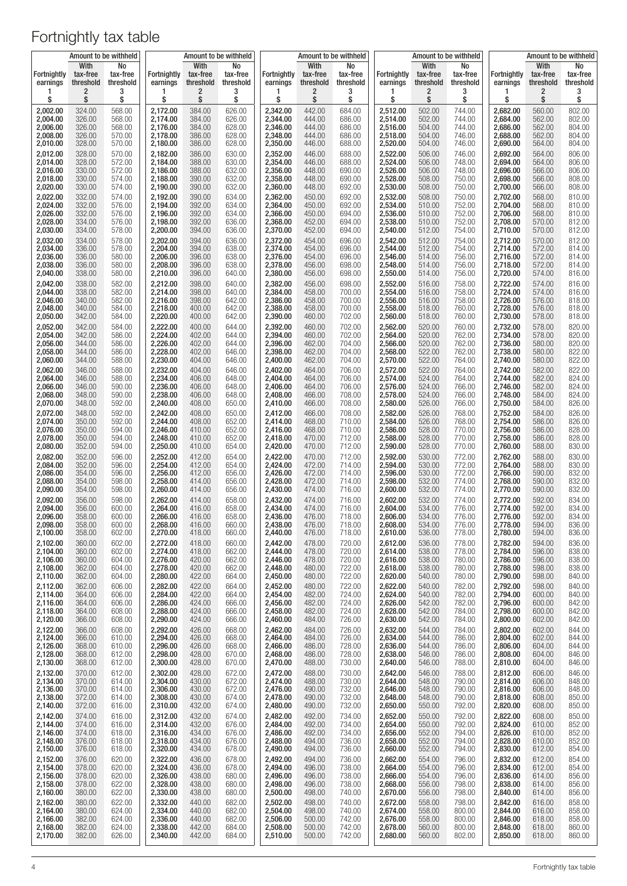|                      | Amount to be withheld |                  |                      | Amount to be withheld |                  |                      |                  | Amount to be withheld |                      |                  | Amount to be withheld |                      | Amount to be withheld |                  |
|----------------------|-----------------------|------------------|----------------------|-----------------------|------------------|----------------------|------------------|-----------------------|----------------------|------------------|-----------------------|----------------------|-----------------------|------------------|
| <b>Fortnightly</b>   | With<br>tax-free      | No<br>tax-free   | Fortnightly          | With<br>tax-free      | No<br>tax-free   | Fortnightly          | With<br>tax-free | No<br>tax-free        | <b>Fortnightly</b>   | With<br>tax-free | No<br>tax-free        | Fortnightly          | With<br>tax-free      | No<br>tax-free   |
| earnings             | threshold             | threshold        | earnings             | threshold             | threshold        | earnings             | threshold        | threshold             | earnings             | threshold        | threshold             | earnings             | threshold             | threshold        |
| 1                    | 2                     | 3                | 1                    | 2                     | 3                | 1                    | 2                | 3                     | 1                    | 2                | 3                     | 1                    | 2                     | 3                |
| \$                   | \$                    | \$               | \$                   | \$                    | \$               | \$                   | \$               | \$                    | \$                   | \$               | \$                    | \$                   | \$                    | \$               |
| 2,002.00             | 324.00                | 568.00           | 2,172.00             | 384.00                | 626.00           | 2,342.00             | 442.00           | 684.00                | 2,512.00             | 502.00           | 744.00                | 2,682.00             | 560.00                | 802.00           |
| 2,004.00             | 326.00                | 568.00           | 2,174.00             | 384.00                | 626.00           | 2,344.00             | 444.00           | 686.00                | 2,514.00             | 502.00           | 744.00                | 2,684.00             | 562.00                | 802.00           |
| 2,006.00             | 326.00                | 568.00           | 2,176.00             | 384.00                | 628.00           | 2,346.00             | 444.00           | 686.00                | 2,516.00             | 504.00           | 744.00                | 2,686.00             | 562.00                | 804.00           |
| 2,008.00             | 326.00                | 570.00           | 2,178.00             | 386.00                | 628.00           | 2,348.00             | 444.00           | 686.00                | 2,518.00             | 504.00           | 746.00                | 2,688.00             | 562.00                | 804.00           |
| 2,010.00             | 328.00                | 570.00           | 2,180.00             | 386.00                | 628.00           | 2,350.00             | 446.00           | 688.00                | 2,520.00             | 504.00           | 746.00                | 2,690.00             | 564.00                | 804.00           |
| 2,012.00             | 328.00                | 570.00           | 2,182.00             | 386.00                | 630.00           | 2,352.00             | 446.00           | 688.00                | 2,522.00             | 506.00           | 746.00                | 2,692.00             | 564.00                | 806.00           |
| 2,014.00             | 328.00                | 572.00           | 2,184.00             | 388.00                | 630.00           | 2,354.00             | 446.00           | 688.00                | 2,524.00             | 506.00           | 748.00                | 2,694.00             | 564.00                | 806.00           |
| 2,016.00             | 330.00                | 572.00           | 2,186.00             | 388.00                | 632.00           | 2,356.00             | 448.00           | 690.00                | 2,526.00             | 506.00           | 748.00                | 2,696.00             | 566.00                | 806.00           |
| 2,018.00             | 330.00                | 574.00           | 2,188.00             | 390.00                | 632.00           | 2,358.00             | 448.00           | 690.00                | 2,528.00             | 508.00           | 750.00                | 2,698.00             | 566.00                | 808.00           |
| 2,020.00             | 330.00                | 574.00           | 2,190.00             | 390.00                | 632.00           | 2,360.00             | 448.00           | 692.00                | 2,530.00             | 508.00           | 750.00                | 2,700.00             | 566.00                | 808.00           |
| 2,022.00             | 332.00                | 574.00           | 2.192.00             | 390.00                | 634.00           | 2.362.00             | 450.00           | 692.00                | 2,532.00             | 508.00           | 750.00                | 2,702.00             | 568.00                | 810.00           |
| 2,024.00             | 332.00                | 576.00           | 2,194.00             | 392.00                | 634.00           | 2,364.00             | 450.00           | 692.00                | 2,534.00             | 510.00           | 752.00                | 2,704.00             | 568.00                | 810.00           |
| 2,026.00             | 332.00                | 576.00           | 2,196.00             | 392.00                | 634.00           | 2,366.00             | 450.00           | 694.00                | 2,536.00             | 510.00           | 752.00                | 2,706.00             | 568.00                | 810.00           |
| 2,028.00             | 334.00                | 576.00           | 2,198.00             | 392.00                | 636.00           | 2,368.00             | 452.00           | 694.00                | 2,538.00             | 510.00           | 752.00                | 2,708.00             | 570.00                | 812.00           |
| 2,030.00             | 334.00                | 578.00           | 2,200.00             | 394.00                | 636.00           | 2,370.00             | 452.00           | 694.00                | 2,540.00             | 512.00           | 754.00                | 2,710.00             | 570.00                | 812.00           |
| 2,032.00             | 334.00                | 578.00           | 2,202.00             | 394.00                | 636.00           | 2,372.00             | 454.00           | 696.00                | 2,542.00             | 512.00           | 754.00                | 2,712.00             | 570.00                | 812.00           |
| 2,034.00             | 336.00                | 578.00           | 2,204.00             | 394.00                | 638.00           | 2,374.00             | 454.00           | 696.00                | 2,544.00             | 512.00           | 754.00                | 2,714.00             | 572.00                | 814.00           |
| 2,036.00             | 336.00                | 580.00           | 2,206.00             | 396.00                | 638.00           | 2,376.00             | 454.00           | 696.00                | 2,546.00             | 514.00           | 756.00                | 2,716.00             | 572.00                | 814.00           |
| 2.038.00             | 336.00                | 580.00           | 2,208.00             | 396.00                | 638.00           | 2,378.00             | 456.00           | 698.00                | 2,548.00             | 514.00           | 756.00                | 2,718.00             | 572.00                | 814.00           |
| 2,040.00             | 338.00                | 580.00           | 2,210.00             | 396.00                | 640.00           | 2,380.00             | 456.00           | 698.00                | 2,550.00             | 514.00           | 756.00                | 2,720.00             | 574.00                | 816.00           |
| 2,042.00             | 338.00                | 582.00           | 2,212.00             | 398.00                | 640.00           | 2,382.00             | 456.00           | 698.00                | 2,552.00             | 516.00           | 758.00                | 2,722.00             | 574.00                | 816.00           |
| 2,044.00             | 338.00                | 582.00           | 2,214.00             | 398.00                | 640.00           | 2,384.00             | 458.00           | 700.00                | 2,554.00             | 516.00           | 758.00                | 2,724.00             | 574.00                | 816.00           |
| 2,046.00             | 340.00                | 582.00           | 2,216.00             | 398.00                | 642.00           | 2,386.00             | 458.00           | 700.00                | 2,556.00             | 516.00           | 758.00                | 2,726.00             | 576.00                | 818.00           |
| 2,048.00             | 340.00                | 584.00           | 2,218.00             | 400.00                | 642.00           | 2,388.00             | 458.00           | 700.00                | 2,558.00             | 518.00           | 760.00                | 2,728.00             | 576.00                | 818.00           |
| 2,050.00             | 342.00                | 584.00           | 2,220.00             | 400.00                | 642.00           | 2,390.00             | 460.00           | 702.00                | 2,560.00             | 518.00           | 760.00                | 2,730.00             | 578.00                | 818.00           |
| 2.052.00             | 342.00                | 584.00           | 2,222.00             | 400.00                | 644.00           | 2,392.00             | 460.00           | 702.00                | 2,562.00             | 520.00           | 760.00                | 2,732.00             | 578.00                | 820.00           |
| 2,054.00             | 342.00                | 586.00           | 2,224.00             | 402.00                | 644.00           | 2,394.00             | 460.00           | 702.00                | 2,564.00             | 520.00           | 762.00                | 2,734.00             | 578.00                | 820.00           |
| 2,056.00             | 344.00                | 586.00           | 2,226.00             | 402.00                | 644.00           | 2,396.00             | 462.00           | 704.00                | 2,566.00             | 520.00           | 762.00                | 2,736.00             | 580.00                | 820.00           |
| 2,058.00             | 344.00                | 586.00           | 2,228.00             | 402.00                | 646.00           | 2,398.00             | 462.00           | 704.00                | 2,568.00             | 522.00           | 762.00                | 2,738.00             | 580.00                | 822.00           |
| 2,060.00             | 344.00                | 588.00           | 2,230.00             | 404.00                | 646.00           | 2,400.00             | 462.00           | 704.00                | 2,570.00             | 522.00           | 764.00                | 2,740.00             | 580.00                | 822.00           |
| 2,062.00             | 346.00                | 588.00           | 2,232.00             | 404.00                | 646.00           | 2,402.00             | 464.00           | 706.00                | 2,572.00             | 522.00           | 764.00                | 2,742.00             | 582.00                | 822.00           |
| 2,064.00             | 346.00                | 588.00           | 2,234.00             | 406.00                | 648.00           | 2,404.00             | 464.00           | 706.00                | 2,574.00             | 524.00           | 764.00                | 2,744.00             | 582.00                | 824.00           |
| 2,066.00             | 346.00                | 590.00           | 2,236.00             | 406.00                | 648.00           | 2,406.00             | 464.00           | 706.00                | 2,576.00             | 524.00           | 766.00                | 2,746.00             | 582.00                | 824.00           |
| 2,068.00             | 348.00                | 590.00           | 2,238.00             | 406.00                | 648.00           | 2,408.00             | 466.00           | 708.00                | 2,578.00             | 524.00           | 766.00                | 2,748.00             | 584.00                | 824.00           |
| 2,070.00             | 348.00                | 592.00           | 2,240.00             | 408.00                | 650.00           | 2,410.00             | 466.00           | 708.00                | 2,580.00             | 526.00           | 766.00                | 2,750.00             | 584.00                | 826.00           |
| 2,072.00             | 348.00                | 592.00           | 2,242.00             | 408.00                | 650.00           | 2,412.00             | 466.00           | 708.00                | 2,582.00             | 526.00           | 768.00                | 2,752.00             | 584.00                | 826.00           |
| 2,074.00             | 350.00                | 592.00           | 2,244.00             | 408.00                | 652.00           | 2,414.00             | 468.00           | 710.00                | 2,584.00             | 526.00           | 768.00                | 2,754.00             | 586.00                | 826.00           |
| 2,076.00             | 350.00                | 594.00           | 2,246.00             | 410.00                | 652.00           | 2,416.00             | 468.00           | 710.00                | 2,586.00             | 528.00           | 770.00                | 2,756.00             | 586.00                | 828.00           |
| 2,078.00             | 350.00                | 594.00           | 2,248.00             | 410.00                | 652.00           | 2,418.00             | 470.00           | 712.00                | 2,588.00             | 528.00           | 770.00                | 2,758.00             | 586.00                | 828.00           |
| 2,080.00             | 352.00                | 594.00           | 2,250.00             | 410.00                | 654.00           | 2,420.00             | 470.00           | 712.00                | 2,590.00             | 528.00           | 770.00                | 2,760.00             | 588.00                | 830.00           |
| 2,082.00             | 352.00                | 596.00           | 2,252.00             | 412.00                | 654.00           | 2,422.00             | 470.00           | 712.00                | 2,592.00             | 530.00           | 772.00                | 2,762.00             | 588.00                | 830.00           |
| 2,084.00             | 352.00                | 596.00           | 2,254.00             | 412.00                | 654.00           | 2,424.00             | 472.00           | 714.00                | 2,594.00             | 530.00           | 772.00                | 2,764.00             | 588.00                | 830.00           |
| 2,086.00             | 354.00                | 596.00           | 2,256.00             | 412.00                | 656.00           | 2,426.00             | 472.00           | 714.00                | 2,596.00             | 530.00           | 772.00                | 2,766.00             | 590.00                | 832.00           |
| 2,088.00             | 354.00                | 598.00           | 2,258.00             | 414.00                | 656.00           | 2,428.00             | 472.00           | 714.00                | 2,598.00             | 532.00           | 774.00                | 2,768.00             | 590.00                | 832.00           |
| 2,090.00             | 354.00                | 598.00           | 2,260.00             | 414.00                | 656.00           | 2,430.00             | 474.00           | 716.00                | 2,600.00             | 532.00           | 774.00                | 2,770.00             | 590.00                | 832.00           |
| 2,092.00             | 356.00                | 598.00           | 2,262.00             | 414.00                | 658.00           | 2,432.00             | 474.00           | 716.00                | 2,602.00             | 532.00           | 774.00                | 2,772.00             | 592.00                | 834.00           |
| 2,094.00             | 356.00                | 600.00           | 2,264.00             | 416.00                | 658.00           | 2,434.00             | 474.00           | 716.00                | 2,604.00             | 534.00           | 776.00                | 2,774.00             | 592.00                | 834.00           |
| 2,096.00             | 358.00                | 600.00           | 2,266.00             | 416.00                | 658.00           | 2,436.00             | 476.00           | 718.00                | 2,606.00             | 534.00           | 776.00                | 2,776.00             | 592.00                | 834.00           |
| 2,098.00             | 358.00                | 600.00           | 2,268.00             | 416.00                | 660.00           | 2,438.00             | 476.00           | 718.00                | 2,608.00             | 534.00           | 776.00                | 2,778.00             | 594.00                | 836.00           |
| 2,100.00             | 358.00                | 602.00           | 2,270.00             | 418.00                | 660.00           | 2,440.00             | 476.00           | 718.00                | 2,610.00             | 536.00           | 778.00                | 2,780.00             | 594.00                | 836.00           |
| 2,102.00             | 360.00                | 602.00           | 2,272.00             | 418.00                | 660.00           | 2,442.00             | 478.00           | 720.00                | 2,612.00             | 536.00           | 778.00                | 2,782.00             | 594.00                | 836.00           |
| 2,104.00             | 360.00                | 602.00           | 2,274.00             | 418.00                | 662.00           | 2,444.00             | 478.00           | 720.00                | 2,614.00             | 538.00           | 778.00                | 2,784.00<br>2,786.00 | 596.00                | 838.00           |
| 2,106.00             | 360.00                | 604.00           | 2,276.00             | 420.00                | 662.00           | 2,446.00             | 478.00           | 720.00                | 2,616.00             | 538.00           | 780.00                | 2,788.00             | 596.00                | 838.00           |
| 2,108.00             | 362.00                | 604.00           | 2,278.00             | 420.00                | 662.00           | 2,448.00             | 480.00           | 722.00                | 2,618.00             | 538.00           | 780.00                |                      | 598.00                | 838.00           |
| 2,110.00             | 362.00                | 604.00           | 2,280.00             | 422.00                | 664.00           | 2,450.00             | 480.00           | 722.00                | 2,620.00             | 540.00           | 780.00                | 2,790.00             | 598.00                | 840.00           |
| 2,112.00             | 362.00                | 606.00           | 2,282.00             | 422.00                | 664.00           | 2,452.00             | 480.00           | 722.00                | 2,622.00             | 540.00           | 782.00                | 2,792.00             | 598.00                | 840.00           |
| 2,114.00             | 364.00                | 606.00           | 2,284.00             | 422.00                | 664.00           | 2,454.00             | 482.00           | 724.00                | 2,624.00             | 540.00           | 782.00                | 2,794.00             | 600.00                | 840.00           |
| 2,116.00             | 364.00                | 606.00           | 2,286.00             | 424.00                | 666.00           | 2,456.00             | 482.00           | 724.00                | 2,626.00             | 542.00           | 782.00                | 2,796.00             | 600.00                | 842.00           |
| 2,118.00             | 364.00                | 608.00           | 2,288.00             | 424.00                | 666.00           | 2,458.00             | 482.00           | 724.00                | 2,628.00             | 542.00           | 784.00                | 2,798.00             | 600.00                | 842.00           |
| 2,120.00             | 366.00                | 608.00           | 2,290.00             | 424.00                | 666.00           | 2,460.00             | 484.00           | 726.00                | 2,630.00             | 542.00           | 784.00                | 2,800.00             | 602.00                | 842.00           |
| 2,122.00             | 366.00                | 608.00           | 2,292.00             | 426.00                | 668.00           | 2,462.00             | 484.00           | 726.00                | 2,632.00             | 544.00           | 784.00                | 2,802.00             | 602.00                | 844.00           |
| 2,124.00             | 366.00                | 610.00           | 2,294.00             | 426.00                | 668.00           | 2,464.00             | 484.00           | 726.00                | 2,634.00             | 544.00           | 786.00                | 2,804.00             | 602.00                | 844.00           |
| 2,126.00             | 368.00                | 610.00           | 2,296.00             | 426.00                | 668.00           | 2,466.00             | 486.00           | 728.00                | 2,636.00             | 544.00           | 786.00                | 2,806.00             | 604.00                | 844.00           |
| 2,128.00             | 368.00                | 612.00           | 2,298.00             | 428.00                | 670.00           | 2,468.00             | 486.00           | 728.00                | 2,638.00             | 546.00           | 786.00                | 2,808.00             | 604.00                | 846.00           |
| 2,130.00             | 368.00                | 612.00           | 2,300.00             | 428.00                | 670.00           | 2,470.00             | 488.00           | 730.00                | 2,640.00             | 546.00           | 788.00                | 2,810.00             | 604.00                | 846.00           |
| 2,132.00             | 370.00                | 612.00           | 2,302.00             | 428.00                | 672.00           | 2,472.00             | 488.00           | 730.00                | 2,642.00             | 546.00           | 788.00                | 2,812.00             | 606.00                | 846.00           |
| 2,134.00             | 370.00                | 614.00           | 2,304.00             | 430.00                | 672.00           | 2,474.00             | 488.00           | 730.00                | 2,644.00             | 548.00           | 790.00                | 2,814.00             | 606.00                | 848.00           |
| 2,136.00             | 370.00                | 614.00           | 2,306.00             | 430.00                | 672.00           | 2,476.00             | 490.00           | 732.00                | 2,646.00             | 548.00           | 790.00                | 2,816.00             | 606.00                | 848.00           |
| 2,138.00             | 372.00                | 614.00           | 2,308.00             | 430.00                | 674.00           | 2,478.00             | 490.00           | 732.00                | 2,648.00             | 548.00           | 790.00                | 2,818.00             | 608.00                | 850.00           |
| 2,140.00             | 372.00                | 616.00           | 2,310.00             | 432.00                | 674.00           | 2,480.00             | 490.00           | 732.00                | 2,650.00             | 550.00           | 792.00                | 2,820.00             | 608.00                | 850.00           |
| 2,142.00             | 374.00                | 616.00           | 2,312.00             | 432.00                | 674.00           | 2,482.00             | 492.00           | 734.00                | 2,652.00             | 550.00           | 792.00                | 2,822.00             | 608.00                | 850.00           |
| 2,144.00             | 374.00                | 616.00           | 2,314.00             | 432.00                | 676.00           | 2,484.00             | 492.00           | 734.00                | 2,654.00             | 550.00           | 792.00                | 2,824.00             | 610.00                | 852.00           |
| 2,146.00             | 374.00                | 618.00           | 2,316.00             | 434.00                | 676.00           | 2,486.00             | 492.00           | 734.00                | 2,656.00             | 552.00           | 794.00                | 2,826.00             | 610.00                | 852.00           |
| 2,148.00             | 376.00                | 618.00           | 2,318.00             | 434.00                | 676.00           | 2,488.00             | 494.00           | 736.00                | 2,658.00             | 552.00           | 794.00                | 2,828.00             | 610.00                | 852.00           |
| 2,150.00             | 376.00                | 618.00           | 2,320.00             | 434.00                | 678.00           | 2,490.00             | 494.00           | 736.00                | 2,660.00             | 552.00           | 794.00                | 2,830.00             | 612.00                | 854.00           |
| 2,152.00             | 376.00                | 620.00           | 2,322.00             | 436.00                | 678.00           | 2,492.00             | 494.00           | 736.00                | 2,662.00             | 554.00           | 796.00                | 2,832.00             | 612.00                | 854.00           |
| 2,154.00             | 378.00                | 620.00           | 2,324.00             | 436.00                | 678.00           | 2,494.00             | 496.00           | 738.00                | 2,664.00             | 554.00           | 796.00                | 2,834.00             | 612.00                | 854.00           |
| 2,156.00             | 378.00                | 620.00           | 2,326.00             | 438.00                | 680.00           | 2,496.00             | 496.00           | 738.00                | 2,666.00             | 554.00           | 796.00                | 2,836.00             | 614.00                | 856.00           |
| 2,158.00             | 378.00                | 622.00           | 2,328.00             | 438.00                | 680.00           | 2,498.00             | 496.00           | 738.00                | 2,668.00             | 556.00           | 798.00                | 2,838.00             | 614.00                | 856.00           |
| 2,160.00             | 380.00                | 622.00           | 2,330.00             | 438.00                | 680.00           | 2,500.00             | 498.00           | 740.00                | 2,670.00             | 556.00           | 798.00                | 2,840.00             | 614.00                | 856.00           |
| 2,162.00             | 380.00                | 622.00           | 2,332.00<br>2,334.00 | 440.00                | 682.00           | 2,502.00             | 498.00           | 740.00                | 2,672.00             | 558.00           | 798.00                | 2,842.00<br>2,844.00 | 616.00                | 858.00           |
| 2,164.00<br>2,166.00 | 380.00<br>382.00      | 624.00<br>624.00 | 2,336.00             | 440.00<br>440.00      | 682.00<br>682.00 | 2,504.00<br>2,506.00 | 498.00<br>500.00 | 740.00<br>742.00      | 2,674.00<br>2,676.00 | 558.00<br>558.00 | 800.00<br>800.00      | 2,846.00             | 616.00<br>618.00      | 858.00<br>858.00 |
| 2,168.00             | 382.00                | 624.00           | 2,338.00             | 442.00                | 684.00           | 2,508.00             | 500.00           | 742.00                | 2,678.00             | 560.00           | 800.00                | 2,848.00             | 618.00                | 860.00           |
| 2,170.00             | 382.00                | 626.00           | 2,340.00             | 442.00                | 684.00           | 2,510.00             | 500.00           | 742.00                | 2,680.00             | 560.00           | 802.00                | 2,850.00             | 618.00                | 860.00           |
|                      |                       |                  |                      |                       |                  |                      |                  |                       |                      |                  |                       |                      |                       |                  |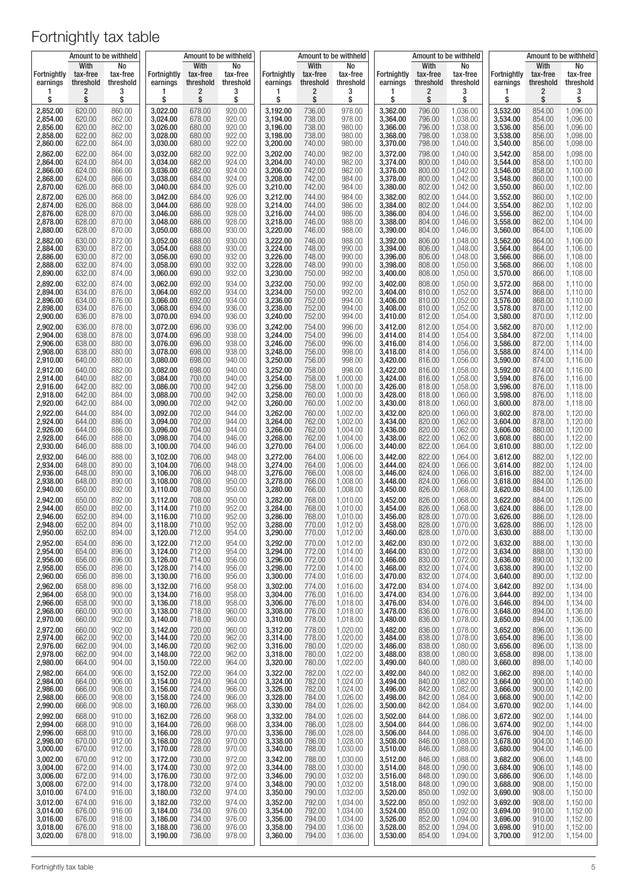|                                |                               | Amount to be withheld       |                         |                               | Amount to be withheld       |                         |                               | Amount to be withheld       |                                |                               | Amount to be withheld       |                         |                               | Amount to be withheld       |
|--------------------------------|-------------------------------|-----------------------------|-------------------------|-------------------------------|-----------------------------|-------------------------|-------------------------------|-----------------------------|--------------------------------|-------------------------------|-----------------------------|-------------------------|-------------------------------|-----------------------------|
| <b>Fortnightly</b><br>earnings | With<br>tax-free<br>threshold | No<br>tax-free<br>threshold | Fortnightly<br>earnings | With<br>tax-free<br>threshold | No<br>tax-free<br>threshold | Fortnightly<br>earnings | With<br>tax-free<br>threshold | No<br>tax-free<br>threshold | <b>Fortnightly</b><br>earnings | With<br>tax-free<br>threshold | No<br>tax-free<br>threshold | Fortnightly<br>earnings | With<br>tax-free<br>threshold | No<br>tax-free<br>threshold |
| 1                              | $\overline{\mathbf{c}}$       | 3                           | 1                       | 2                             | 3                           | 1                       | 2                             | 3                           | 1                              | 2                             | 3                           | 1                       | $\overline{\mathbf{c}}$       | 3                           |
| \$                             | \$                            | \$                          | \$                      | \$                            | \$                          | \$                      | \$                            | \$                          | \$                             | \$                            | \$                          | \$                      | \$                            | \$                          |
| 2,852.00                       | 620.00                        | 860.00                      | 3,022.00                | 678.00                        | 920.00                      | 3,192.00                | 736.00                        | 978.00                      | 3,362.00                       | 796.00                        | 1,036.00                    | 3,532.00                | 854.00                        | 1,096.00                    |
| 2,854.00                       | 620.00                        | 862.00                      | 3,024.00                | 678.00                        | 920.00                      | 3.194.00                | 738.00                        | 978.00                      | 3,364.00                       | 796.00                        | 1,038.00                    | 3,534.00                | 854.00                        | 1,096.00                    |
| 2,856.00                       | 620.00                        | 862.00                      | 3,026.00                | 680.00                        | 920.00                      | 3,196.00                | 738.00                        | 980.00                      | 3,366.00                       | 796.00                        | 1,038.00                    | 3,536.00                | 856.00                        | 1,096.00                    |
| 2,858.00                       | 622.00                        | 862.00                      | 3,028.00                | 680.00                        | 922.00                      | 3,198.00                | 738.00                        | 980.00                      | 3,368.00                       | 798.00                        | 1,038.00                    | 3,538.00                | 856.00                        | 1,098.00                    |
| 2,860.00                       | 622.00                        | 864.00                      | 3,030.00                | 680.00                        | 922.00                      | 3,200.00                | 740.00                        | 980.00                      | 3,370.00                       | 798.00                        | 1,040.00                    | 3,540.00                | 856.00                        | 1,098.00                    |
| 2,862.00                       | 622.00                        | 864.00                      | 3,032.00                | 682.00                        | 922.00                      | 3,202.00                | 740.00                        | 982.00                      | 3,372.00                       | 798.00                        | 1,040.00                    | 3,542.00                | 858.00                        | 1,098.00                    |
| 2,864.00                       | 624.00                        | 864.00                      | 3,034.00                | 682.00                        | 924.00                      | 3,204.00                | 740.00                        | 982.00                      | 3,374.00                       | 800.00                        | 1,040.00                    | 3,544.00                | 858.00                        | 1,100.00                    |
| 2,866.00                       | 624.00                        | 866.00                      | 3,036.00                | 682.00                        | 924.00                      | 3,206.00                | 742.00                        | 982.00                      | 3,376.00                       | 800.00                        | 1,042.00                    | 3,546.00                | 858.00                        | 1,100.00                    |
| 2,868.00                       | 624.00                        | 866.00                      | 3,038.00                | 684.00                        | 924.00                      | 3,208.00                | 742.00                        | 984.00                      | 3,378.00                       | 800.00                        | 1,042.00                    | 3,548.00                | 860.00                        | 1,100.00                    |
| 2,870.00                       | 626.00                        | 868.00                      | 3,040.00                | 684.00                        | 926.00                      | 3,210.00                | 742.00                        | 984.00                      | 3,380.00                       | 802.00                        | 1,042.00                    | 3,550.00                | 860.00                        | 1,102.00                    |
| 2,872.00                       | 626.00                        | 868.00                      | 3,042.00                | 684.00                        | 926.00                      | 3,212.00                | 744.00                        | 984.00                      | 3,382.00                       | 802.00                        | 1.044.00                    | 3,552.00                | 860.00                        | 1,102.00                    |
| 2,874.00                       | 626.00                        | 868.00                      | 3,044.00                | 686.00                        | 928.00                      | 3,214.00                | 744.00                        | 986.00                      | 3,384.00                       | 802.00                        | 1,044.00                    | 3,554.00                | 862.00                        | 1,102.00                    |
| 2,876.00                       | 628.00                        | 870.00                      | 3,046.00                | 686.00                        | 928.00                      | 3,216.00                | 744.00                        | 986.00                      | 3,386.00                       | 804.00                        | 1,046.00                    | 3,556.00                | 862.00                        | 1,104.00                    |
| 2,878.00                       | 628.00                        | 870.00                      | 3,048.00                | 686.00                        | 928.00                      | 3,218.00                | 746.00                        | 988.00                      | 3,388.00                       | 804.00                        | 1,046.00                    | 3,558.00                | 862.00                        | 1,104.00                    |
| 2,880.00                       | 628.00                        | 870.00                      | 3,050.00                | 688.00                        | 930.00                      | 3,220.00                | 746.00                        | 988.00                      | 3,390.00                       | 804.00                        | 1,046.00                    | 3,560.00                | 864.00                        | 1,106.00                    |
| 2,882.00                       | 630.00                        | 872.00                      | 3,052.00                | 688.00                        | 930.00                      | 3,222.00                | 746.00                        | 988.00                      | 3,392.00                       | 806.00                        | 1,048.00                    | 3,562.00                | 864.00                        | 1,106.00                    |
| 2,884.00                       | 630.00                        | 872.00                      | 3,054.00                | 688.00                        | 930.00                      | 3,224.00                | 748.00                        | 990.00                      | 3,394.00                       | 806.00                        | 1,048.00                    | 3,564.00                | 864.00                        | 1,106.00                    |
| 2,886.00                       | 630.00                        | 872.00                      | 3,056.00                | 690.00                        | 932.00                      | 3,226.00                | 748.00                        | 990.00                      | 3,396.00                       | 806.00                        | 1,048.00                    | 3,566.00                | 866.00                        | 1,108.00                    |
| 2,888.00                       | 632.00                        | 874.00                      | 3,058.00                | 690.00                        | 932.00                      | 3,228.00                | 748.00                        | 990.00                      | 3,398.00                       | 808.00                        | 1,050.00                    | 3,568.00                | 866.00                        | 1,108.00                    |
| 2,890.00                       | 632.00                        | 874.00                      | 3,060.00                | 690.00                        | 932.00                      | 3,230.00                | 750.00                        | 992.00                      | 3,400.00                       | 808.00                        | 1,050.00                    | 3,570.00                | 866.00                        | 1,108.00                    |
| 2,892.00                       | 632.00                        | 874.00                      | 3,062.00                | 692.00                        | 934.00                      | 3,232.00                | 750.00                        | 992.00                      | 3,402.00                       | 808.00                        | 1,050.00                    | 3,572.00                | 868.00                        | 1,110.00                    |
| 2.894.00                       | 634.00                        | 876.00                      | 3,064.00                | 692.00                        | 934.00                      | 3,234.00                | 750.00                        | 992.00                      | 3,404.00                       | 810.00                        | 1,052.00                    | 3,574.00                | 868.00                        | 1,110.00                    |
| 2,896.00                       | 634.00                        | 876.00                      | 3,066.00                | 692.00                        | 934.00                      | 3,236.00                | 752.00                        | 994.00                      | 3,406.00                       | 810.00                        | 1,052.00                    | 3,576.00                | 868.00                        | 1,110.00                    |
| 2,898.00                       | 634.00                        | 876.00                      | 3,068.00                | 694.00                        | 936.00                      | 3.238.00                | 752.00                        | 994.00                      | 3,408.00                       | 810.00                        | 1,052.00                    | 3,578.00                | 870.00                        | 1,112.00                    |
| 2,900.00                       | 636.00                        | 878.00                      | 3,070.00                | 694.00                        | 936.00                      | 3,240.00                | 752.00                        | 994.00                      | 3,410.00                       | 812.00                        | 1,054.00                    | 3,580.00                | 870.00                        | 1,112.00                    |
| 2.902.00                       | 636.00                        | 878.00                      | 3,072.00                | 696.00                        | 936.00                      | 3,242.00                | 754.00                        | 996.00                      | 3,412.00                       | 812.00                        | 1,054.00                    | 3,582.00                | 870.00                        | 1,112.00                    |
| 2,904.00                       | 638.00                        | 878.00                      | 3,074.00                | 696.00                        | 938.00                      | 3,244.00                | 754.00                        | 996.00                      | 3,414.00                       | 814.00                        | 1,054.00                    | 3,584.00                | 872.00                        | 1,114.00                    |
| 2.906.00                       | 638.00                        | 880.00                      | 3,076.00                | 696.00                        | 938.00                      | 3,246.00                | 756.00                        | 996.00                      | 3,416.00                       | 814.00                        | 1,056.00                    | 3,586.00                | 872.00                        | 1,114.00                    |
| 2,908.00                       | 638.00                        | 880.00                      | 3,078.00                | 698.00                        | 938.00                      | 3,248.00                | 756.00                        | 998.00                      | 3,418.00                       | 814.00                        | 1,056.00                    | 3,588.00                | 874.00                        | 1,114.00                    |
| 2,910.00                       | 640.00                        | 880.00                      | 3,080.00                | 698.00                        | 940.00                      | 3,250.00                | 756.00                        | 998.00                      | 3,420.00                       | 816.00                        | 1,056.00                    | 3,590.00                | 874.00                        | 1,116.00                    |
| 2,912.00                       | 640.00                        | 882.00                      | 3,082.00                | 698.00                        | 940.00                      | 3,252.00                | 758.00                        | 998.00                      | 3,422.00                       | 816.00                        | 1,058.00                    | 3,592.00                | 874.00                        | 1,116.00                    |
| 2,914.00                       | 640.00                        | 882.00                      | 3,084.00                | 700.00                        | 940.00                      | 3,254.00                | 758.00                        | 1,000.00                    | 3,424.00                       | 816.00                        | 1,058.00                    | 3,594.00                | 876.00                        | 1,116.00                    |
| 2,916.00                       | 642.00                        | 882.00                      | 3,086.00                | 700.00                        | 942.00                      | 3,256.00                | 758.00                        | 1,000.00                    | 3,426.00                       | 818.00                        | 1,058.00                    | 3,596.00                | 876.00                        | 1,118.00                    |
| 2,918.00                       | 642.00                        | 884.00                      | 3,088.00                | 700.00                        | 942.00                      | 3,258.00                | 760.00                        | 1,000.00                    | 3,428.00                       | 818.00                        | 1,060.00                    | 3,598.00                | 876.00                        | 1,118.00                    |
| 2,920.00                       | 642.00                        | 884.00                      | 3,090.00                | 702.00                        | 942.00                      | 3,260.00                | 760.00                        | 1,002.00                    | 3,430.00                       | 818.00                        | 1,060.00                    | 3,600.00                | 878.00                        | 1,118.00                    |
| 2,922.00                       | 644.00                        | 884.00                      | 3,092.00                | 702.00                        | 944.00                      | 3,262.00                | 760.00                        | 1,002.00                    | 3,432.00                       | 820.00                        | 1,060.00                    | 3,602.00                | 878.00                        | 1,120.00                    |
| 2,924.00                       | 644.00                        | 886.00                      | 3,094.00                | 702.00                        | 944.00                      | 3,264.00                | 762.00                        | 1,002.00                    | 3,434.00                       | 820.00                        | 1,062.00                    | 3,604.00                | 878.00                        | 1,120.00                    |
| 2,926.00                       | 644.00                        | 886.00                      | 3,096.00                | 704.00                        | 944.00                      | 3,266.00                | 762.00                        | 1,004.00                    | 3,436.00                       | 820.00                        | 1,062.00                    | 3,606.00                | 880.00                        | 1,120.00                    |
| 2,928.00                       | 646.00                        | 888.00                      | 3,098.00                | 704.00                        | 946.00                      | 3,268.00                | 762.00                        | 1,004.00                    | 3,438.00                       | 822.00                        | 1,062.00                    | 3,608.00                | 880.00                        | 1,122.00                    |
| 2,930.00                       | 646.00                        | 888.00                      | 3,100.00                | 704.00                        | 946.00                      | 3,270.00                | 764.00                        | 1,006.00                    | 3,440.00                       | 822.00                        | 1,064.00                    | 3,610.00                | 880.00                        | 1,122.00                    |
| 2,932.00                       | 646.00                        | 888.00                      | 3,102.00                | 706.00                        | 948.00                      | 3,272.00                | 764.00                        | 1,006.00                    | 3,442.00                       | 822.00                        | 1,064.00                    | 3,612.00                | 882.00                        | 1,122.00                    |
| 2,934.00                       | 648.00                        | 890.00                      | 3,104.00                | 706.00                        | 948.00                      | 3,274.00                | 764.00                        | 1,006.00                    | 3,444.00                       | 824.00                        | 1,066.00                    | 3,614.00                | 882.00                        | 1,124.00                    |
| 2,936.00                       | 648.00                        | 890.00                      | 3,106.00                | 706.00                        | 948.00                      | 3,276.00                | 766.00                        | 1,008.00                    | 3,446.00                       | 824.00                        | 1,066.00                    | 3,616.00                | 882.00                        | 1,124.00                    |
| 2,938.00                       | 648.00                        | 890.00                      | 3,108.00                | 708.00                        | 950.00                      | 3,278.00                | 766.00                        | 1,008.00                    | 3,448.00                       | 824.00                        | 1,066.00                    | 3,618.00                | 884.00                        | 1,126.00                    |
| 2,940.00                       | 650.00                        | 892.00                      | 3,110.00                | 708.00                        | 950.00                      | 3,280.00                | 766.00                        | 1,008.00                    | 3,450.00                       | 826.00                        | 1,068.00                    | 3,620.00                | 884.00                        | 1,126.00                    |
| 2,942.00                       | 650.00                        | 892.00                      | 3,112.00                | 708.00                        | 950.00                      | 3,282.00                | 768.00                        | 1,010.00                    | 3,452.00                       | 826.00                        | 1,068.00                    | 3,622.00                | 884.00                        | 1,126.00                    |
| 2,944.00                       | 650.00                        | 892.00                      | 3,114.00                | 710.00                        | 952.00                      | 3,284.00                | 768.00                        | 1,010.00                    | 3,454.00                       | 826.00                        | 1,068.00                    | 3,624.00                | 886.00                        | 1,128.00                    |
| 2,946.00                       | 652.00                        | 894.00                      | 3,116.00                | 710.00                        | 952.00                      | 3,286.00                | 768.00                        | 1,010.00                    | 3,456.00                       | 828.00                        | 1,070.00                    | 3,626.00                | 886.00                        | 1,128.00                    |
| 2,948.00                       | 652.00                        | 894.00                      | 3,118.00                | 710.00                        | 952.00                      | 3,288.00                | 770.00                        | 1,012.00                    | 3,458.00                       | 828.00                        | 1,070.00                    | 3,628.00                | 886.00                        | 1,128.00                    |
| 2,950.00                       | 652.00                        | 894.00                      | 3,120.00                | 712.00                        | 954.00                      | 3,290.00                | 770.00                        | 1,012.00                    | 3,460.00                       | 828.00                        | 1,070.00                    | 3,630.00                | 888.00                        | 1,130.00                    |
| 2,952.00                       | 654.00                        | 896.00                      | 3,122.00                | 712.00                        | 954.00                      | 3,292.00                | 770.00                        | 1,012.00                    | 3,462.00                       | 830.00                        | 1,072.00                    | 3,632.00                | 888.00                        | 1,130.00                    |
| 2,954.00                       | 654.00                        | 896.00                      | 3,124.00                | 712.00                        | 954.00                      | 3,294.00                | 772.00                        | 1,014.00                    | 3,464.00                       | 830.00                        | 1,072.00                    | 3,634.00                | 888.00                        | 1,130.00                    |
| 2,956.00                       | 656.00                        | 896.00                      | 3,126.00                | 714.00                        | 956.00                      | 3,296.00                | 772.00                        | 1,014.00                    | 3.466.00                       | 830.00                        | 1,072.00                    | 3,636.00                | 890.00                        | 1,132.00                    |
| 2,958.00                       | 656.00                        | 898.00                      | 3,128.00                | 714.00                        | 956.00                      | 3,298.00                | 772.00                        | 1,014.00                    | 3,468.00                       | 832.00                        | 1,074.00                    | 3,638.00                | 890.00                        | 1,132.00                    |
| 2,960.00                       | 656.00                        | 898.00                      | 3,130.00                | 716.00                        | 956.00                      | 3,300.00                | 774.00                        | 1,016.00                    | 3,470.00                       | 832.00                        | 1,074.00                    | 3,640.00                | 890.00                        | 1,132.00                    |
| 2,962.00                       | 658.00                        | 898.00                      | 3,132.00                | 716.00                        | 958.00                      | 3,302.00                | 774.00                        | 1,016.00                    | 3,472.00                       | 834.00                        | 1,074.00                    | 3.642.00                | 892.00                        | 1,134.00                    |
| 2,964.00                       | 658.00                        | 900.00                      | 3,134.00                | 716.00                        | 958.00                      | 3,304.00                | 776.00                        | 1,016.00                    | 3,474.00                       | 834.00                        | 1,076.00                    | 3,644.00                | 892.00                        | 1,134.00                    |
| 2,966.00                       | 658.00                        | 900.00                      | 3,136.00                | 718.00                        | 958.00                      | 3,306.00                | 776.00                        | 1,018.00                    | 3,476.00                       | 834.00                        | 1,076.00                    | 3,646.00                | 894.00                        | 1,134.00                    |
| 2,968.00                       | 660.00                        | 900.00                      | 3,138.00                | 718.00                        | 960.00                      | 3,308.00                | 776.00                        | 1,018.00                    | 3,478.00                       | 836.00                        | 1,076.00                    | 3,648.00                | 894.00                        | 1,136.00                    |
| 2,970.00                       | 660.00                        | 902.00                      | 3,140.00                | 718.00                        | 960.00                      | 3,310.00                | 778.00                        | 1,018.00                    | 3,480.00                       | 836.00                        | 1,078.00                    | 3,650.00                | 894.00                        | 1,136.00                    |
| 2,972.00                       | 660.00                        | 902.00                      | 3,142.00                | 720.00                        | 960.00                      | 3,312.00                | 778.00                        | 1,020.00                    | 3,482.00                       | 836.00                        | 1,078.00                    | 3,652.00                | 896.00                        | 1,136.00                    |
| 2,974.00                       | 662.00                        | 902.00                      | 3,144.00                | 720.00                        | 962.00                      | 3,314.00                | 778.00                        | 1,020.00                    | 3,484.00                       | 838.00                        | 1,078.00                    | 3,654.00                | 896.00                        | 1,138.00                    |
| 2,976.00                       | 662.00                        | 904.00                      | 3,146.00                | 720.00                        | 962.00                      | 3,316.00                | 780.00                        | 1,020.00                    | 3,486.00                       | 838.00                        | 1,080.00                    | 3,656.00                | 896.00                        | 1,138.00                    |
| 2,978.00                       | 662.00                        | 904.00                      | 3,148.00                | 722.00                        | 962.00                      | 3,318.00                | 780.00                        | 1,022.00                    | 3,488.00                       | 838.00                        | 1,080.00                    | 3,658.00                | 898.00                        | 1,138.00                    |
| 2,980.00                       | 664.00                        | 904.00                      | 3,150.00                | 722.00                        | 964.00                      | 3,320.00                | 780.00                        | 1,022.00                    | 3,490.00                       | 840.00                        | 1,080.00                    | 3,660.00                | 898.00                        | 1,140.00                    |
| 2,982.00                       | 664.00                        | 906.00                      | 3,152.00                | 722.00                        | 964.00                      | 3,322.00                | 782.00                        | 1,022.00                    | 3,492.00                       | 840.00                        | 1,082.00                    | 3,662.00                | 898.00                        | 1,140.00                    |
| 2,984.00                       | 664.00                        | 906.00                      | 3,154.00                | 724.00                        | 964.00                      | 3,324.00                | 782.00                        | 1,024.00                    | 3,494.00                       | 840.00                        | 1,082.00                    | 3,664.00                | 900.00                        | 1,140.00                    |
| 2,986.00                       | 666.00                        | 908.00                      | 3,156.00                | 724.00                        | 966.00                      | 3,326.00                | 782.00                        | 1,024.00                    | 3,496.00                       | 842.00                        | 1,082.00                    | 3,666.00                | 900.00                        | 1,142.00                    |
| 2,988.00                       | 666.00                        | 908.00                      | 3,158.00                | 724.00                        | 966.00                      | 3,328.00                | 784.00                        | 1,026.00                    | 3,498.00                       | 842.00                        | 1,084.00                    | 3,668.00                | 900.00                        | 1,142.00                    |
| 2,990.00                       | 666.00                        | 908.00                      | 3,160.00                | 726.00                        | 968.00                      | 3,330.00                | 784.00                        | 1,026.00                    | 3,500.00                       | 842.00                        | 1,084.00                    | 3,670.00                | 902.00                        | 1,144.00                    |
| 2,992.00                       | 668.00                        | 910.00                      | 3,162.00                | 726.00                        | 968.00                      | 3,332.00                | 784.00                        | 1,026.00                    | 3,502.00                       | 844.00                        | 1,086.00                    | 3,672.00                | 902.00                        | 1,144.00                    |
| 2,994.00                       | 668.00                        | 910.00                      | 3,164.00                | 726.00                        | 968.00                      | 3,334.00                | 786.00                        | 1,028.00                    | 3,504.00                       | 844.00                        | 1,086.00                    | 3,674.00                | 902.00                        | 1,144.00                    |
| 2,996.00                       | 668.00                        | 910.00                      | 3,166.00                | 728.00                        | 970.00                      | 3,336.00                | 786.00                        | 1,028.00                    | 3,506.00                       | 844.00                        | 1,086.00                    | 3,676.00                | 904.00                        | 1,146.00                    |
| 2,998.00                       | 670.00                        | 912.00                      | 3,168.00                | 728.00                        | 970.00                      | 3,338.00                | 786.00                        | 1,028.00                    | 3,508.00                       | 846.00                        | 1,088.00                    | 3,678.00                | 904.00                        | 1,146.00                    |
| 3,000.00                       | 670.00                        | 912.00                      | 3,170.00                | 728.00                        | 970.00                      | 3,340.00                | 788.00                        | 1,030.00                    | 3,510.00                       | 846.00                        | 1,088.00                    | 3,680.00                | 904.00                        | 1,146.00                    |
| 3,002.00                       | 670.00                        | 912.00                      | 3,172.00                | 730.00                        | 972.00                      | 3,342.00                | 788.00                        | 1,030.00                    | 3,512.00                       | 846.00                        | 1,088.00                    | 3,682.00                | 906.00                        | 1,148.00                    |
| 3,004.00                       | 672.00                        | 914.00                      | 3,174.00                | 730.00                        | 972.00                      | 3,344.00                | 788.00                        | 1,030.00                    | 3,514.00                       | 848.00                        | 1,090.00                    | 3,684.00                | 906.00                        | 1,148.00                    |
| 3,006.00                       | 672.00                        | 914.00                      | 3,176.00                | 730.00                        | 972.00                      | 3,346.00                | 790.00                        | 1,032.00                    | 3,516.00                       | 848.00                        | 1,090.00                    | 3,686.00                | 906.00                        | 1,148.00                    |
| 3,008.00                       | 672.00                        | 914.00                      | 3,178.00                | 732.00                        | 974.00                      | 3,348.00                | 790.00                        | 1,032.00                    | 3,518.00                       | 848.00                        | 1,090.00                    | 3,688.00                | 908.00                        | 1,150.00                    |
| 3,010.00                       | 674.00                        | 916.00                      | 3,180.00                | 732.00                        | 974.00                      | 3,350.00                | 790.00                        | 1,032.00                    | 3,520.00                       | 850.00                        | 1,092.00                    | 3,690.00                | 908.00                        | 1,150.00                    |
| 3,012.00                       | 674.00                        | 916.00                      | 3,182.00                | 732.00                        | 974.00                      | 3,352.00                | 792.00                        | 1,034.00                    | 3,522.00                       | 850.00                        | 1,092.00                    | 3,692.00                | 908.00                        | 1,150.00                    |
| 3,014.00                       | 676.00                        | 916.00                      | 3,184.00                | 734.00                        | 976.00                      | 3,354.00                | 792.00                        | 1,034.00                    | 3,524.00                       | 850.00                        | 1,092.00                    | 3,694.00                | 910.00                        | 1,152.00                    |
| 3,016.00                       | 676.00                        | 918.00                      | 3,186.00                | 734.00                        | 976.00                      | 3,356.00                | 794.00                        | 1,034.00                    | 3,526.00                       | 852.00                        | 1,094.00                    | 3,696.00                | 910.00                        | 1,152.00                    |
| 3,018.00                       | 676.00                        | 918.00                      | 3,188.00                | 736.00                        | 976.00                      | 3,358.00                | 794.00                        | 1,036.00                    | 3,528.00                       | 852.00                        | 1,094.00                    | 3,698.00                | 910.00                        | 1,152.00                    |
| 3,020.00                       | 678.00                        | 918.00                      | 3,190.00                | 736.00                        | 978.00                      | 3,360.00                | 794.00                        | 1,036.00                    | 3,530.00                       | 854.00                        | 1,094.00                    | 3,700.00                | 912.00                        | 1,154.00                    |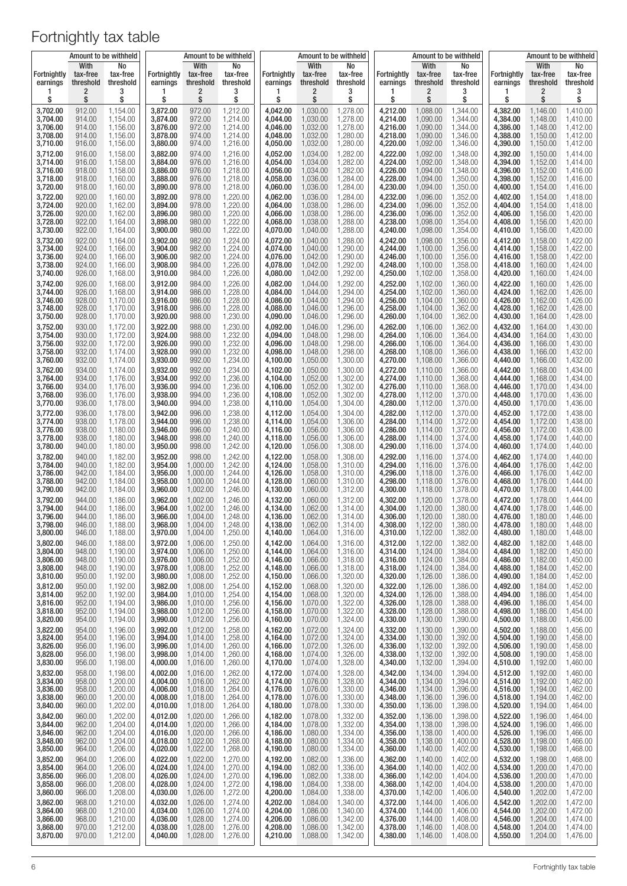|                      |                  | Amount to be withheld |                      |                      | Amount to be withheld |                      | Amount to be withheld |                      |                      |                      | Amount to be withheld |                      |                      | Amount to be withheld |
|----------------------|------------------|-----------------------|----------------------|----------------------|-----------------------|----------------------|-----------------------|----------------------|----------------------|----------------------|-----------------------|----------------------|----------------------|-----------------------|
| Fortnightly          | With<br>tax-free | No<br>tax-free        | Fortnightly          | With<br>tax-free     | No<br>tax-free        | Fortnightly          | With<br>tax-free      | No<br>tax-free       | Fortnightly          | With<br>tax-free     | No<br>tax-free        | Fortnightly          | With<br>tax-free     | No<br>tax-free        |
| earnings             | threshold        | threshold             | earnings             | threshold            | threshold             | earnings             | threshold             | threshold            | earnings             | threshold            | threshold             | earnings             | threshold            | threshold             |
| 1                    | 2                | 3                     | 1                    | 2                    | 3                     | ı                    | 2                     | 3                    | 1                    | 2                    | 3                     | ı                    | 2                    | 3                     |
| \$                   | \$               | \$                    | \$                   | \$                   | \$                    | \$                   | \$                    | \$                   | \$                   | \$                   | \$                    | \$                   | \$                   | \$                    |
| 3,702.00             | 912.00           | 1,154.00              | 3,872.00             | 972.00               | 1,212.00              | 4,042.00             | 1,030.00              | 1,278.00             | 4,212.00             | 1,088.00             | 1,344.00              | 4,382.00             | 1,146.00             | 1,410.00              |
| 3,704.00             | 914.00           | 1,154.00              | 3,874.00             | 972.00               | 1,214.00              | 4,044.00             | 1,030.00              | 1,278.00             | 4,214.00             | 1,090.00             | 1,344.00              | 4,384.00             | 1,148.00             | 1,410.00              |
| 3.706.00             | 914.00           | 1,156.00              | 3,876.00             | 972.00               | 1,214.00              | 4,046.00             | 1,032.00              | 1,278.00             | 4,216.00             | 1,090.00             | 1,344.00              | 4,386.00             | 1,148.00             | 1,412.00              |
| 3,708.00             | 914.00           | 1,156.00              | 3,878.00             | 974.00               | 1,214.00              | 4,048.00             | 1,032.00              | 1,280.00             | 4,218.00             | 1,090.00             | 1,346.00              | 4,388.00             | 1,150.00             | 1,412.00              |
| 3,710.00             | 916.00           | 1,156.00              | 3,880.00             | 974.00               | 1,216.00              | 4,050.00             | 1,032.00              | 1,280.00             | 4,220.00             | 1,092.00             | 1,346.00              | 4,390.00             | 1,150.00             | 1,412.00              |
| 3,712.00             | 916.00           | 1,158.00              | 3,882.00             | 974.00               | 1,216.00              | 4,052.00             | 1,034.00              | 1,282.00             | 4,222.00             | 1,092.00             | 1,348.00              | 4,392.00             | 1,150.00             | 1,414.00              |
| 3,714.00             | 916.00           | 1,158.00              | 3,884.00             | 976.00               | 1,216.00              | 4,054.00             | 1,034.00              | 1,282.00             | 4,224.00             | 1,092.00             | 1,348.00              | 4,394.00             | 1,152.00             | 1,414.00              |
| 3,716.00             | 918.00           | 1,158.00              | 3,886.00             | 976.00               | 1,218.00              | 4,056.00             | 1,034.00              | 1,282.00             | 4,226.00             | 1,094.00             | 1,348.00              | 4,396.00             | 1,152.00             | 1,416.00              |
| 3,718.00             | 918.00           | 1,160.00              | 3,888.00             | 976.00               | 1,218.00              | 4,058.00             | 1,036.00              | 1,284.00             | 4,228.00             | 1,094.00             | 1,350.00              | 4,398.00             | 1,152.00             | 1,416.00              |
| 3,720.00             | 918.00           | 1,160.00              | 3,890.00             | 978.00               | 1,218.00              | 4,060.00             | 1,036.00              | 1,284.00             | 4,230.00             | 1,094.00             | 1,350.00              | 4,400.00             | 1,154.00             | 1,416.00              |
| 3,722.00             | 920.00           | 1,160.00              | 3,892.00             | 978.00               | 1,220.00              | 4,062.00             | 1,036.00              | 1,284.00             | 4,232.00             | 1,096.00             | 1,352.00              | 4,402.00             | 1,154.00             | 1,418.00              |
| 3,724.00             | 920.00           | 1,162.00              | 3,894.00             | 978.00               | 1,220.00              | 4,064.00             | 1,038.00              | 1,286.00             | 4,234.00             | 1,096.00             | 1,352.00              | 4,404.00             | 1,154.00             | 1,418.00              |
| 3,726.00             | 920.00           | 1,162.00              | 3,896.00             | 980.00               | 1,220.00              | 4,066.00             | 1,038.00              | 1,286.00             | 4,236.00             | 1,096.00             | 1,352.00              | 4,406.00             | 1,156.00             | 1,420.00              |
| 3,728.00             | 922.00           | 1,164.00              | 3,898.00             | 980.00               | 1,222.00              | 4,068.00             | 1,038.00              | 1,288.00             | 4,238.00             | 1,098.00             | 1,354.00              | 4,408.00             | 1,156.00             | 1,420.00              |
| 3,730.00             | 922.00           | 1,164.00              | 3,900.00             | 980.00               | 1,222.00              | 4,070.00             | 1,040.00              | 1,288.00             | 4,240.00             | 1,098.00             | 1,354.00              | 4,410.00             | 1,156.00             | 1,420.00              |
| 3,732.00             | 922.00           | 1,164.00              | 3,902.00             | 982.00               | 1,224.00              | 4,072.00             | 1,040.00              | 1,288.00             | 4,242.00             | 1,098.00             | 1,356.00              | 4,412.00             | 1,158.00             | 1,422.00              |
| 3,734.00             | 924.00           | 1,166.00              | 3,904.00             | 982.00               | 1,224.00              | 4,074.00             | 1,040.00              | 1,290.00             | 4,244.00             | 1,100.00             | 1,356.00              | 4,414.00             | 1,158.00             | 1,422.00              |
| 3,736.00             | 924.00           | 1,166.00              | 3,906.00             | 982.00               | 1,224.00              | 4,076.00             | 1,042.00              | 1,290.00             | 4,246.00             | 1,100.00             | 1,356.00              | 4,416.00             | 1,158.00             | 1,422.00              |
| 3,738.00             | 924.00           | 1,166.00              | 3,908.00             | 984.00               | 1,226.00              | 4,078.00             | 1,042.00              | 1,292.00             | 4,248.00             | 1,100.00             | 1,358.00              | 4,418.00             | 1,160.00             | 1,424.00              |
| 3,740.00             | 926.00           | 1,168.00              | 3,910.00             | 984.00               | 1,226.00              | 4,080.00             | 1,042.00              | 1,292.00             | 4,250.00             | 1,102.00             | 1,358.00              | 4,420.00             | 1,160.00             | 1,424.00              |
| 3,742.00             | 926.00           | 1,168.00              | 3,912.00             | 984.00               | 1,226.00              | 4,082.00             | 1,044.00              | 1,292.00             | 4,252.00             | 1,102.00             | 1,360.00              | 4,422.00             | 1,160.00             | 1,426.00              |
| 3,744.00             | 926.00           | 1,168.00              | 3,914.00             | 986.00               | 1,228.00              | 4,084.00             | 1,044.00              | 1,294.00             | 4,254.00             | 1,102.00             | 1,360.00              | 4,424.00             | 1,162.00             | 1,426.00              |
| 3,746.00             | 928.00           | 1,170.00              | 3,916.00             | 986.00               | 1,228.00              | 4,086.00             | 1,044.00              | 1,294.00             | 4,256.00             | 1,104.00             | 1,360.00              | 4,426.00             | 1,162.00             | 1,426.00              |
| 3,748.00             | 928.00           | 1,170.00              | 3.918.00             | 986.00               | 1,228.00              | 4,088.00             | 1,046.00              | 1,296.00             | 4,258.00             | 1,104.00             | 1,362.00              | 4,428.00             | 1,162.00             | 1,428.00              |
| 3,750.00             | 928.00           | 1,170.00              | 3,920.00             | 988.00               | 1,230.00              | 4,090.00             | 1,046.00              | 1,296.00             | 4,260.00             | 1,104.00             | 1,362.00              | 4,430.00             | 1,164.00             | 1,428.00              |
| 3,752.00             | 930.00           | 1,172.00              | 3,922.00             | 988.00               | 1,230.00              | 4,092.00             | 1,046.00              | 1,296.00             | 4,262.00             | 1,106.00             | 1,362.00              | 4,432.00             | 1,164.00             | 1,430.00              |
| 3,754.00             | 930.00           | 1,172.00              | 3,924.00             | 988.00               | 1,232.00              | 4,094.00             | 1,048.00              | 1,298.00             | 4,264.00             | 1,106.00             | 1,364.00              | 4,434.00             | 1,164.00             | 1,430.00              |
| 3.756.00             | 932.00           | 1,172.00              | 3,926.00             | 990.00               | 1,232.00              | 4,096.00             | 1,048.00              | 1,298.00             | 4,266.00             | 1,106.00             | 1,364.00              | 4,436.00             | 1,166.00             | 1,430.00              |
| 3,758.00             | 932.00           | 1,174.00              | 3,928.00             | 990.00               | 1,232.00              | 4,098.00             | 1,048.00              | 1.298.00             | 4,268.00             | 1,108.00             | 1,366.00              | 4,438.00             | 1,166.00             | 1,432.00              |
| 3,760.00             | 932.00           | 1,174.00              | 3,930.00             | 992.00               | 1,234.00              | 4,100.00             | 1,050.00              | 1,300.00             | 4,270.00             | 1,108.00             | 1,366.00              | 4,440.00             | 1,166.00             | 1,432.00              |
| 3,762.00             | 934.00           | 1,174.00              | 3,932.00             | 992.00               | 1,234.00              | 4,102.00             | 1,050.00              | 1,300.00             | 4,272.00             | 1,110.00             | 1,366.00              | 4,442.00             | 1,168.00             | 1,434.00              |
| 3,764.00             | 934.00           | 1,176.00              | 3,934.00             | 992.00               | 1,236.00              | 4,104.00             | 1,052.00              | 1,302.00             | 4,274.00             | 1,110.00             | 1,368.00              | 4,444.00             | 1,168.00             | 1,434.00              |
| 3,766.00             | 934.00           | 1,176.00              | 3,936.00             | 994.00               | 1,236.00              | 4,106.00             | 1,052.00              | 1,302.00             | 4,276.00             | 1,110.00             | 1,368.00              | 4,446.00             | 1,170.00             | 1,434.00              |
| 3,768.00             | 936.00           | 1,176.00              | 3,938.00<br>3,940.00 | 994.00               | 1,236.00<br>1,238.00  | 4,108.00             | 1,052.00              | 1,302.00             | 4,278.00<br>4,280.00 | 1,112.00             | 1,370.00              | 4,448.00             | 1,170.00             | 1,436.00              |
| 3,770.00<br>3,772.00 | 936.00<br>936.00 | 1,178.00<br>1,178.00  | 3,942.00             | 994.00<br>996.00     | 1,238.00              | 4,110.00<br>4,112.00 | 1,054.00<br>1,054.00  | 1,304.00<br>1,304.00 | 4,282.00             | 1,112.00<br>1,112.00 | 1,370.00<br>1,370.00  | 4,450.00<br>4,452.00 | 1,170.00<br>1,172.00 | 1,436.00<br>1,438.00  |
| 3,774.00             | 938.00           | 1,178.00              | 3,944.00             | 996.00               | 1,238.00              | 4,114.00             | 1,054.00              | 1,306.00             | 4,284.00             | 1,114.00             | 1,372.00              | 4,454.00             | 1,172.00             | 1,438.00              |
| 3,776.00             | 938.00           | 1,180.00              | 3,946.00             | 996.00               | 1,240.00              | 4,116.00             | 1,056.00              | 1,306.00             | 4,286.00             | 1,114.00             | 1,372.00              | 4,456.00             | 1,172.00             | 1,438.00              |
| 3,778.00             | 938.00           | 1,180.00              | 3,948.00             | 998.00               | 1,240.00              | 4,118.00             | 1,056.00              | 1,306.00             | 4,288.00             | 1,114.00             | 1,374.00              | 4,458.00             | 1,174.00             | 1,440.00              |
| 3,780.00             | 940.00           | 1,180.00              | 3,950.00             | 998.00               | 1,242.00              | 4,120.00             | 1,056.00              | 1,308.00             | 4,290.00             | 1,116.00             | 1,374.00              | 4,460.00             | 1,174.00             | 1,440.00              |
| 3,782.00             | 940.00           | 1,182.00              | 3,952.00             | 998.00               | 1,242.00              | 4,122.00             | 1,058.00              | 1,308.00             | 4,292.00             | 1,116.00             | 1,374.00              | 4,462.00             | 1,174.00             | 1,440.00              |
| 3,784.00             | 940.00           | 1,182.00              | 3,954.00             | 1,000.00             | 1,242.00              | 4,124.00             | 1,058.00              | 1,310.00             | 4,294.00             | 1,116.00             | 1,376.00              | 4,464.00             | 1,176.00             | 1,442.00              |
| 3,786.00             | 942.00           | 1,184.00              | 3,956.00             | 1,000.00             | 1,244.00              | 4,126.00             | 1,058.00              | 1,310.00             | 4,296.00             | 1,118.00             | 1,376.00              | 4,466.00             | 1,176.00             | 1,442.00              |
| 3,788.00             | 942.00           | 1,184.00              | 3,958.00             | 1,000.00             | 1,244.00              | 4,128.00             | 1,060.00              | 1,310.00             | 4,298.00             | 1,118.00             | 1,376.00              | 4,468.00             | 1,176.00             | 1,444.00              |
| 3,790.00             | 942.00           | 1,184.00              | 3,960.00             | 1,002.00             | 1,246.00              | 4,130.00             | 1,060.00              | 1,312.00             | 4,300.00             | 1,118.00             | 1,378.00              | 4,470.00             | 1,178.00             | 1,444.00              |
| 3.792.00             | 944.00           | 1,186.00              | 3,962.00             | 1,002.00             | 1,246.00              | 4,132.00             | 1,060.00              | 1,312.00             | 4,302.00             | 1,120.00             | 1,378.00              | 4,472.00             | 1,178.00             | 1,444.00              |
| 3,794.00             | 944.00           | 1,186.00              | 3,964.00             | 1.002.00             | 1,246.00              | 4,134.00             | 1,062.00              | 1,314.00             | 4,304.00             | 1,120.00             | 1,380.00              | 4,474.00             | 1,178.00             | 1,446.00              |
| 3,796.00             | 944.00           | 1,186.00              | 3,966.00             | 1,004.00             | 1,248.00              | 4,136.00             | 1,062.00              | 1,314.00             | 4,306.00             | 1,120.00             | 1,380.00              | 4,476.00             | 1,180.00             | 1,446.00              |
|                      | 946.00           | 1,188.00              | 3,968.00             | 1,004.00             | 1,248.00              | 4,138.00             | 1,062.00              | 1,314.00             | 4,308.00             | 1,122.00             | 1,380.00              | 4,478.00             | 1,180.00             | 1,448.00              |
| 3,798.00<br>3,800.00 | 946.00           | 1,188.00              | 3,970.00             | 1,004.00             | 1,250.00              | 4,140.00             | 1,064.00              | 1,316.00             | 4,310.00             | 1,122.00             | 1,382.00              | 4,480.00             | 1,180.00             | 1,448.00              |
| 3,802.00             | 946.00           | 1,188.00              | 3,972.00             | 1,006.00             | 1,250.00              | 4,142.00             | 1,064.00              | 1,316.00             | 4,312.00             | 1,122.00             | 1,382.00              | 4,482.00             | 1,182.00             | 1,448.00              |
| 3,804.00             | 948.00           | 1,190.00              | 3,974.00             | 1,006.00             | 1,250.00              | 4,144.00             | 1,064.00              | 1,316.00             | 4,314.00             | 1,124.00             | 1,384.00              | 4,484.00             | 1,182.00             | 1,450.00              |
| 3,806.00             | 948.00           | 1,190.00              | 3,976.00             | 1,006.00             | 1,252.00              | 4,146.00             | 1,066.00              | 1,318.00             | 4,316.00             | 1,124.00             | 1,384.00              | 4,486.00             | 1,182.00             | 1,450.00              |
| 3,808.00             | 948.00           | 1,190.00              | 3,978.00             | 1,008.00             | 1,252.00              | 4,148.00             | 1,066.00              | 1,318.00             | 4,318.00             | 1,124.00             | 1,384.00              | 4,488.00             | 1,184.00             | 1,452.00              |
| 3,810.00             | 950.00           | 1,192.00              | 3,980.00             | 1,008.00             | 1,252.00              | 4,150.00             | 1,066.00              | 1,320.00             | 4,320.00             | 1,126.00             | 1,386.00              | 4,490.00             | 1,184.00             | 1,452.00              |
| 3,812.00             | 950.00           | 1,192.00              | 3,982.00             | 1.008.00             | 1,254.00              | 4,152.00             | 1,068.00              | 1,320.00             | 4,322.00             | 1,126.00             | 1,386.00              | 4,492.00             | 1,184.00             | 1,452.00              |
| 3,814.00             | 952.00           | 1,192.00              | 3,984.00             | 1,010.00             | 1,254.00              | 4,154.00             | 1,068.00              | 1,320.00             | 4,324.00             | 1,126.00             | 1,388.00              | 4,494.00             | 1,186.00             | 1,454.00              |
| 3,816.00             | 952.00           | 1,194.00              | 3,986.00             | 1,010.00             | 1,256.00              | 4,156.00             | 1,070.00              | 1,322.00             | 4,326.00             | 1,128.00             | 1,388.00              | 4,496.00             | 1,186.00             | 1,454.00              |
| 3,818.00             | 952.00           | 1,194.00              | 3,988.00             | 1,012.00             | 1,256.00              | 4,158.00             | 1,070.00              | 1,322.00             | 4,328.00             | 1,128.00             | 1,388.00              | 4,498.00             | 1,186.00             | 1,454.00              |
| 3,820.00             | 954.00           | 1,194.00              | 3,990.00             | 1,012.00             | 1,256.00              | 4,160.00             | 1,070.00              | 1,324.00             | 4,330.00             | 1,130.00             | 1,390.00              | 4,500.00             | 1,188.00             | 1,456.00              |
| 3,822.00             | 954.00           | 1,196.00              | 3,992.00             | 1,012.00             | 1,258.00              | 4,162.00             | 1,072.00              | 1,324.00             | 4,332.00             | 1,130.00             | 1,390.00              | 4,502.00             | 1,188.00             | 1,456.00              |
| 3,824.00             | 954.00           | 1,196.00              | 3,994.00             | 1,014.00             | 1,258.00              | 4,164.00             | 1,072.00              | 1,324.00             | 4,334.00             | 1,130.00             | 1,392.00              | 4,504.00             | 1,190.00             | 1,458.00              |
| 3,826.00             | 956.00           | 1,196.00              | 3,996.00             | 1,014.00             | 1,260.00              | 4,166.00             | 1,072.00              | 1,326.00             | 4,336.00             | 1,132.00             | 1,392.00              | 4,506.00             | 1,190.00             | 1,458.00              |
| 3,828.00<br>3,830.00 | 956.00           | 1,198.00<br>1,198.00  | 3.998.00<br>4,000.00 | 1,014.00             | 1,260.00              | 4,168.00<br>4,170.00 | 1,074.00<br>1,074.00  | 1,326.00<br>1,328.00 | 4,338.00<br>4,340.00 | 1,132.00<br>1,132.00 | 1,392.00              | 4,508.00             | 1,190.00<br>1,192.00 | 1,458.00<br>1,460.00  |
| 3,832.00             | 956.00<br>958.00 | 1,198.00              | 4,002.00             | 1,016.00<br>1,016.00 | 1,260.00<br>1,262.00  | 4,172.00             | 1,074.00              | 1,328.00             | 4,342.00             | 1,134.00             | 1,394.00<br>1,394.00  | 4,510.00<br>4,512.00 | 1,192.00             | 1,460.00              |
| 3,834.00             | 958.00           | 1,200.00              | 4,004.00             | 1,016.00             | 1,262.00              | 4,174.00             | 1,076.00              | 1,328.00             | 4,344.00             | 1,134.00             | 1,394.00              | 4,514.00             | 1,192.00             | 1,462.00              |
| 3,836.00             | 958.00           | 1,200.00              | 4,006.00             | 1,018.00             | 1,264.00              | 4,176.00             | 1,076.00              | 1,330.00             | 4,346.00             | 1,134.00             | 1,396.00              | 4,516.00             | 1,194.00             | 1,462.00              |
| 3,838.00             | 960.00           | 1,200.00              | 4,008.00             | 1,018.00             | 1,264.00              | 4,178.00             | 1,076.00              | 1,330.00             | 4,348.00             | 1,136.00             | 1,396.00              | 4,518.00             | 1,194.00             | 1,462.00              |
| 3,840.00             | 960.00           | 1,202.00              | 4,010.00             | 1,018.00             | 1,264.00              | 4,180.00             | 1,078.00              | 1,330.00             | 4,350.00             | 1,136.00             | 1,398.00              | 4,520.00             | 1,194.00             | 1,464.00              |
| 3,842.00             | 960.00           | 1,202.00              | 4,012.00             | 1,020.00             | 1,266.00              | 4,182.00             | 1,078.00              | 1,332.00             | 4,352.00             | 1,136.00             | 1,398.00              | 4,522.00             | 1,196.00             | 1,464.00              |
| 3,844.00             | 962.00           | 1,204.00              | 4,014.00             | 1,020.00             | 1,266.00              | 4,184.00             | 1,078.00              | 1,332.00             | 4,354.00             | 1,138.00             | 1,398.00              | 4,524.00             | 1,196.00             | 1,466.00              |
| 3,846.00             | 962.00           | 1,204.00              | 4,016.00             | 1,020.00             | 1,266.00              | 4,186.00             | 1,080.00              | 1,334.00             | 4,356.00             | 1,138.00             | 1,400.00              | 4,526.00             | 1,196.00             | 1,466.00              |
| 3,848.00             | 962.00           | 1,204.00              | 4,018.00             | 1,022.00             | 1,268.00              | 4,188.00             | 1,080.00              | 1,334.00             | 4,358.00             | 1,138.00             | 1,400.00              | 4,528.00             | 1,198.00             | 1,466.00              |
| 3,850.00             | 964.00           | 1,206.00              | 4,020.00             | 1,022.00             | 1,268.00              | 4,190.00             | 1,080.00              | 1,334.00             | 4,360.00             | 1,140.00             | 1,402.00              | 4,530.00             | 1,198.00             | 1,468.00              |
| 3,852.00             | 964.00           | 1,206.00              | 4,022.00             | 1,022.00             | 1,270.00              | 4,192.00             | 1,082.00              | 1,336.00             | 4,362.00             | 1,140.00             | 1,402.00              | 4,532.00             | 1,198.00             | 1,468.00              |
| 3,854.00             | 964.00           | 1,206.00              | 4,024.00             | 1,024.00             | 1,270.00              | 4,194.00             | 1,082.00              | 1,336.00             | 4,364.00             | 1,140.00             | 1,402.00              | 4,534.00             | 1,200.00             | 1,470.00              |
| 3,856.00             | 966.00           | 1,208.00              | 4,026.00             | 1,024.00             | 1,270.00              | 4,196.00             | 1,082.00              | 1,338.00             | 4,366.00             | 1,142.00             | 1,404.00              | 4,536.00             | 1,200.00             | 1,470.00              |
| 3,858.00             | 966.00           | 1,208.00              | 4,028.00             | 1,024.00             | 1,272.00              | 4,198.00             | 1,084.00              | 1,338.00             | 4,368.00             | 1,142.00             | 1,404.00              | 4,538.00             | 1,200.00             | 1,470.00              |
| 3,860.00             | 966.00           | 1,208.00              | 4,030.00             | 1,026.00             | 1,272.00              | 4,200.00             | 1,084.00              | 1,338.00             | 4,370.00             | 1,142.00             | 1,406.00              | 4,540.00             | 1,202.00             | 1,472.00              |
| 3,862.00             | 968.00           | 1,210.00              | 4,032.00             | 1,026.00             | 1,274.00              | 4,202.00             | 1,084.00              | 1,340.00             | 4,372.00             | 1,144.00             | 1,406.00              | 4,542.00             | 1,202.00             | 1,472.00              |
| 3,864.00             | 968.00           | 1,210.00              | 4,034.00             | 1,026.00             | 1,274.00              | 4,204.00             | 1,086.00              | 1,340.00             | 4,374.00             | 1,144.00             | 1,406.00              | 4,544.00             | 1,202.00             | 1,472.00              |
| 3,866.00             | 968.00           | 1,210.00              | 4,036.00             | 1,028.00             | 1,274.00              | 4,206.00             | 1,086.00              | 1,342.00             | 4,376.00             | 1,144.00             | 1,408.00              | 4,546.00             | 1,204.00             | 1,474.00              |
| 3,868.00             | 970.00           | 1,212.00              | 4,038.00             | 1,028.00             | 1,276.00              | 4,208.00             | 1,086.00              | 1,342.00             | 4,378.00             | 1,146.00             | 1,408.00              | 4,548.00             | 1,204.00             | 1,474.00              |
| 3,870.00             | 970.00           | 1,212.00              | 4,040.00             | 1,028.00             | 1,276.00              | 4,210.00             | 1,088.00              | 1,342.00             | 4,380.00             | 1,146.00             | 1,408.00              | 4,550.00             | 1,204.00             | 1,476.00              |
|                      |                  |                       |                      |                      |                       |                      |                       |                      |                      |                      |                       |                      |                      |                       |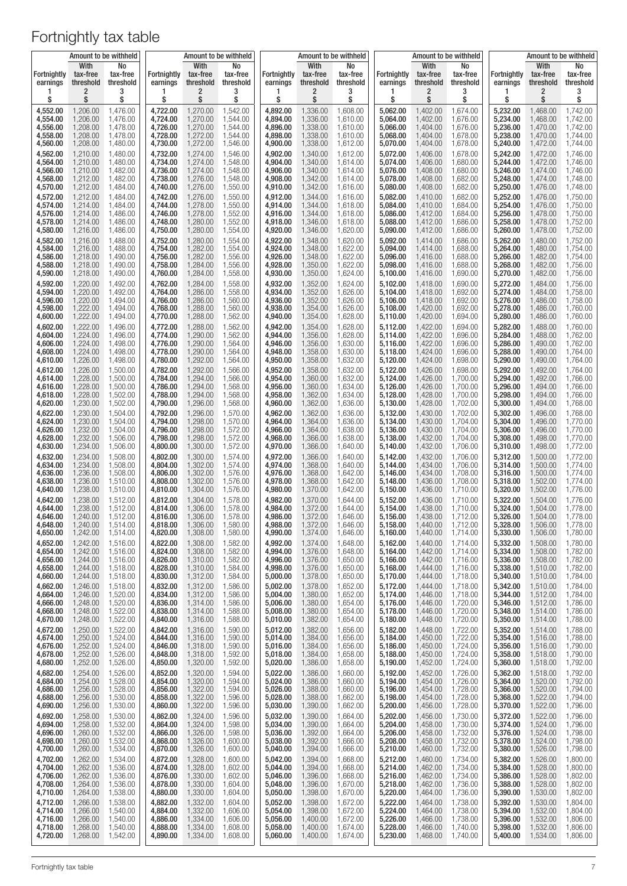|                         |                               | Amount to be withheld       |                         |                               | Amount to be withheld       |                         |                               | Amount to be withheld       |                         |                               | Amount to be withheld       |                         |                               | Amount to be withheld       |
|-------------------------|-------------------------------|-----------------------------|-------------------------|-------------------------------|-----------------------------|-------------------------|-------------------------------|-----------------------------|-------------------------|-------------------------------|-----------------------------|-------------------------|-------------------------------|-----------------------------|
| Fortnightly<br>earnings | With<br>tax-free<br>threshold | No<br>tax-free<br>threshold | Fortnightly<br>earnings | With<br>tax-free<br>threshold | No<br>tax-free<br>threshold | Fortnightly<br>earnings | With<br>tax-free<br>threshold | No<br>tax-free<br>threshold | Fortnightly<br>earnings | With<br>tax-free<br>threshold | No<br>tax-free<br>threshold | Fortnightly<br>earnings | With<br>tax-free<br>threshold | No<br>tax-free<br>threshold |
| 1                       | $\overline{\mathbf{c}}$       | 3                           | 1                       | 2                             | 3                           | 1                       | 2                             | 3                           | 1                       | 2                             | 3                           | в                       | 2                             | 3                           |
| \$                      | \$                            | \$                          | \$                      | \$                            | \$                          | \$                      | \$                            | \$                          | \$                      | \$                            | \$                          | \$                      | \$                            | \$                          |
| 4,552.00                | 1,206.00                      | 1,476.00                    | 4,722.00                | 1,270.00                      | 1,542.00                    | 4,892.00                | 1,336.00                      | 1,608.00                    | 5,062.00                | 1,402.00                      | 1,674.00                    | 5,232.00                | 1,468.00                      | 1,742.00                    |
| 4,554.00                | 1,206.00                      | 1,476.00                    | 4,724.00                | 1,270.00                      | 1,544.00                    | 4,894.00                | 1,336.00                      | 1.610.00                    | 5,064.00                | 1,402.00                      | 1,676.00                    | 5,234.00                | 1,468.00                      | 1,742.00                    |
| 4.556.00                | 1,208.00                      | 1,478.00                    | 4,726.00                | 1,270.00                      | 1,544.00                    | 4,896.00                | 1,338.00                      | 1,610.00                    | 5,066.00                | 1,404.00                      | 1,676.00                    | 5,236.00                | 1,470.00                      | 1,742.00                    |
| 4,558.00                | 1,208.00                      | 1,478.00                    | 4,728.00                | 1,272.00                      | 1,544.00                    | 4,898.00                | 1,338.00                      | 1,610.00                    | 5,068.00                | 1,404.00                      | 1,678.00                    | 5,238.00                | 1,470.00                      | 1,744.00                    |
| 4,560.00                | 1,208.00                      | 1,480.00                    | 4,730.00                | 1,272.00                      | 1,546.00                    | 4,900.00                | 1,338.00                      | 1,612.00                    | 5,070.00                | 1,404.00                      | 1,678.00                    | 5,240.00                | 1,472.00                      | 1,744.00                    |
| 4,562.00                | 1,210.00                      | 1,480.00                    | 4,732.00                | 1,274.00                      | 1,546.00                    | 4,902.00                | 1,340.00                      | 1,612.00                    | 5,072.00                | 1,406.00                      | 1,678.00                    | 5,242.00                | 1,472.00                      | 1,746.00                    |
| 4,564.00                | 1,210.00                      | 1,480.00                    | 4,734.00                | 1,274.00                      | 1,548.00                    | 4,904.00                | 1,340.00                      | 1,614.00                    | 5,074.00                | 1,406.00                      | 1,680.00                    | 5,244.00                | 1,472.00                      | 1,746.00                    |
| 4,566.00                | 1,210.00                      | 1,482.00                    | 4,736.00                | 1,274.00                      | 1,548.00                    | 4,906.00                | 1,340.00                      | 1,614.00                    | 5,076.00                | 1,408.00                      | 1,680.00                    | 5,246.00                | 1,474.00                      | 1,746.00                    |
| 4,568.00                | 1,212.00                      | 1,482.00                    | 4,738.00                | 1,276.00                      | 1,548.00                    | 4,908.00                | 1,342.00                      | 1,614.00                    | 5,078.00                | 1,408.00                      | 1,682.00                    | 5,248.00                | 1,474.00                      | 1,748.00                    |
| 4,570.00                | 1,212.00                      | 1,484.00                    | 4,740.00                | 1,276.00                      | 1,550.00                    | 4,910.00                | 1,342.00                      | 1,616.00                    | 5,080.00                | 1,408.00                      | 1,682.00                    | 5,250.00                | 1,476.00                      | 1,748.00                    |
| 4,572.00                | 1,212.00                      | 1,484.00                    | 4,742.00                | 1,276.00                      | 1,550.00                    | 4,912.00                | 1,344.00                      | 1,616.00                    | 5,082.00                | 1,410.00                      | 1,682.00                    | 5,252.00                | 1,476.00                      | 1,750.00                    |
| 4,574.00                | 1,214.00                      | 1,484.00                    | 4,744.00                | 1,278.00                      | 1,550.00                    | 4,914.00                | 1,344.00                      | 1,618.00                    | 5,084.00                | 1,410.00                      | 1,684.00                    | 5,254.00                | 1,476.00                      | 1,750.00                    |
| 4,576.00                | 1,214.00                      | 1,486.00                    | 4,746.00                | 1,278.00                      | 1,552.00                    | 4,916.00                | 1,344.00                      | 1,618.00                    | 5,086.00                | 1,412.00                      | 1,684.00                    | 5,256.00                | 1,478.00                      | 1,750.00                    |
| 4,578.00                | 1,214.00                      | 1,486.00                    | 4,748.00                | 1,280.00                      | 1,552.00                    | 4,918.00                | 1,346.00                      | 1,618.00                    | 5,088.00                | 1,412.00                      | 1,686.00                    | 5,258.00                | 1,478.00                      | 1,752.00                    |
| 4,580.00                | 1,216.00                      | 1,486.00                    | 4,750.00                | 1,280.00                      | 1,554.00                    | 4,920.00                | 1,346.00                      | 1,620.00                    | 5,090.00                | 1,412.00                      | 1,686.00                    | 5,260.00                | 1,478.00                      | 1,752.00                    |
| 4,582.00                | 1,216.00                      | 1,488.00                    | 4,752.00                | 1,280.00                      | 1,554.00                    | 4,922.00                | 1,348.00                      | 1,620.00                    | 5,092.00                | 1,414.00                      | 1,686.00                    | 5,262.00                | 1,480.00                      | 1,752.00                    |
| 4,584.00                | 1,216.00                      | 1,488.00                    | 4,754.00                | 1,282.00                      | 1,554.00                    | 4,924.00                | 1,348.00                      | 1,622.00                    | 5,094.00                | 1,414.00                      | 1,688.00                    | 5,264.00                | 1,480.00                      | 1,754.00                    |
| 4,586.00                | 1,218.00                      | 1,490.00                    | 4,756.00                | 1,282.00                      | 1,556.00                    | 4,926.00                | 1,348.00                      | 1,622.00                    | 5,096.00                | 1,416.00                      | 1,688.00                    | 5,266.00                | 1,482.00                      | 1,754.00                    |
| 4,588.00                | 1,218.00                      | 1,490.00                    | 4,758.00                | 1,284.00                      | 1,556.00                    | 4,928.00                | 1,350.00                      | 1,622.00                    | 5,098.00                | 1,416.00                      | 1,688.00                    | 5,268.00                | 1,482.00                      | 1,756.00                    |
| 4,590.00                | 1,218.00                      | 1,490.00                    | 4,760.00                | 1,284.00                      | 1,558.00                    | 4,930.00                | 1,350.00                      | 1,624.00                    | 5,100.00                | 1,416.00                      | 1,690.00                    | 5,270.00                | 1,482.00                      | 1,756.00                    |
| 4,592.00                | 1,220.00                      | 1,492.00                    | 4,762.00                | 1,284.00                      | 1,558.00                    | 4,932.00                | 1,352.00                      | 1,624.00                    | 5,102.00                | 1,418.00                      | 1,690.00                    | 5,272.00                | 1,484.00                      | 1,756.00                    |
| 4,594.00                | 1,220.00                      | 1,492.00                    | 4,764.00                | 1,286.00                      | 1,558.00                    | 4,934.00                | 1,352.00                      | 1,626.00                    | 5,104.00                | 1,418.00                      | 1,692.00                    | 5,274.00                | 1,484.00                      | 1,758.00                    |
| 4,596.00                | 1,220.00                      | 1,494.00                    | 4,766.00                | 1,286.00                      | 1,560.00                    | 4,936.00                | 1,352.00                      | 1,626.00                    | 5,106.00                | 1,418.00                      | 1,692.00                    | 5,276.00                | 1,486.00                      | 1,758.00                    |
| 4,598.00                | 1,222.00                      | 1,494.00                    | 4,768.00                | 1,288.00                      | 1,560.00                    | 4,938.00                | 1,354.00                      | 1,626.00                    | 5,108.00                | 1,420.00                      | 1,692.00                    | 5,278.00                | 1,486.00                      | 1,760.00                    |
| 4,600.00                | 1,222.00                      | 1,494.00                    | 4,770.00                | 1,288.00                      | 1,562.00                    | 4,940.00                | 1,354.00                      | 1,628.00                    | 5,110.00                | 1,420.00                      | 1,694.00                    | 5,280.00                | 1,486.00                      | 1,760.00                    |
| 4,602.00                | 1,222.00                      | 1,496.00                    | 4,772.00                | 1,288.00                      | 1,562.00                    | 4,942.00                | 1,354.00                      | 1,628.00                    | 5,112.00                | 1,422.00                      | 1,694.00                    | 5,282.00                | 1,488.00                      | 1,760.00                    |
| 4,604.00                | 1,224.00                      | 1,496.00                    | 4,774.00                | 1,290.00                      | 1,562.00                    | 4,944.00                | 1,356.00                      | 1,628.00                    | 5,114.00                | 1,422.00                      | 1,696.00                    | 5,284.00                | 1,488.00                      | 1,762.00                    |
| 4,606.00                | 1,224.00                      | 1,498.00                    | 4,776.00                | 1,290.00                      | 1,564.00                    | 4,946.00                | 1,356.00                      | 1,630.00                    | 5,116.00                | 1,422.00                      | 1,696.00                    | 5,286.00                | 1,490.00                      | 1,762.00                    |
| 4,608.00                | 1,224.00                      | 1,498.00                    | 4,778.00                | 1,290.00                      | 1,564.00                    | 4,948.00                | 1,358.00                      | 1,630.00                    | 5,118.00                | 1,424.00                      | 1,696.00                    | 5,288.00                | 1,490.00                      | 1,764.00                    |
| 4,610.00                | 1,226.00                      | 1,498.00                    | 4,780.00                | 1,292.00                      | 1,564.00                    | 4,950.00                | 1,358.00                      | 1,632.00                    | 5,120.00                | 1,424.00                      | 1,698.00                    | 5,290.00                | 1,490.00                      | 1,764.00                    |
| 4,612.00                | 1,226.00                      | 1,500.00                    | 4,782.00                | 1,292.00                      | 1,566.00                    | 4,952.00                | 1,358.00                      | 1,632.00                    | 5,122.00                | 1,426.00                      | 1,698.00                    | 5,292.00                | 1,492.00                      | 1,764.00                    |
| 4,614.00                | 1,228.00                      | 1,500.00                    | 4,784.00                | 1,294.00                      | 1,566.00                    | 4,954.00                | 1,360.00                      | 1,632.00                    | 5,124.00                | 1,426.00                      | 1,700.00                    | 5,294.00                | 1,492.00                      | 1,766.00                    |
| 4,616.00                | 1,228.00                      | 1,500.00                    | 4,786.00                | 1,294.00                      | 1,568.00                    | 4,956.00                | 1,360.00                      | 1,634.00                    | 5,126.00                | 1,426.00                      | 1,700.00                    | 5,296.00                | 1,494.00                      | 1,766.00                    |
| 4,618.00                | 1,228.00                      | 1,502.00                    | 4,788.00                | 1,294.00                      | 1,568.00                    | 4,958.00                | 1,362.00                      | 1,634.00                    | 5,128.00                | 1,428.00                      | 1,700.00                    | 5,298.00                | 1,494.00                      | 1,766.00                    |
| 4,620.00                | 1,230.00                      | 1,502.00                    | 4,790.00                | 1,296.00                      | 1,568.00                    | 4,960.00                | 1,362.00                      | 1,636.00                    | 5,130.00                | 1,428.00                      | 1,702.00                    | 5,300.00                | 1,494.00                      | 1,768.00                    |
| 4,622.00                | 1,230.00                      | 1,504.00                    | 4,792.00                | 1,296.00                      | 1,570.00                    | 4,962.00                | 1,362.00                      | 1,636.00                    | 5,132.00                | 1,430.00                      | 1,702.00                    | 5,302.00                | 1,496.00                      | 1,768.00                    |
| 4,624.00                | 1,230.00                      | 1,504.00                    | 4,794.00                | 1,298.00                      | 1,570.00                    | 4,964.00                | 1,364.00                      | 1,636.00                    | 5,134.00                | 1,430.00                      | 1,704.00                    | 5,304.00                | 1,496.00                      | 1,770.00                    |
| 4,626.00                | 1,232.00                      | 1,504.00                    | 4,796.00                | 1,298.00                      | 1,572.00                    | 4,966.00                | 1,364.00                      | 1,638.00                    | 5,136.00                | 1,430.00                      | 1,704.00                    | 5,306.00                | 1,496.00                      | 1,770.00                    |
| 4,628.00                | 1,232.00                      | 1,506.00                    | 4,798.00                | 1,298.00                      | 1,572.00                    | 4,968.00                | 1,366.00                      | 1,638.00                    | 5,138.00                | 1,432.00                      | 1,704.00                    | 5,308.00                | 1,498.00                      | 1,770.00                    |
| 4,630.00                | 1,234.00                      | 1,506.00                    | 4,800.00                | 1,300.00                      | 1,572.00                    | 4,970.00                | 1,366.00                      | 1,640.00                    | 5,140.00                | 1,432.00                      | 1,706.00                    | 5,310.00                | 1,498.00                      | 1,772.00                    |
| 4,632.00                | 1,234.00                      | 1,508.00                    | 4,802.00                | 1,300.00                      | 1,574.00                    | 4,972.00                | 1,366.00                      | 1,640.00                    | 5,142.00                | 1,432.00                      | 1,706.00                    | 5,312.00                | 1,500.00                      | 1,772.00                    |
| 4.634.00                | 1,234.00                      | 1,508.00                    | 4,804.00                | 1,302.00                      | 1,574.00                    | 4,974.00                | 1,368.00                      | 1,640.00                    | 5,144.00                | 1,434.00                      | 1,706.00                    | 5,314.00                | 1,500.00                      | 1,774.00                    |
| 4,636.00                | 1,236.00                      | 1,508.00                    | 4,806.00                | 1,302.00                      | 1,576.00                    | 4,976.00                | 1,368.00                      | 1,642.00                    | 5,146.00                | 1,434.00                      | 1,708.00                    | 5,316.00                | 1,500.00                      | 1,774.00                    |
| 4,638.00                | 1,236.00                      | 1,510.00                    | 4,808.00                | 1,302.00                      | 1,576.00                    | 4,978.00                | 1,368.00                      | 1,642.00                    | 5,148.00                | 1,436.00                      | 1,708.00                    | 5,318.00                | 1,502.00                      | 1,774.00                    |
| 4,640.00                | 1,238.00                      | 1,510.00                    | 4,810.00                | 1,304.00                      | 1,576.00                    | 4,980.00                | 1,370.00                      | 1,642.00                    | 5,150.00                | 1,436.00                      | 1,710.00                    | 5,320.00                | 1,502.00                      | 1,776.00                    |
| 4,642.00                | 1,238.00                      | 1,512.00                    | 4,812.00                | 1,304.00                      | 1,578.00                    | 4,982.00                | 1,370.00                      | 1,644.00                    | 5,152.00                | 1,436.00                      | 1,710.00                    | 5,322.00                | 1,504.00                      | 1,776.00                    |
| 4,644.00                | 1,238.00                      | 1,512.00                    | 4,814.00                | 1,306.00                      | 1,578.00                    | 4,984.00                | 1,372.00                      | 1.644.00                    | 5,154.00                | 1,438.00                      | 1,710.00                    | 5,324.00                | 1,504.00                      | 1,778.00                    |
| 4,646.00                | 1,240.00                      | 1,512.00<br>1,514.00        | 4,816.00<br>4,818.00    | 1,306.00                      | 1,578.00<br>1,580.00        | 4,986.00<br>4,988.00    | 1,372.00                      | 1,646.00                    | 5,156.00                | 1,438.00<br>1,440.00          | 1,712.00                    | 5,326.00<br>5,328.00    | 1,504.00<br>1,506.00          | 1,778.00                    |
| 4,648.00<br>4,650.00    | 1,240.00<br>1,242.00          | 1,514.00                    | 4,820.00                | 1,306.00<br>1,308.00          | 1,580.00                    | 4,990.00                | 1,372.00<br>1,374.00          | 1,646.00<br>1,646.00        | 5,158.00<br>5,160.00    | 1,440.00                      | 1,712.00<br>1,714.00        | 5,330.00                | 1,506.00                      | 1,778.00<br>1,780.00        |
| 4,652.00                | 1,242.00                      | 1,516.00                    | 4,822.00                | 1,308.00                      | 1,582.00                    | 4,992.00                | 1,374.00                      | 1,648.00                    | 5,162.00                | 1,440.00                      | 1,714.00                    | 5,332.00                | 1,508.00                      | 1,780.00                    |
| 4,654.00                | 1,242.00                      | 1,516.00                    | 4,824.00                | 1,308.00                      | 1,582.00                    | 4,994.00                | 1,376.00                      | 1,648.00                    | 5,164.00                | 1,442.00                      | 1,714.00                    | 5,334.00                | 1,508.00                      | 1,782.00                    |
| 4,656.00                | 1,244.00                      | 1,516.00                    | 4,826.00                | 1,310.00                      | 1,582.00                    | 4,996.00                | 1,376.00                      | 1,650.00                    | 5,166.00                | 1,442.00                      | 1,716.00                    | 5,336.00                | 1,508.00                      | 1,782.00                    |
| 4,658.00                | 1,244.00                      | 1,518.00                    | 4,828.00                | 1,310.00                      | 1,584.00                    | 4,998.00                | 1,376.00                      | 1,650.00                    | 5,168.00                | 1,444.00                      | 1,716.00                    | 5,338.00                | 1,510.00                      | 1,782.00                    |
| 4,660.00                | 1,244.00                      | 1,518.00                    | 4,830.00<br>4,832.00    | 1,312.00<br>1.312.00          | 1,584.00<br>1.586.00        | 5,000.00                | 1,378.00<br>1,378.00          | 1,650.00<br>1,652.00        | 5,170.00                | 1,444.00                      | 1,718.00                    | 5,340.00                | 1,510.00                      | 1,784.00<br>1,784.00        |
| 4,662.00<br>4,664.00    | 1,246.00<br>1,246.00          | 1,518.00<br>1,520.00        | 4,834.00                | 1,312.00                      | 1,586.00                    | 5,002.00<br>5,004.00    | 1,380.00                      | 1,652.00                    | 5,172.00<br>5,174.00    | 1,444.00<br>1,446.00          | 1,718.00<br>1,718.00        | 5,342.00<br>5,344.00    | 1,510.00<br>1,512.00          | 1,784.00                    |
| 4,666.00                | 1,248.00                      | 1,520.00                    | 4,836.00                | 1,314.00                      | 1,586.00                    | 5,006.00                | 1,380.00                      | 1,654.00                    | 5,176.00                | 1,446.00                      | 1,720.00                    | 5,346.00                | 1,512.00                      | 1,786.00                    |
| 4,668.00                | 1,248.00                      | 1,522.00                    | 4,838.00                | 1,314.00                      | 1,588.00                    | 5,008.00                | 1,380.00                      | 1,654.00                    | 5,178.00                | 1,446.00                      | 1,720.00                    | 5,348.00                | 1,514.00                      | 1,786.00                    |
| 4,670.00                | 1,248.00                      | 1,522.00                    | 4,840.00                | 1,316.00                      | 1,588.00                    | 5,010.00                | 1,382.00                      | 1,654.00                    | 5,180.00                | 1,448.00                      | 1,720.00                    | 5,350.00                | 1,514.00                      | 1,788.00                    |
| 4,672.00                | 1,250.00                      | 1,522.00                    | 4,842.00                | 1,316.00                      | 1,590.00                    | 5,012.00                | 1,382.00                      | 1,656.00                    | 5,182.00                | 1,448.00                      | 1,722.00                    | 5,352.00                | 1,514.00                      | 1,788.00                    |
| 4,674.00                | 1,250.00                      | 1,524.00                    | 4,844.00                | 1,316.00                      | 1,590.00                    | 5,014.00                | 1,384.00                      | 1,656.00                    | 5,184.00                | 1,450.00                      | 1,722.00                    | 5,354.00                | 1,516.00                      | 1,788.00                    |
| 4,676.00                | 1,252.00                      | 1,524.00                    | 4,846.00                | 1,318.00                      | 1,590.00                    | 5,016.00                | 1,384.00                      | 1,656.00                    | 5,186.00                | 1,450.00                      | 1,724.00                    | 5,356.00                | 1,516.00                      | 1,790.00                    |
| 4,678.00                | 1,252.00                      | 1,526.00                    | 4,848.00                | 1,318.00                      | 1,592.00                    | 5,018.00                | 1,384.00                      | 1,658.00                    | 5,188.00                | 1,450.00                      | 1,724.00                    | 5,358.00                | 1,518.00                      | 1,790.00                    |
| 4,680.00                | 1,252.00                      | 1,526.00                    | 4,850.00                | 1,320.00                      | 1,592.00                    | 5,020.00                | 1,386.00                      | 1,658.00                    | 5,190.00                | 1,452.00                      | 1,724.00                    | 5,360.00                | 1,518.00                      | 1,792.00                    |
| 4,682.00                | 1,254.00                      | 1,526.00                    | 4,852.00                | 1,320.00                      | 1,594.00                    | 5,022.00                | 1,386.00                      | 1,660.00                    | 5,192.00                | 1,452.00                      | 1,726.00                    | 5,362.00                | 1,518.00                      | 1,792.00                    |
| 4,684.00                | 1,254.00                      | 1,528.00                    | 4,854.00                | 1,320.00                      | 1,594.00                    | 5,024.00                | 1,386.00                      | 1,660.00                    | 5,194.00                | 1,454.00                      | 1,726.00                    | 5,364.00                | 1,520.00                      | 1,792.00                    |
| 4,686.00                | 1,256.00                      | 1,528.00                    | 4,856.00                | 1,322.00                      | 1,594.00                    | 5,026.00                | 1,388.00                      | 1,660.00                    | 5,196.00                | 1,454.00                      | 1,728.00                    | 5,366.00                | 1,520.00                      | 1,794.00                    |
| 4,688.00                | 1,256.00                      | 1,530.00                    | 4,858.00                | 1,322.00                      | 1,596.00                    | 5,028.00                | 1,388.00                      | 1,662.00                    | 5,198.00                | 1,454.00                      | 1,728.00                    | 5,368.00                | 1,522.00                      | 1,794.00                    |
| 4,690.00                | 1,256.00                      | 1,530.00                    | 4,860.00                | 1,322.00                      | 1,596.00                    | 5,030.00                | 1,390.00                      | 1,662.00                    | 5,200.00                | 1,456.00                      | 1,728.00                    | 5,370.00                | 1,522.00                      | 1,796.00                    |
| 4,692.00                | 1,258.00                      | 1,530.00                    | 4,862.00                | 1,324.00                      | 1,596.00                    | 5,032.00                | 1,390.00                      | 1,664.00                    | 5,202.00                | 1,456.00                      | 1,730.00                    | 5,372.00                | 1,522.00                      | 1,796.00                    |
| 4,694.00                | 1,258.00                      | 1,532.00                    | 4,864.00                | 1,324.00                      | 1,598.00                    | 5,034.00                | 1,390.00                      | 1,664.00                    | 5,204.00                | 1,458.00                      | 1,730.00                    | 5,374.00                | 1,524.00                      | 1,796.00                    |
| 4,696.00                | 1,260.00                      | 1,532.00                    | 4,866.00                | 1,326.00                      | 1,598.00                    | 5,036.00                | 1,392.00                      | 1,664.00                    | 5,206.00                | 1,458.00                      | 1,732.00                    | 5,376.00                | 1,524.00                      | 1,798.00                    |
| 4,698.00                | 1,260.00                      | 1,532.00                    | 4,868.00                | 1,326.00                      | 1,600.00                    | 5,038.00                | 1,392.00                      | 1,666.00                    | 5,208.00                | 1,458.00                      | 1,732.00                    | 5,378.00                | 1,524.00                      | 1,798.00                    |
| 4,700.00                | 1,260.00                      | 1,534.00                    | 4,870.00                | 1,326.00                      | 1,600.00                    | 5,040.00                | 1,394.00                      | 1,666.00                    | 5,210.00                | 1,460.00                      | 1,732.00                    | 5,380.00                | 1,526.00                      | 1,798.00                    |
| 4,702.00                | 1,262.00                      | 1,534.00                    | 4,872.00                | 1,328.00                      | 1,600.00                    | 5,042.00                | 1,394.00                      | 1,668.00                    | 5,212.00                | 1,460.00                      | 1,734.00                    | 5,382.00                | 1,526.00                      | 1,800.00                    |
| 4,704.00                | 1,262.00                      | 1,536.00                    | 4,874.00                | 1,328.00                      | 1,602.00                    | 5,044.00                | 1,394.00                      | 1,668.00                    | 5,214.00                | 1,462.00                      | 1,734.00                    | 5,384.00                | 1,528.00                      | 1,800.00                    |
| 4,706.00                | 1,262.00                      | 1,536.00                    | 4,876.00                | 1,330.00                      | 1,602.00                    | 5,046.00                | 1,396.00                      | 1,668.00                    | 5,216.00                | 1,462.00                      | 1,734.00                    | 5,386.00                | 1,528.00                      | 1,802.00                    |
| 4,708.00                | 1,264.00                      | 1,536.00                    | 4,878.00                | 1,330.00                      | 1,604.00                    | 5,048.00                | 1,396.00                      | 1,670.00                    | 5,218.00                | 1,462.00                      | 1,736.00                    | 5,388.00                | 1,528.00                      | 1,802.00                    |
| 4,710.00                | 1,264.00                      | 1,538.00                    | 4,880.00                | 1,330.00                      | 1,604.00                    | 5,050.00                | 1,398.00                      | 1,670.00                    | 5,220.00                | 1,464.00                      | 1,736.00                    | 5,390.00                | 1,530.00                      | 1,802.00                    |
| 4,712.00                | 1,266.00                      | 1,538.00                    | 4,882.00                | 1,332.00                      | 1,604.00                    | 5,052.00                | 1,398.00                      | 1,672.00                    | 5,222.00                | 1,464.00                      | 1,738.00                    | 5,392.00                | 1,530.00                      | 1,804.00                    |
| 4,714.00                | 1,266.00                      | 1,540.00                    | 4,884.00                | 1,332.00                      | 1,606.00                    | 5,054.00                | 1,398.00                      | 1,672.00                    | 5,224.00                | 1,464.00                      | 1,738.00                    | 5,394.00                | 1,532.00                      | 1,804.00                    |
| 4,716.00                | 1,266.00                      | 1,540.00                    | 4,886.00                | 1,334.00                      | 1,606.00                    | 5,056.00                | 1,400.00                      | 1,672.00                    | 5,226.00                | 1,466.00                      | 1,738.00                    | 5,396.00                | 1,532.00                      | 1,806.00                    |
| 4,718.00                | 1,268.00                      | 1,540.00                    | 4,888.00                | 1,334.00                      | 1,608.00                    | 5,058.00                | 1,400.00                      | 1,674.00                    | 5,228.00                | 1,466.00                      | 1,740.00                    | 5,398.00                | 1,532.00                      | 1,806.00                    |
| 4,720.00                | 1,268.00                      | 1,542.00                    | 4,890.00                | 1,334.00                      | 1,608.00                    | 5,060.00                | 1,400.00                      | 1,674.00                    | 5,230.00                | 1,468.00                      | 1,740.00                    | 5,400.00                | 1,534.00                      | 1,806.00                    |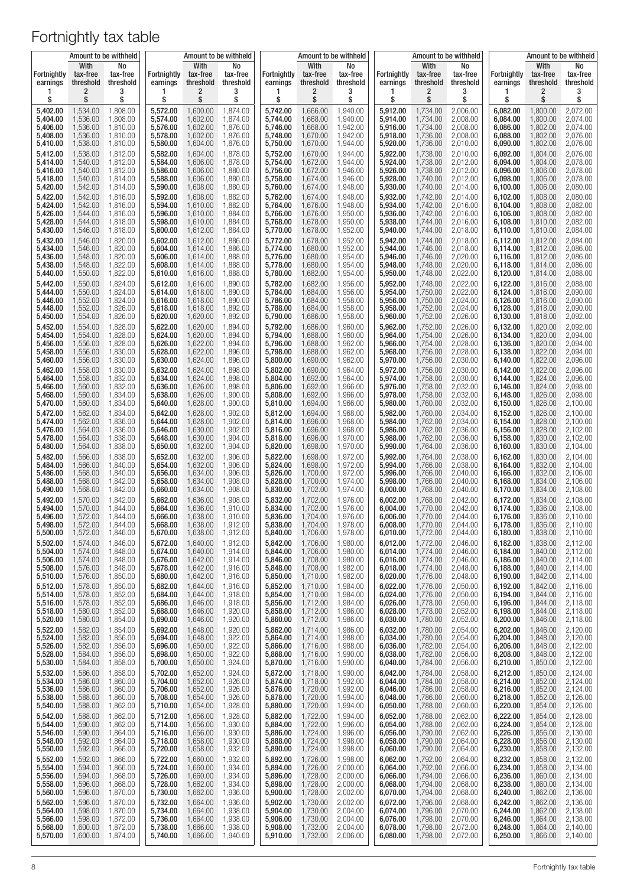|                                |                               | Amount to be withheld       | Amount to be withheld<br>With<br>No |                       | Amount to be withheld<br>With<br>No |                         |                       |                       | With                           | Amount to be withheld | Amount to be withheld<br>With<br>No |                         |                       |                       |
|--------------------------------|-------------------------------|-----------------------------|-------------------------------------|-----------------------|-------------------------------------|-------------------------|-----------------------|-----------------------|--------------------------------|-----------------------|-------------------------------------|-------------------------|-----------------------|-----------------------|
| <b>Fortnightly</b><br>earnings | With<br>tax-free<br>threshold | No<br>tax-free<br>threshold | <b>Fortnightly</b><br>earnings      | tax-free<br>threshold | tax-free<br>threshold               | Fortnightly<br>earnings | tax-free<br>threshold | tax-free<br>threshold | <b>Fortnightly</b><br>earnings | tax-free<br>threshold | No<br>tax-free<br>threshold         | Fortnightly<br>earnings | tax-free<br>threshold | tax-free<br>threshold |
| 1                              | 2                             | 3                           | 1                                   | 2                     | 3                                   | ı                       | 2                     | 3                     | 1                              | 2                     | 3                                   | ı                       | 2                     | 3                     |
| \$                             | \$                            | \$                          | \$                                  | \$                    | \$                                  | \$                      | \$                    | \$                    | \$                             | \$                    | \$                                  | \$                      | \$                    | \$                    |
| 5,402.00                       | 1,534.00                      | 1,808.00                    | 5,572.00                            | 1,600.00              | 1,874.00                            | 5,742.00                | 1,666.00              | 1,940.00              | 5,912.00                       | 1,734.00              | 2,006.00                            | 6,082.00                | 1,800.00              | 2,072.00              |
| 5,404.00                       | 1,536.00                      | 1,808.00                    | 5,574.00                            | 1,602.00              | 1,874.00                            | 5,744.00                | 1,668.00              | 1,940.00              | 5,914.00                       | 1,734.00              | 2,008.00                            | 6,084.00                | 1,800.00              | 2,074.00              |
| 5,406.00                       | 1,536.00                      | 1,810.00                    | 5,576.00                            | 1,602.00              | 1,876.00                            | 5,746.00                | 1,668.00              | 1,942.00              | 5,916.00                       | 1,734.00              | 2,008.00                            | 6,086.00                | 1,802.00              | 2,074.00              |
| 5,408.00                       | 1,536.00                      | 1,810.00                    | 5,578.00                            | 1,602.00              | 1,876.00                            | 5,748.00                | 1,670.00              | 1,942.00              | 5,918.00                       | 1,736.00              | 2,008.00                            | 6,088.00                | 1,802.00              | 2,076.00              |
| 5,410.00                       | 1,538.00                      | 1,810.00                    | 5,580.00                            | 1,604.00              | 1,876.00                            | 5,750.00                | 1,670.00              | 1,944.00              | 5,920.00                       | 1,736.00              | 2,010.00                            | 6,090.00                | 1,802.00              | 2,076.00              |
| 5,412.00                       | 1,538.00                      | 1,812.00                    | 5,582.00                            | 1,604.00              | 1,878.00                            | 5,752.00                | 1,670.00              | 1,944.00              | 5,922.00                       | 1,738.00              | 2,010.00                            | 6,092.00                | 1,804.00              | 2,076.00              |
| 5,414.00                       | 1,540.00                      | 1,812.00                    | 5,584.00                            | 1,606.00              | 1,878.00                            | 5,754.00                | 1,672.00              | 1,944.00              | 5,924.00                       | 1,738.00              | 2,012.00                            | 6,094.00                | 1,804.00              | 2,078.00              |
| 5,416.00                       | 1,540.00                      | 1,812.00                    | 5,586.00                            | 1,606.00              | 1,880.00                            | 5,756.00                | 1,672.00              | 1,946.00              | 5,926.00                       | 1,738.00              | 2,012.00                            | 6,096.00                | 1,806.00              | 2,078.00              |
| 5,418.00                       | 1,540.00                      | 1,814.00                    | 5,588.00                            | 1,606.00              | 1,880.00                            | 5,758.00                | 1,674.00              | 1,946.00              | 5,928.00                       | 1,740.00              | 2,012.00                            | 6,098.00                | 1,806.00              | 2,078.00              |
| 5,420.00                       | 1,542.00                      | 1,814.00                    | 5,590.00                            | 1,608.00              | 1,880.00                            | 5,760.00                | 1,674.00              | 1,948.00              | 5,930.00                       | 1,740.00              | 2,014.00                            | 6,100.00                | 1,806.00              | 2,080.00              |
| 5,422.00                       | 1,542.00                      | 1,816.00                    | 5,592.00                            | 1,608.00              | 1,882.00                            | 5,762.00                | 1,674.00              | 1,948.00              | 5,932.00                       | 1,742.00              | 2,014.00                            | 6,102.00                | 1,808.00              | 2,080.00              |
| 5,424.00                       | 1,542.00                      | 1,816.00                    | 5,594.00                            | 1,610.00              | 1,882.00                            | 5,764.00                | 1,676.00              | 1,948.00              | 5,934.00                       | 1,742.00              | 2,016.00                            | 6,104.00                | 1,808.00              | 2,082.00              |
| 5,426.00                       | 1,544.00                      | 1,816.00                    | 5,596.00                            | 1,610.00              | 1,884.00                            | 5,766.00                | 1,676.00              | 1,950.00              | 5,936.00                       | 1,742.00              | 2,016.00                            | 6,106.00                | 1,808.00              | 2,082.00              |
| 5,428.00                       | 1,544.00                      | 1,818.00                    | 5,598.00                            | 1,610.00              | 1,884.00                            | 5,768.00                | 1,678.00              | 1,950.00              | 5,938.00                       | 1,744.00              | 2,016.00                            | 6,108.00                | 1,810.00              | 2,082.00              |
| 5,430.00                       | 1,546.00                      | 1,818.00                    | 5,600.00                            | 1,612.00              | 1,884.00                            | 5,770.00                | 1,678.00              | 1,952.00              | 5,940.00                       | 1,744.00              | 2,018.00                            | 6,110.00                | 1,810.00              | 2,084.00              |
| 5,432.00                       | 1,546.00                      | 1,820.00                    | 5,602.00                            | 1,612.00              | 1,886.00                            | 5,772.00                | 1,678.00              | 1,952.00              | 5,942.00                       | 1,744.00              | 2,018.00                            | 6,112.00                | 1,812.00              | 2,084.00              |
| 5,434.00                       | 1,546.00                      | 1,820.00                    | 5,604.00                            | 1,614.00              | 1,886.00                            | 5,774.00                | 1,680.00              | 1,952.00              | 5,944.00                       | 1,746.00              | 2,018.00                            | 6,114.00                | 1,812.00              | 2,086.00              |
| 5,436.00                       | 1,548.00                      | 1,820.00                    | 5,606.00                            | 1,614.00              | 1,888.00                            | 5,776.00                | 1,680.00              | 1,954.00              | 5,946.00                       | 1,746.00              | 2,020.00                            | 6,116.00                | 1,812.00              | 2,086.00              |
| 5,438.00                       | 1,548.00                      | 1,822.00                    | 5,608.00                            | 1,614.00              | 1,888.00                            | 5,778.00                | 1,680.00              | 1,954.00              | 5,948.00                       | 1,748.00              | 2,020.00                            | 6,118.00                | 1,814.00              | 2,086.00              |
| 5,440.00                       | 1,550.00                      | 1,822.00                    | 5,610.00                            | 1,616.00              | 1,888.00                            | 5,780.00                | 1,682.00              | 1,954.00              | 5,950.00                       | 1,748.00              | 2,022.00                            | 6,120.00                | 1,814.00              | 2,088.00              |
| 5,442.00                       | 1.550.00                      | 1,824.00                    | 5,612.00                            | 1,616.00              | 1,890.00                            | 5,782.00                | 1,682.00              | 1,956.00              | 5,952.00                       | 1,748.00              | 2,022.00                            | 6,122.00                | 1,816.00              | 2,088.00              |
| 5,444.00                       | 1,550.00                      | 1,824.00                    | 5,614.00                            | 1,618.00              | 1,890.00                            | 5,784.00                | 1,684.00              | 1,956.00              | 5,954.00                       | 1,750.00              | 2,022.00                            | 6,124.00                | 1,816.00              | 2,090.00              |
| 5,446.00                       | 1,552.00                      | 1,824.00                    | 5,616.00                            | 1,618.00              | 1,890.00                            | 5,786.00                | 1,684.00              | 1,958.00              | 5,956.00                       | 1,750.00              | 2,024.00                            | 6,126.00                | 1,816.00              | 2,090.00              |
| 5,448.00                       | 1,552.00                      | 1,826.00                    | 5,618.00                            | 1,618.00              | 1,892.00                            | 5,788.00                | 1,684.00              | 1,958.00              | 5,958.00                       | 1,752.00              | 2,024.00                            | 6,128.00                | 1,818.00              | 2,090.00              |
| 5,450.00                       | 1,554.00                      | 1,826.00                    | 5,620.00                            | 1,620.00              | 1,892.00                            | 5,790.00                | 1,686.00              | 1,958.00              | 5,960.00                       | 1,752.00              | 2,026.00                            | 6,130.00                | 1,818.00              | 2,092.00              |
| 5,452.00                       | 1,554.00                      | 1,828.00                    | 5,622.00                            | 1,620.00              | 1,894.00                            | 5,792.00                | 1,686.00              | 1,960.00              | 5,962.00                       | 1,752.00              | 2,026.00                            | 6,132.00                | 1,820.00              | 2,092.00              |
| 5,454.00                       | 1,554.00                      | 1,828.00                    | 5,624.00                            | 1,620.00              | 1,894.00                            | 5,794.00                | 1,688.00              | 1.960.00              | 5,964.00                       | 1,754.00              | 2,026.00                            | 6,134.00                | 1,820.00              | 2,094.00              |
| 5,456.00                       | 1,556.00                      | 1,828.00                    | 5,626.00                            | 1,622.00              | 1,894.00                            | 5,796.00                | 1,688.00              | 1,962.00              | 5,966.00                       | 1,754.00              | 2,028.00                            | 6,136.00                | 1,820.00              | 2,094.00              |
| 5,458.00                       | 1,556.00                      | 1,830.00                    | 5,628.00                            | 1,622.00              | 1,896.00                            | 5,798.00                | 1,688.00              | 1,962.00              | 5,968.00                       | 1,756.00              | 2,028.00                            | 6,138.00                | 1,822.00              | 2,094.00              |
| 5,460.00                       | 1,556.00                      | 1,830.00                    | 5,630.00                            | 1,624.00              | 1,896.00                            | 5,800.00                | 1,690.00              | 1,962.00              | 5,970.00                       | 1,756.00              | 2,030.00                            | 6,140.00                | 1,822.00              | 2,096.00              |
| 5,462.00                       | 1,558.00                      | 1,830.00                    | 5,632.00                            | 1,624.00              | 1,898.00                            | 5,802.00                | 1,690.00              | 1,964.00              | 5,972.00                       | 1,756.00              | 2,030.00                            | 6,142.00                | 1,822.00              | 2,096.00              |
| 5,464.00                       | 1,558.00                      | 1,832.00                    | 5,634.00                            | 1,624.00              | 1,898.00                            | 5,804.00                | 1,692.00              | 1,964.00              | 5,974.00                       | 1,758.00              | 2,030.00                            | 6,144.00                | 1,824.00              | 2,096.00              |
| 5,466.00                       | 1,560.00                      | 1,832.00                    | 5,636.00                            | 1,626.00              | 1,898.00                            | 5,806.00                | 1,692.00              | 1,966.00              | 5,976.00                       | 1,758.00              | 2,032.00                            | 6,146.00                | 1,824.00              | 2,098.00              |
| 5,468.00                       | 1,560.00                      | 1,834.00                    | 5,638.00                            | 1,626.00              | 1,900.00                            | 5,808.00                | 1,692.00              | 1,966.00              | 5,978.00                       | 1,758.00              | 2,032.00                            | 6,148.00                | 1,826.00              | 2,098.00              |
| 5,470.00                       | 1,560.00                      | 1,834.00                    | 5,640.00                            | 1,628.00              | 1,900.00                            | 5,810.00                | 1,694.00              | 1,966.00              | 5,980.00                       | 1,760.00              | 2,032.00                            | 6,150.00                | 1,826.00              | 2,100.00              |
| 5,472.00                       | 1,562.00                      | 1,834.00                    | 5,642.00                            | 1,628.00              | 1,902.00                            | 5,812.00                | 1,694.00              | 1,968.00              | 5,982.00                       | 1,760.00              | 2,034.00                            | 6,152.00                | 1,826.00              | 2,100.00              |
| 5,474.00                       | 1,562.00                      | 1,836.00                    | 5,644.00                            | 1,628.00              | 1,902.00                            | 5,814.00                | 1,696.00              | 1,968.00              | 5,984.00                       | 1,762.00              | 2,034.00                            | 6,154.00                | 1,828.00              | 2,100.00              |
| 5,476.00                       | 1,564.00                      | 1,836.00                    | 5,646.00                            | 1,630.00              | 1,902.00                            | 5,816.00                | 1,696.00              | 1,968.00              | 5,986.00                       | 1,762.00              | 2,036.00                            | 6,156.00                | 1,828.00              | 2,102.00              |
| 5,478.00                       | 1,564.00                      | 1,838.00                    | 5,648.00                            | 1,630.00              | 1,904.00                            | 5,818.00                | 1,696.00              | 1,970.00              | 5,988.00                       | 1,762.00              | 2,036.00                            | 6,158.00                | 1,830.00              | 2,102.00              |
| 5,480.00                       | 1,564.00                      | 1,838.00                    | 5,650.00                            | 1,632.00              | 1,904.00                            | 5,820.00                | 1,698.00              | 1,970.00              | 5,990.00                       | 1,764.00              | 2,036.00                            | 6,160.00                | 1,830.00              | 2,104.00              |
| 5,482.00                       | 1,566.00                      | 1,838.00                    | 5,652.00                            | 1,632.00              | 1,906.00                            | 5,822.00                | 1,698.00              | 1,972.00              | 5,992.00                       | 1,764.00              | 2,038.00                            | 6,162.00                | 1,830.00              | 2,104.00              |
| 5,484.00                       | 1,566.00                      | 1,840.00                    | 5,654.00                            | 1,632.00              | 1,906.00                            | 5,824.00                | 1,698.00              | 1,972.00              | 5,994.00                       | 1,766.00              | 2,038.00                            | 6,164.00                | 1,832.00              | 2,104.00              |
| 5,486.00                       | 1,568.00                      | 1,840.00                    | 5,656.00                            | 1,634.00              | 1,906.00                            | 5,826.00                | 1,700.00              | 1,972.00              | 5,996.00                       | 1,766.00              | 2,040.00                            | 6,166.00                | 1,832.00              | 2,106.00              |
| 5,488.00                       | 1,568.00                      | 1,842.00                    | 5,658.00                            | 1,634.00              | 1,908.00                            | 5.828.00                | 1,700.00              | 1,974.00              | 5,998.00                       | 1,766.00              | 2,040.00                            | 6,168.00                | 1,834.00              | 2,106.00              |
| 5,490.00                       | 1,568.00                      | 1,842.00                    | 5,660.00                            | 1,634.00              | 1,908.00                            | 5,830.00                | 1,702.00              | 1,974.00              | 6,000.00                       | 1,768.00              | 2,040.00                            | 6,170.00                | 1,834.00              | 2,108.00              |
| 5,492.00                       | 1,570.00                      | 1,842.00                    | 5,662.00                            | 1,636.00              | 1,908.00                            | 5,832.00                | 1,702.00              | 1,976.00              | 6,002.00                       | 1,768.00              | 2,042.00                            | 6,172.00                | 1,834.00              | 2,108.00              |
| 5,494.00                       | 1,570.00                      | 1,844.00                    | 5,664.00                            | 1.636.00              | 1,910.00                            | 5,834.00                | 1,702.00              | 1,976.00              | 6,004.00                       | 1,770.00              | 2,042.00                            | 6,174.00                | 1,836.00              | 2.108.00              |
| 5,496.00                       | 1,572.00                      | 1,844.00                    | 5,666.00                            | 1,638.00              | 1,910.00                            | 5,836.00                | 1,704.00              | 1,976.00              | 6,006.00                       | 1,770.00              | 2,044.00                            | 6,176.00                | 1,836.00              | 2,110.00              |
| 5,498.00                       | 1,572.00                      | 1,844.00                    | 5,668.00                            | 1,638.00              | 1,912.00                            | 5,838.00                | 1,704.00              | 1,978.00              | 6,008.00                       | 1,770.00              | 2,044.00                            | 6,178.00                | 1,836.00              | 2,110.00              |
| 5,500.00                       | 1,572.00                      | 1,846.00                    | 5,670.00                            | 1,638.00              | 1,912.00                            | 5,840.00                | 1,706.00              | 1,978.00              | 6,010.00                       | 1,772.00              | 2,044.00                            | 6,180.00                | 1,838.00              | 2,110.00              |
| 5,502.00                       | 1,574.00                      | 1,846.00                    | 5,672.00                            | 1,640.00              | 1,912.00                            | 5,842.00                | 1,706.00              | 1,980.00              | 6,012.00                       | 1,772.00              | 2,046.00                            | 6,182.00                | 1,838.00              | 2,112.00              |
| 5,504.00                       | 1,574.00                      | 1,848.00                    | 5,674.00                            | 1.640.00              | 1,914.00                            | 5,844.00                | 1,706.00              | 1,980.00              | 6,014.00                       | 1,774.00              | 2,046.00                            | 6,184.00                | 1,840.00              | 2,112.00              |
| 5,506.00                       | 1,574.00                      | 1,848.00                    | 5,676.00                            | 1,642.00              | 1,914.00                            | 5,846.00                | 1,708.00              | 1,980.00              | 6,016.00                       | 1,774.00              | 2,046.00                            | 6,186.00                | 1,840.00              | 2,114.00              |
| 5,508.00                       | 1,576.00                      | 1,848.00                    | 5,678.00                            | 1,642.00              | 1,916.00                            | 5,848.00                | 1,708.00              | 1,982.00              | 6,018.00                       | 1,774.00              | 2,048.00                            | 6,188.00                | 1,840.00              | 2,114.00              |
| 5,510.00                       | 1,576.00                      | 1,850.00                    | 5,680.00                            | 1,642.00              | 1,916.00                            | 5,850.00                | 1,710.00              | 1,982.00              | 6,020.00                       | 1,776.00              | 2,048.00                            | 6,190.00                | 1,842.00              | 2,114.00              |
| 5,512.00                       | 1,578.00                      | 1,850.00                    | 5,682.00                            | 1.644.00              | 1,916.00                            | 5,852.00                | 1,710.00              | 1,984.00              | 6,022.00                       | 1,776.00              | 2,050.00                            | 6,192.00                | 1,842.00              | 2,116.00              |
| 5,514.00                       | 1,578.00                      | 1,852.00                    | 5,684.00                            | 1,644.00              | 1,918.00                            | 5,854.00                | 1,710.00              | 1,984.00              | 6,024.00                       | 1,776.00              | 2,050.00                            | 6,194.00                | 1,844.00              | 2,116.00              |
| 5,516.00                       | 1,578.00                      | 1,852.00                    | 5,686.00                            | 1,646.00              | 1,918.00                            | 5,856.00                | 1,712.00              | 1,984.00              | 6,026.00                       | 1,778.00              | 2,050.00                            | 6,196.00                | 1,844.00              | 2,118.00              |
| 5,518.00                       | 1,580.00                      | 1,852.00                    | 5,688.00                            | 1,646.00              | 1,920.00                            | 5,858.00                | 1,712.00              | 1,986.00              | 6,028.00                       | 1,778.00              | 2,052.00                            | 6,198.00                | 1,844.00              | 2,118.00              |
| 5,520.00                       | 1,580.00                      | 1,854.00                    | 5,690.00                            | 1,646.00              | 1,920.00                            | 5,860.00                | 1,712.00              | 1,986.00              | 6,030.00                       | 1,780.00              | 2,052.00                            | 6,200.00                | 1,846.00              | 2,118.00              |
| 5,522.00                       | 1,582.00                      | 1,854.00                    | 5,692.00                            | 1.648.00              | 1,920.00                            | 5,862.00                | 1,714.00              | 1,986.00              | 6,032.00                       | 1,780.00              | 2,054.00                            | 6,202.00                | 1,846.00              | 2,120.00              |
| 5,524.00                       | 1,582.00                      | 1,856.00                    | 5,694.00                            | 1,648.00              | 1,922.00                            | 5,864.00                | 1,714.00              | 1,988.00              | 6,034.00                       | 1,780.00              | 2,054.00                            | 6,204.00                | 1,848.00              | 2,120.00              |
| 5,526.00                       | 1,582.00                      | 1,856.00                    | 5,696.00                            | 1,650.00              | 1,922.00                            | 5,866.00                | 1,716.00              | 1,988.00              | 6,036.00                       | 1,782.00              | 2,054.00                            | 6,206.00                | 1,848.00              | 2,122.00              |
| 5,528.00                       | 1,584.00                      | 1,856.00                    | 5,698.00                            | 1,650.00              | 1,922.00                            | 5,868.00                | 1,716.00              | 1,990.00              | 6,038.00                       | 1,782.00              | 2,056.00                            | 6,208.00                | 1,848.00              | 2,122.00              |
| 5,530.00                       | 1,584.00                      | 1,858.00                    | 5,700.00                            | 1,650.00              | 1,924.00                            | 5,870.00                | 1,716.00              | 1,990.00              | 6,040.00                       | 1,784.00              | 2,056.00                            | 6,210.00                | 1,850.00              | 2,122.00              |
| 5,532.00                       | 1,586.00                      | 1,858.00                    | 5,702.00                            | 1,652.00              | 1,924.00                            | 5,872.00                | 1,718.00              | 1,990.00              | 6,042.00                       | 1,784.00              | 2,058.00                            | 6,212.00                | 1,850.00              | 2,124.00              |
| 5,534.00                       | 1,586.00                      | 1,860.00                    | 5,704.00                            | 1,652.00              | 1,926.00                            | 5,874.00                | 1,718.00              | 1,992.00              | 6,044.00                       | 1,784.00              | 2,058.00                            | 6,214.00                | 1,852.00              | 2,124.00              |
| 5,536.00<br>5,538.00           | 1,586.00                      | 1,860.00                    | 5,706.00                            | 1,652.00              | 1,926.00                            | 5,876.00                | 1,720.00              | 1,992.00<br>1,994.00  | 6,046.00                       | 1,786.00              | 2,058.00                            | 6,216.00                | 1,852.00              | 2,124.00              |
| 5,540.00                       | 1,588.00<br>1,588.00          | 1,860.00<br>1,862.00        | 5,708.00<br>5,710.00                | 1,654.00<br>1,654.00  | 1,926.00<br>1,928.00                | 5,878.00<br>5,880.00    | 1,720.00<br>1,720.00  | 1,994.00              | 6,048.00<br>6,050.00           | 1,786.00<br>1,788.00  | 2,060.00<br>2,060.00                | 6,218.00<br>6,220.00    | 1,852.00<br>1,854.00  | 2,126.00<br>2,126.00  |
| 5,542.00                       | 1,588.00                      | 1,862.00                    | 5,712.00                            | 1,656.00              | 1,928.00                            | 5,882.00                | 1,722.00              | 1,994.00              | 6,052.00                       | 1,788.00              | 2,062.00                            | 6,222.00                | 1,854.00              | 2,128.00              |
| 5,544.00                       | 1,590.00                      | 1,862.00                    | 5,714.00                            | 1,656.00              | 1,930.00                            | 5,884.00                | 1,722.00              | 1,996.00              | 6,054.00                       | 1,788.00              | 2,062.00                            | 6,224.00                | 1,854.00              | 2,128.00              |
| 5,546.00                       | 1,590.00                      | 1,864.00                    | 5,716.00                            | 1,656.00              | 1,930.00                            | 5,886.00                | 1,724.00              | 1,996.00              | 6,056.00                       | 1,790.00              | 2,062.00                            | 6,226.00                | 1,856.00              | 2,130.00              |
| 5,548.00                       | 1,592.00                      | 1,864.00                    | 5,718.00                            | 1,658.00              | 1,930.00                            | 5,888.00                | 1,724.00              | 1,998.00              | 6,058.00                       | 1,790.00              | 2,064.00                            | 6,228.00                | 1,856.00              | 2,130.00              |
| 5,550.00                       | 1,592.00                      | 1,866.00                    | 5,720.00                            | 1,658.00              | 1,932.00                            | 5,890.00                | 1,724.00              | 1,998.00              | 6,060.00                       | 1,790.00              | 2,064.00                            | 6,230.00                | 1,858.00              | 2,132.00<br>2,132.00  |
| 5,552.00                       | 1,592.00                      | 1,866.00                    | 5,722.00                            | 1,660.00              | 1,932.00                            | 5,892.00                | 1,726.00              | 1,998.00              | 6,062.00                       | 1,792.00              | 2,064.00                            | 6,232.00                | 1,858.00              | 2,134.00              |
| 5,554.00                       | 1,594.00                      | 1,866.00                    | 5,724.00                            | 1,660.00              | 1,934.00                            | 5,894.00                | 1,726.00              | 2,000.00              | 6,064.00                       | 1,792.00              | 2,066.00                            | 6,234.00                | 1,858.00              |                       |
| 5,556.00                       | 1,594.00                      | 1,868.00                    | 5,726.00                            | 1,660.00              | 1,934.00                            | 5,896.00                | 1,728.00              | 2,000.00              | 6,066.00                       | 1,794.00              | 2,066.00                            | 6,236.00                | 1,860.00              | 2,134.00              |
| 5,558.00                       | 1,596.00                      | 1,868.00                    | 5,728.00                            | 1,662.00              | 1,934.00                            | 5,898.00                | 1,728.00              | 2,000.00              | 6,068.00                       | 1,794.00              | 2,068.00                            | 6,238.00                | 1,860.00              | 2,134.00              |
| 5,560.00                       | 1,596.00                      | 1,870.00                    | 5,730.00                            | 1,662.00              | 1,936.00                            | 5,900.00                | 1,728.00              | 2,002.00              | 6,070.00                       | 1,794.00              | 2,068.00                            | 6,240.00                | 1,862.00              | 2,136.00              |
| 5,562.00                       | 1,596.00                      | 1,870.00                    | 5,732.00                            | 1,664.00              | 1,936.00                            | 5,902.00                | 1,730.00              | 2,002.00              | 6,072.00                       | 1,796.00              | 2,068.00                            | 6,242.00                | 1,862.00              | 2,136.00              |
| 5,564.00                       | 1,598.00                      | 1,870.00                    | 5,734.00                            | 1,664.00              | 1,938.00                            | 5,904.00                | 1,730.00              | 2,004.00              | 6,074.00                       | 1,796.00              | 2,070.00                            | 6,244.00                | 1,862.00              | 2,138.00              |
| 5,566.00                       | 1,598.00                      | 1,872.00                    | 5,736.00                            | 1,664.00              | 1,938.00                            | 5,906.00                | 1,730.00              | 2,004.00              | 6,076.00                       | 1,798.00              | 2,070.00                            | 6,246.00                | 1,864.00              | 2,138.00              |
| 5,568.00                       | 1,600.00                      | 1,872.00                    | 5,738.00                            | 1,666.00              | 1,938.00                            | 5,908.00                | 1,732.00              | 2,004.00              | 6,078.00                       | 1,798.00              | 2,072.00                            | 6,248.00                | 1,864.00              | 2,140.00              |
| 5,570.00                       | 1,600.00                      | 1,874.00                    | 5,740.00                            | 1,666.00              | 1,940.00                            | 5,910.00                | 1,732.00              | 2,006.00              | 6,080.00                       | 1,798.00              | 2,072.00                            | 6,250.00                | 1,866.00              | 2,140.00              |
|                                |                               |                             |                                     |                       |                                     |                         |                       |                       |                                |                       |                                     |                         |                       |                       |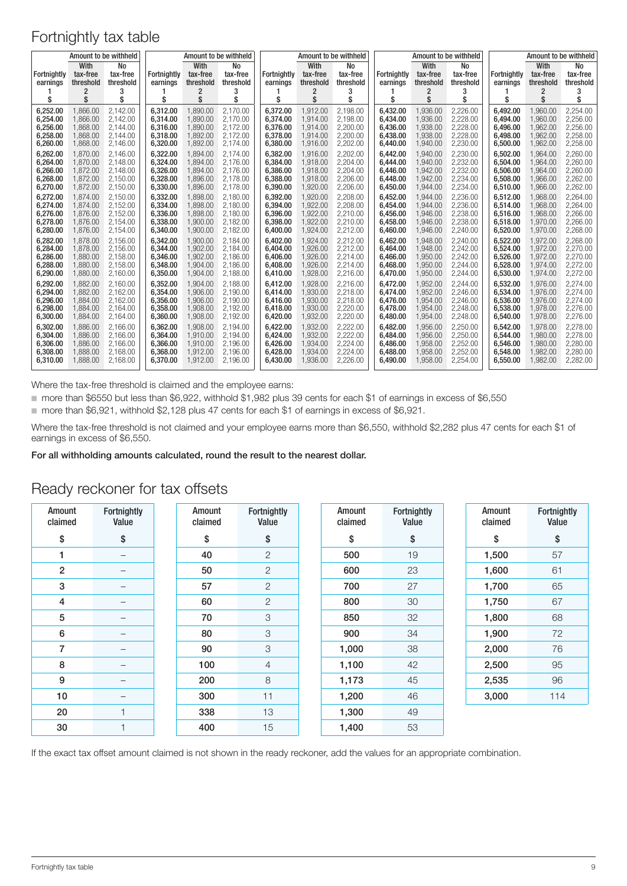| Amount to be withheld<br>With<br>No |                            |                            |                                | Amount to be withheld              |                                  | Amount to be withheld          |                                    |                                         | Amount to be withheld |                                |                                    |                                  | Amount to be withheld   |                               |                             |
|-------------------------------------|----------------------------|----------------------------|--------------------------------|------------------------------------|----------------------------------|--------------------------------|------------------------------------|-----------------------------------------|-----------------------|--------------------------------|------------------------------------|----------------------------------|-------------------------|-------------------------------|-----------------------------|
| <b>Fortnightly</b><br>earnings      | tax-free<br>threshold<br>2 | tax-free<br>threshold<br>3 | <b>Fortnightly</b><br>earnings | With<br>tax-free<br>threshold<br>2 | No<br>tax-free<br>threshold<br>3 | <b>Fortnightly</b><br>earnings | With<br>tax-free<br>threshold<br>2 | <b>No</b><br>tax-free<br>threshold<br>3 |                       | <b>Fortnightly</b><br>earnings | With<br>tax-free<br>threshold<br>2 | No<br>tax-free<br>threshold<br>3 | Fortnightly<br>earnings | With<br>tax-free<br>threshold | No<br>tax-free<br>threshold |
| s                                   | \$                         | \$                         | \$                             | \$                                 | \$                               | \$                             | \$                                 | \$                                      |                       | \$                             | \$                                 | S                                | \$                      | \$                            | \$                          |
| 6.252.00                            | 1.866.00                   | 2.142.00                   | 6.312.00                       | 1.890.00                           | 2.170.00                         | 6.372.00                       | 1.912.00                           | 2.198.00                                |                       | 6.432.00                       | 1.936.00                           | 2.226.00                         | 6.492.00                | 1.960.00                      | 2.254.00                    |
| 6.254.00                            | 1.866.00                   | 2.142.00                   | 6.314.00                       | 1.890.00                           | 2.170.00                         | 6.374.00                       | 1.914.00                           | 2.198.00                                |                       | 6.434.00                       | 1.936.00                           | 2.228.00                         | 6.494.00                | 1.960.00                      | 2.256.00                    |
| 6,256.00                            | 1.868.00                   | 2.144.00                   | 6.316.00                       | 1.890.00                           | 2.172.00                         | 6.376.00                       | 1.914.00                           | 2.200.00                                |                       | 6.436.00                       | 1.938.00                           | 2.228.00                         | 6.496.00                | 1.962.00                      | 2,256.00                    |
| 6,258.00                            | 1.868.00                   | 2.144.00                   | 6.318.00                       | 1,892.00                           | 2,172.00                         | 6,378.00                       | 1,914.00                           | 2,200.00                                |                       | 6,438.00                       | 1,938.00                           | 2,228.00                         | 6,498.00                | 1,962.00                      | 2,258.00                    |
| 6,260.00                            | 1,868.00                   | 2,146.00                   | 6,320.00                       | 1,892.00                           | 2.174.00                         | 6,380.00                       | 1,916.00                           | 2,202.00                                |                       | 6,440.00                       | 1,940.00                           | 2,230.00                         | 6,500.00                | 1,962.00                      | 2,258.00                    |
| 6,262.00                            | 1.870.00                   | 2.146.00                   | 6.322.00                       | 1.894.00                           | 2.174.00                         | 6,382.00                       | 1.916.00                           | 2.202.00                                |                       | 6,442.00                       | 1.940.00                           | 2.230.00                         | 6.502.00                | 1,964.00                      | 2.260.00                    |
| 6.264.00                            | 1.870.00                   | 2.148.00                   | 6.324.00                       | 1.894.00                           | 2.176.00                         | 6.384.00                       | 1.918.00                           | 2.204.00                                |                       | 6.444.00                       | 1.940.00                           | 2,232.00                         | 6.504.00                | 1.964.00                      | 2.260.00                    |
| 6.266.00                            | 1.872.00                   | 2.148.00                   | 6.326.00                       | 1.894.00                           | 2.176.00                         | 6.386.00                       | 1.918.00                           | 2.204.00                                |                       | 6.446.00                       | 1.942.00                           | 2.232.00                         | 6.506.00                | 1.964.00                      | 2.260.00                    |
| 6,268.00                            | 1,872.00                   | 2,150.00                   | 6,328.00                       | 1,896.00                           | 2.178.00                         | 6,388.00                       | 1,918.00                           | 2,206.00                                |                       | 6,448.00                       | 1,942.00                           | 2,234.00                         | 6,508.00                | 1,966.00                      | 2,262.00                    |
| 6,270.00                            | 1,872.00                   | 2,150.00                   | 6,330.00                       | 1,896.00                           | 2,178.00                         | 6,390.00                       | 1,920.00                           | 2,206.00                                |                       | 6,450.00                       | 1,944.00                           | 2,234.00                         | 6,510.00                | 1,966.00                      | 2,262.00                    |
| 6,272.00                            | 1.874.00                   | 2.150.00                   | 6.332.00                       | 1.898.00                           | 2.180.00                         | 6,392.00                       | 1.920.00                           | 2.208.00                                |                       | 6,452.00                       | 1.944.00                           | 2.236.00                         | 6.512.00                | 1.968.00                      | 2.264.00                    |
| 6.274.00                            | 1.874.00                   | 2.152.00                   | 6.334.00                       | 1.898.00                           | 2.180.00                         | 6.394.00                       | 1.922.00                           | 2.208.00                                |                       | 6.454.00                       | 1.944.00                           | 2.236.00                         | 6.514.00                | 1.968.00                      | 2.264.00                    |
| 6.276.00                            | 1.876.00                   | 2.152.00                   | 6.336.00                       | 1.898.00                           | 2.180.00                         | 6.396.00                       | 1.922.00                           | 2.210.00                                |                       | 6.456.00                       | 1.946.00                           | 2.238.00                         | 6.516.00                | 1.968.00                      | 2.266.00                    |
| 6.278.00                            | 1.876.00                   | 2.154.00                   | 6.338.00                       | 1.900.00                           | 2.182.00                         | 6.398.00                       | 1.922.00                           | 2.210.00                                |                       | 6.458.00                       | 1.946.00                           | 2.238.00                         | 6.518.00                | 1.970.00                      | 2,266.00                    |
| 6,280.00                            | 1.876.00                   | 2.154.00                   | 6,340.00                       | 1,900.00                           | 2,182.00                         | 6,400.00                       | 1,924.00                           | 2,212.00                                |                       | 6,460.00                       | 1,946.00                           | 2.240.00                         | 6,520.00                | 1.970.00                      | 2,268.00                    |
| 6.282.00                            | 1.878.00                   | 2.156.00                   | 6.342.00                       | 1.900.00                           | 2.184.00                         | 6.402.00                       | 1.924.00                           | 2.212.00                                |                       | 6.462.00                       | 1.948.00                           | 2.240.00                         | 6.522.00                | 1.972.00                      | 2.268.00                    |
| 6,284.00                            | 1,878.00                   | 2,156.00                   | 6,344.00                       | 1,902.00                           | 2.184.00                         | 6,404.00                       | 1,926.00                           | 2,212.00                                |                       | 6,464.00                       | 1,948.00                           | 2,242.00                         | 6,524.00                | 1,972.00                      | 2,270.00                    |
| 6.286.00                            | 1.880.00                   | 2.158.00                   | 6.346.00                       | 1.902.00                           | 2.186.00                         | 6.406.00                       | 1.926.00                           | 2.214.00                                |                       | 6.466.00                       | 1.950.00                           | 2.242.00                         | 6.526.00                | 1.972.00                      | 2.270.00                    |
| 6,288.00                            | 1.880.00                   | 2.158.00                   | 6.348.00                       | 1.904.00                           | 2.186.00                         | 6.408.00                       | 1.926.00                           | 2.214.00                                |                       | 6.468.00                       | 1.950.00                           | 2.244.00                         | 6.528.00                | 1.974.00                      | 2.272.00                    |
| 6,290.00                            | 1,880.00                   | 2,160.00                   | 6,350.00                       | 1,904.00                           | 2,188.00                         | 6,410.00                       | 1,928.00                           | 2,216.00                                |                       | 6,470.00                       | 1,950.00                           | 2,244.00                         | 6,530.00                | 1,974.00                      | 2,272.00                    |
| 6.292.00                            | 1.882.00                   | 2.160.00                   | 6.352.00                       | 1.904.00                           | 2.188.00                         | 6.412.00                       | 1.928.00                           | 2.216.00                                |                       | 6.472.00                       | 1.952.00                           | 2.244.00                         | 6.532.00                | 1.976.00                      | 2.274.00                    |
| 6,294.00                            | 1,882.00                   | 2.162.00                   | 6,354.00                       | 1,906.00                           | 2.190.00                         | 6,414.00                       | 1.930.00                           | 2.218.00                                |                       | 6,474.00                       | 1,952.00                           | 2.246.00                         | 6,534.00                | 1.976.00                      | 2.274.00                    |
| 6.296.00                            | 1.884.00                   | 2.162.00                   | 6.356.00                       | 1.906.00                           | 2.190.00                         | 6.416.00                       | 1.930.00                           | 2.218.00                                |                       | 6.476.00                       | 1.954.00                           | 2.246.00                         | 6.536.00                | 1.976.00                      | 2.274.00                    |
| 6.298.00                            | 1.884.00                   | 2.164.00                   | 6.358.00                       | 1.908.00                           | 2.192.00                         | 6.418.00                       | 1.930.00                           | 2.220.00                                |                       | 6.478.00                       | 1.954.00                           | 2.248.00                         | 6.538.00                | 1.978.00                      | 2,276.00                    |
| 6,300.00                            | 1,884.00                   | 2,164.00                   | 6,360.00                       | 1,908.00                           | 2,192.00                         | 6,420.00                       | 1,932.00                           | 2,220.00                                |                       | 6,480.00                       | 1,954.00                           | 2,248.00                         | 6,540.00                | 1,978.00                      | 2,276.00                    |
| 6.302.00                            | 1.886.00                   | 2.166.00                   | 6.362.00                       | 1.908.00                           | 2.194.00                         | 6.422.00                       | 1.932.00                           | 2.222.00                                |                       | 6.482.00                       | 1.956.00                           | 2.250.00                         | 6.542.00                | 1.978.00                      | 2.278.00                    |
| 6.304.00                            | 1.886.00                   | 2.166.00                   | 6.364.00                       | 1.910.00                           | 2.194.00                         | 6.424.00                       | 1.932.00                           | 2.222.00                                |                       | 6.484.00                       | 1.956.00                           | 2.250.00                         | 6.544.00                | 1.980.00                      | 2.278.00                    |
| 6,306.00                            | 1.886.00                   | 2.166.00                   | 6.366.00                       | 1.910.00                           | 2.196.00                         | 6.426.00                       | 1.934.00                           | 2.224.00                                |                       | 6.486.00                       | 1.958.00                           | 2.252.00                         | 6.546.00                | 1.980.00                      | 2.280.00                    |
| 6.308.00                            | 1.888.00                   | 2.168.00                   | 6.368.00                       | 1.912.00                           | 2.196.00                         | 6.428.00                       | 1.934.00                           | 2.224.00                                |                       | 6.488.00                       | 1,958.00                           | 2.252.00                         | 6,548,00                | 1.982.00                      | 2.280.00                    |
| 6.310.00                            | 1,888.00                   | 2.168.00                   | 6.370.00                       | 1,912.00                           | 2.196.00                         | 6,430.00                       | 1,936.00                           | 2,226.00                                |                       | 6.490.00                       | 1,958.00                           | 2.254.00                         | 6.550.00                | 1,982.00                      | 2,282.00                    |

Where the tax-free threshold is claimed and the employee earns:

■ more than \$6550 but less than \$6,922, withhold \$1,982 plus 39 cents for each \$1 of earnings in excess of \$6,550

■ more than \$6,921, withhold \$2,128 plus 47 cents for each \$1 of earnings in excess of \$6,921.

Where the tax-free threshold is not claimed and your employee earns more than \$6,550, withhold \$2,282 plus 47 cents for each \$1 of earnings in excess of \$6,550.

For all withholding amounts calculated, round the result to the nearest dollar.

| Amount<br>claimed | Fortnightly<br>Value     | Amount<br>claimed | Fortnightly<br>Value | Amount<br>claimed | Fortnightly<br>Value | Amount<br>claimed | Fortnightly<br>Value |
|-------------------|--------------------------|-------------------|----------------------|-------------------|----------------------|-------------------|----------------------|
| \$                | \$                       | \$                | \$                   | \$                | \$                   | \$                | \$                   |
| 1                 | $\overline{\phantom{0}}$ | 40                | $\mathbf{2}$         | 500               | 19                   | 1,500             | 57                   |
| $\overline{2}$    | -                        | 50                | $\overline{2}$       | 600               | 23                   | 1,600             | 61                   |
| 3                 | $\qquad \qquad -$        | 57                | $\mathbf{2}$         | 700               | 27                   | 1,700             | 65                   |
| 4                 | —                        | 60                | $\mathbf{2}$         | 800               | 30                   | 1,750             | 67                   |
| 5                 | $\overline{\phantom{0}}$ | 70                | 3                    | 850               | 32                   | 1,800             | 68                   |
| 6                 | -                        | 80                | 3                    | 900               | 34                   | 1,900             | 72                   |
| $\overline{7}$    | $\qquad \qquad -$        | 90                | 3                    | 1,000             | 38                   | 2,000             | 76                   |
| 8                 |                          | 100               | 4                    | 1,100             | 42                   | 2,500             | 95                   |
| 9                 | —                        | 200               | 8                    | 1,173             | 45                   | 2,535             | 96                   |
| 10                | —                        | 300               | 11                   | 1,200             | 46                   | 3,000             | 114                  |
| 20                | 1                        | 338               | 13                   | 1,300             | 49                   |                   |                      |
| 30                | ٠                        | 400               | 15                   | 1,400             | 53                   |                   |                      |

#### Ready reckoner for tax offsets

If the exact tax offset amount claimed is not shown in the ready reckoner, add the values for an appropriate combination.